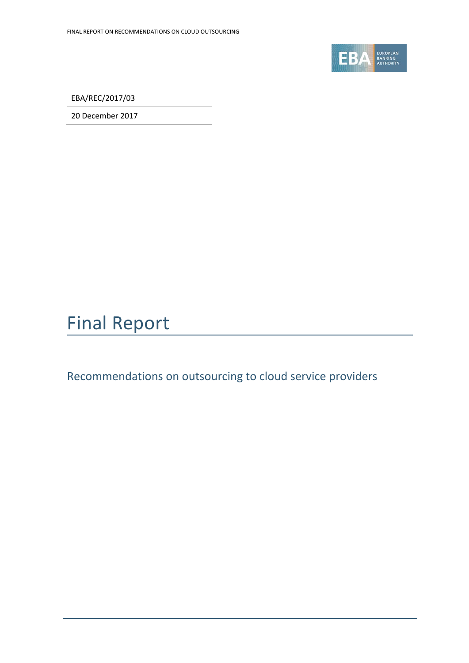

EBA/REC/2017/03

20 December 2017

# Final Report

Recommendations on outsourcing to cloud service providers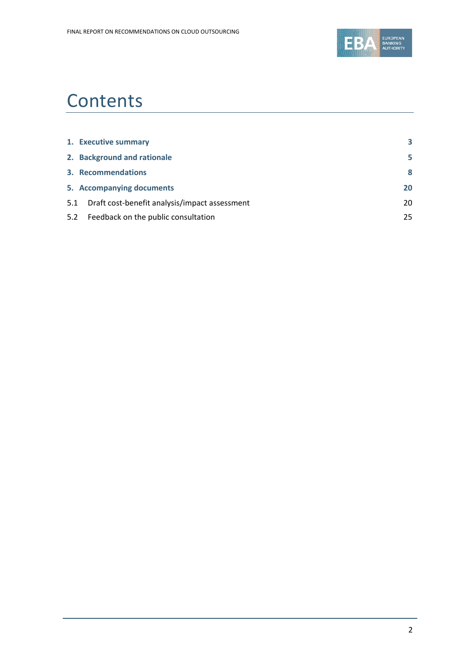

# **Contents**

|     | 1. Executive summary                          | 3  |
|-----|-----------------------------------------------|----|
|     | 2. Background and rationale                   | 5  |
|     | 3. Recommendations                            | 8  |
|     | 5. Accompanying documents                     | 20 |
| 5.1 | Draft cost-benefit analysis/impact assessment | 20 |
|     | 5.2 Feedback on the public consultation       | 25 |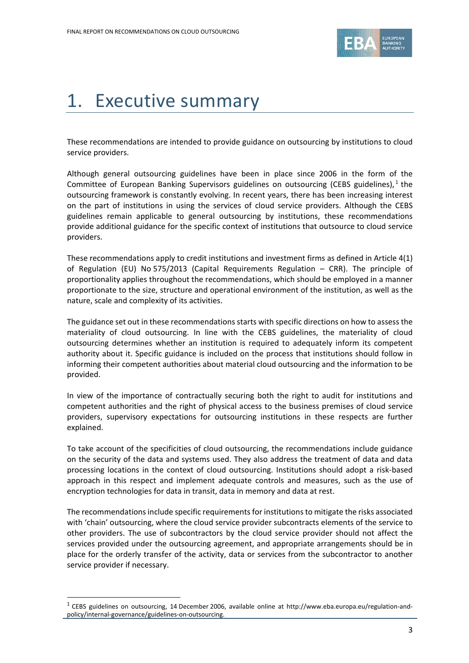

# <span id="page-2-0"></span>1. Executive summary

These recommendations are intended to provide guidance on outsourcing by institutions to cloud service providers.

Although general outsourcing guidelines have been in place since 2006 in the form of the Committee of European Banking Supervisors guidelines on outsourcing (CEBS guidelines),  $1$  the outsourcing framework is constantly evolving. In recent years, there has been increasing interest on the part of institutions in using the services of cloud service providers. Although the CEBS guidelines remain applicable to general outsourcing by institutions, these recommendations provide additional guidance for the specific context of institutions that outsource to cloud service providers.

These recommendations apply to credit institutions and investment firms as defined in Article 4(1) of Regulation (EU) No 575/2013 (Capital Requirements Regulation – CRR). The principle of proportionality applies throughout the recommendations, which should be employed in a manner proportionate to the size, structure and operational environment of the institution, as well as the nature, scale and complexity of its activities.

The guidance set out in these recommendations starts with specific directions on how to assess the materiality of cloud outsourcing. In line with the CEBS guidelines, the materiality of cloud outsourcing determines whether an institution is required to adequately inform its competent authority about it. Specific guidance is included on the process that institutions should follow in informing their competent authorities about material cloud outsourcing and the information to be provided.

In view of the importance of contractually securing both the right to audit for institutions and competent authorities and the right of physical access to the business premises of cloud service providers, supervisory expectations for outsourcing institutions in these respects are further explained.

To take account of the specificities of cloud outsourcing, the recommendations include guidance on the security of the data and systems used. They also address the treatment of data and data processing locations in the context of cloud outsourcing. Institutions should adopt a risk-based approach in this respect and implement adequate controls and measures, such as the use of encryption technologies for data in transit, data in memory and data at rest.

The recommendations include specific requirements for institutions to mitigate the risks associated with 'chain' outsourcing, where the cloud service provider subcontracts elements of the service to other providers. The use of subcontractors by the cloud service provider should not affect the services provided under the outsourcing agreement, and appropriate arrangements should be in place for the orderly transfer of the activity, data or services from the subcontractor to another service provider if necessary.

 $\overline{a}$ 

<span id="page-2-1"></span><sup>&</sup>lt;sup>1</sup> CEBS guidelines on outsourcing, 14 December 2006, available online at http://www.eba.europa.eu/regulation-andpolicy/internal-governance/guidelines-on-outsourcing.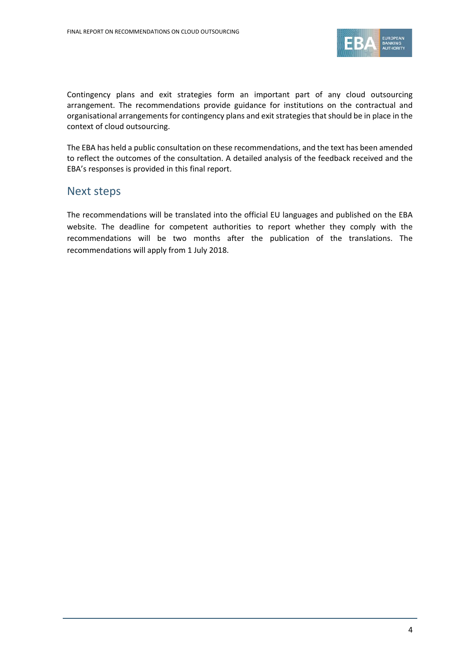

Contingency plans and exit strategies form an important part of any cloud outsourcing arrangement. The recommendations provide guidance for institutions on the contractual and organisational arrangements for contingency plans and exit strategies that should be in place in the context of cloud outsourcing.

The EBA has held a public consultation on these recommendations, and the text has been amended to reflect the outcomes of the consultation. A detailed analysis of the feedback received and the EBA's responses is provided in this final report.

### Next steps

The recommendations will be translated into the official EU languages and published on the EBA website. The deadline for competent authorities to report whether they comply with the recommendations will be two months after the publication of the translations. The recommendations will apply from 1 July 2018.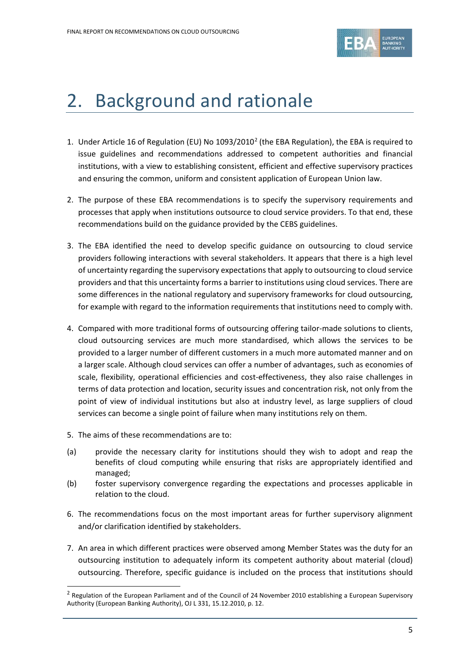

## <span id="page-4-0"></span>2. Background and rationale

- 1. Under Article 16 of Regulation (EU) No 1093/[2](#page-4-1)010<sup>2</sup> (the EBA Regulation), the EBA is required to issue guidelines and recommendations addressed to competent authorities and financial institutions, with a view to establishing consistent, efficient and effective supervisory practices and ensuring the common, uniform and consistent application of European Union law.
- 2. The purpose of these EBA recommendations is to specify the supervisory requirements and processes that apply when institutions outsource to cloud service providers. To that end, these recommendations build on the guidance provided by the CEBS guidelines.
- 3. The EBA identified the need to develop specific guidance on outsourcing to cloud service providers following interactions with several stakeholders. It appears that there is a high level of uncertainty regarding the supervisory expectations that apply to outsourcing to cloud service providers and that this uncertainty forms a barrier to institutions using cloud services. There are some differences in the national regulatory and supervisory frameworks for cloud outsourcing, for example with regard to the information requirements that institutions need to comply with.
- 4. Compared with more traditional forms of outsourcing offering tailor-made solutions to clients, cloud outsourcing services are much more standardised, which allows the services to be provided to a larger number of different customers in a much more automated manner and on a larger scale. Although cloud services can offer a number of advantages, such as economies of scale, flexibility, operational efficiencies and cost-effectiveness, they also raise challenges in terms of data protection and location, security issues and concentration risk, not only from the point of view of individual institutions but also at industry level, as large suppliers of cloud services can become a single point of failure when many institutions rely on them.
- 5. The aims of these recommendations are to:

l

- (a) provide the necessary clarity for institutions should they wish to adopt and reap the benefits of cloud computing while ensuring that risks are appropriately identified and managed;
- (b) foster supervisory convergence regarding the expectations and processes applicable in relation to the cloud.
- 6. The recommendations focus on the most important areas for further supervisory alignment and/or clarification identified by stakeholders.
- 7. An area in which different practices were observed among Member States was the duty for an outsourcing institution to adequately inform its competent authority about material (cloud) outsourcing. Therefore, specific guidance is included on the process that institutions should

<span id="page-4-1"></span><sup>&</sup>lt;sup>2</sup> Regulation of the European Parliament and of the Council of 24 November 2010 establishing a European Supervisory Authority (European Banking Authority), OJ L 331, 15.12.2010, p. 12.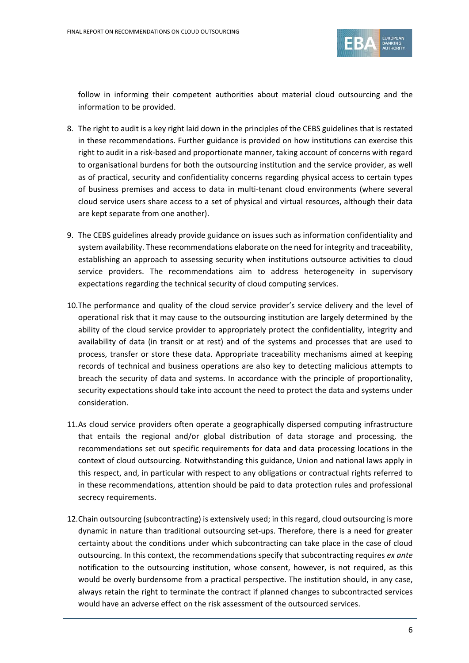

follow in informing their competent authorities about material cloud outsourcing and the information to be provided.

- 8. The right to audit is a key right laid down in the principles of the CEBS guidelines that is restated in these recommendations. Further guidance is provided on how institutions can exercise this right to audit in a risk-based and proportionate manner, taking account of concerns with regard to organisational burdens for both the outsourcing institution and the service provider, as well as of practical, security and confidentiality concerns regarding physical access to certain types of business premises and access to data in multi-tenant cloud environments (where several cloud service users share access to a set of physical and virtual resources, although their data are kept separate from one another).
- 9. The CEBS guidelines already provide guidance on issues such as information confidentiality and system availability. These recommendations elaborate on the need for integrity and traceability, establishing an approach to assessing security when institutions outsource activities to cloud service providers. The recommendations aim to address heterogeneity in supervisory expectations regarding the technical security of cloud computing services.
- 10.The performance and quality of the cloud service provider's service delivery and the level of operational risk that it may cause to the outsourcing institution are largely determined by the ability of the cloud service provider to appropriately protect the confidentiality, integrity and availability of data (in transit or at rest) and of the systems and processes that are used to process, transfer or store these data. Appropriate traceability mechanisms aimed at keeping records of technical and business operations are also key to detecting malicious attempts to breach the security of data and systems. In accordance with the principle of proportionality, security expectations should take into account the need to protect the data and systems under consideration.
- 11.As cloud service providers often operate a geographically dispersed computing infrastructure that entails the regional and/or global distribution of data storage and processing, the recommendations set out specific requirements for data and data processing locations in the context of cloud outsourcing. Notwithstanding this guidance, Union and national laws apply in this respect, and, in particular with respect to any obligations or contractual rights referred to in these recommendations, attention should be paid to data protection rules and professional secrecy requirements.
- 12.Chain outsourcing (subcontracting) is extensively used; in this regard, cloud outsourcing is more dynamic in nature than traditional outsourcing set-ups. Therefore, there is a need for greater certainty about the conditions under which subcontracting can take place in the case of cloud outsourcing. In this context, the recommendations specify that subcontracting requires *ex ante* notification to the outsourcing institution, whose consent, however, is not required, as this would be overly burdensome from a practical perspective. The institution should, in any case, always retain the right to terminate the contract if planned changes to subcontracted services would have an adverse effect on the risk assessment of the outsourced services.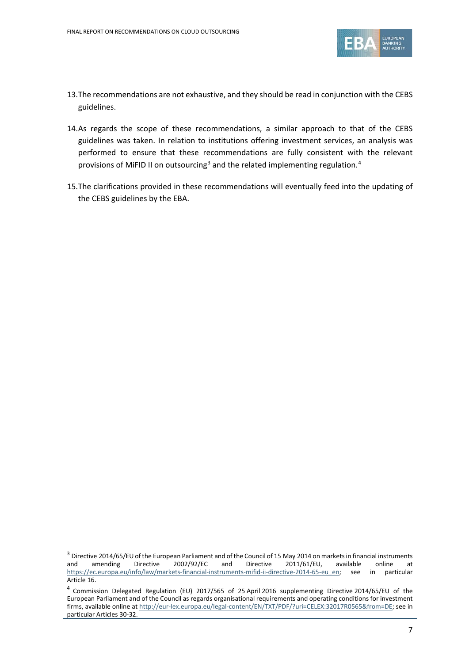

- 13.The recommendations are not exhaustive, and they should be read in conjunction with the CEBS guidelines.
- 14.As regards the scope of these recommendations, a similar approach to that of the CEBS guidelines was taken. In relation to institutions offering investment services, an analysis was performed to ensure that these recommendations are fully consistent with the relevant provisions of MiFID II on outsourcing<sup>[3](#page-6-0)</sup> and the related implementing regulation.<sup>[4](#page-6-1)</sup>
- 15.The clarifications provided in these recommendations will eventually feed into the updating of the CEBS guidelines by the EBA.

 $\overline{a}$ 

<span id="page-6-0"></span><sup>&</sup>lt;sup>3</sup> Directive 2014/65/EU of the European Parliament and of the Council of 15 May 2014 on markets in financial instruments and and and and anending Directive 2002/92/EC and Directive 2011/61/EU, available online at and amending Directive 2002/92/EC and Directive 2011/61/EU, available online at [https://ec.europa.eu/info/law/markets-financial-instruments-mifid-ii-directive-2014-65-eu\\_en;](https://ec.europa.eu/info/law/markets-financial-instruments-mifid-ii-directive-2014-65-eu_en) see in particular Article 16.

<span id="page-6-1"></span><sup>4</sup> Commission Delegated Regulation (EU) 2017/565 of 25 April 2016 supplementing Directive 2014/65/EU of the European Parliament and of the Council as regards organisational requirements and operating conditions for investment firms, available online at [http://eur-lex.europa.eu/legal-content/EN/TXT/PDF/?uri=CELEX:32017R0565&from=DE;](http://eur-lex.europa.eu/legal-content/EN/TXT/PDF/?uri=CELEX:32017R0565&from=DE) see in particular Articles 30-32.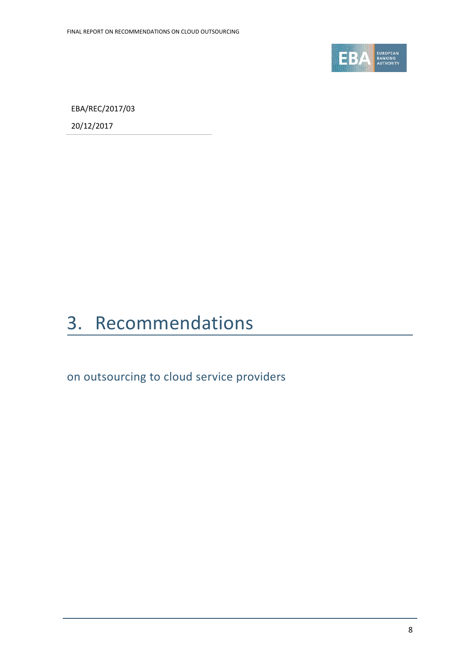

EBA/REC/2017/03

20/12/2017

# <span id="page-7-0"></span>3. Recommendations

on outsourcing to cloud service providers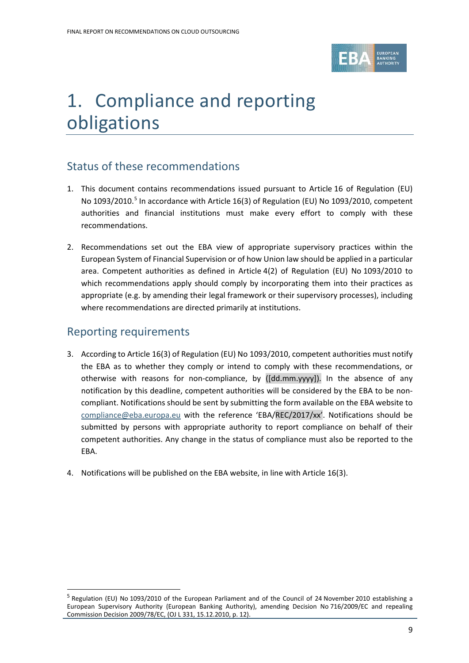

# 1. Compliance and reporting obligations

## Status of these recommendations

- 1. This document contains recommendations issued pursuant to Article 16 of Regulation (EU) No 1093/2010. [5](#page-8-0) In accordance with Article 16(3) of Regulation (EU) No 1093/2010, competent authorities and financial institutions must make every effort to comply with these recommendations.
- 2. Recommendations set out the EBA view of appropriate supervisory practices within the European System of Financial Supervision or of how Union law should be applied in a particular area. Competent authorities as defined in Article 4(2) of Regulation (EU) No 1093/2010 to which recommendations apply should comply by incorporating them into their practices as appropriate (e.g. by amending their legal framework or their supervisory processes), including where recommendations are directed primarily at institutions.

## Reporting requirements

 $\overline{a}$ 

- 3. According to Article 16(3) of Regulation (EU) No 1093/2010, competent authorities must notify the EBA as to whether they comply or intend to comply with these recommendations, or otherwise with reasons for non-compliance, by ([dd.mm.yyyy]). In the absence of any notification by this deadline, competent authorities will be considered by the EBA to be noncompliant. Notifications should be sent by submitting the form available on the EBA website to [compliance@eba.europa.eu](mailto:compliance@eba.europa.eu) with the reference 'EBA/REC/2017/xx'. Notifications should be submitted by persons with appropriate authority to report compliance on behalf of their competent authorities. Any change in the status of compliance must also be reported to the EBA.
- 4. Notifications will be published on the EBA website, in line with Article 16(3).

<span id="page-8-0"></span><sup>5</sup> Regulation (EU) No 1093/2010 of the European Parliament and of the Council of 24 November 2010 establishing a European Supervisory Authority (European Banking Authority), amending Decision No 716/2009/EC and repealing Commission Decision 2009/78/EC, (OJ L 331, 15.12.2010, p. 12).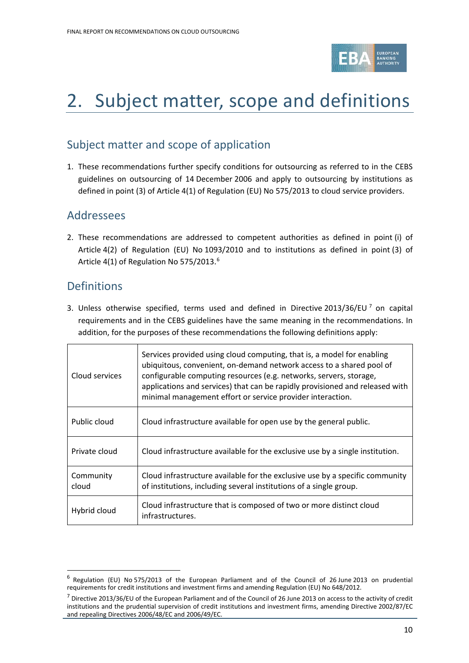

# 2. Subject matter, scope and definitions

## Subject matter and scope of application

1. These recommendations further specify conditions for outsourcing as referred to in the CEBS guidelines on outsourcing of 14 December 2006 and apply to outsourcing by institutions as defined in point (3) of Article 4(1) of Regulation (EU) No 575/2013 to cloud service providers.

### Addressees

2. These recommendations are addressed to competent authorities as defined in point (i) of Article 4(2) of Regulation (EU) No 1093/2010 and to institutions as defined in point (3) of Article 4(1) of Regulation No 575/2013.<sup>[6](#page-9-0)</sup>

## **Definitions**

 $\overline{a}$ 

3. Unless otherwise specified, terms used and defined in Directive 2013/36/EU  $^7$  $^7$  on capital requirements and in the CEBS guidelines have the same meaning in the recommendations. In addition, for the purposes of these recommendations the following definitions apply:

| Cloud services     | Services provided using cloud computing, that is, a model for enabling<br>ubiquitous, convenient, on-demand network access to a shared pool of<br>configurable computing resources (e.g. networks, servers, storage,<br>applications and services) that can be rapidly provisioned and released with<br>minimal management effort or service provider interaction. |
|--------------------|--------------------------------------------------------------------------------------------------------------------------------------------------------------------------------------------------------------------------------------------------------------------------------------------------------------------------------------------------------------------|
| Public cloud       | Cloud infrastructure available for open use by the general public.                                                                                                                                                                                                                                                                                                 |
| Private cloud      | Cloud infrastructure available for the exclusive use by a single institution.                                                                                                                                                                                                                                                                                      |
| Community<br>cloud | Cloud infrastructure available for the exclusive use by a specific community<br>of institutions, including several institutions of a single group.                                                                                                                                                                                                                 |
| Hybrid cloud       | Cloud infrastructure that is composed of two or more distinct cloud<br>infrastructures.                                                                                                                                                                                                                                                                            |

<sup>6</sup> Regulation (EU) No 575/2013 of the European Parliament and of the Council of 26 June 2013 on prudential requirements for credit institutions and investment firms and amending Regulation (EU) No 648/2012.

<span id="page-9-1"></span><span id="page-9-0"></span> $7$  Directive 2013/36/EU of the European Parliament and of the Council of 26 June 2013 on access to the activity of credit institutions and the prudential supervision of credit institutions and investment firms, amending Directive 2002/87/EC and repealing Directives 2006/48/EC and 2006/49/EC.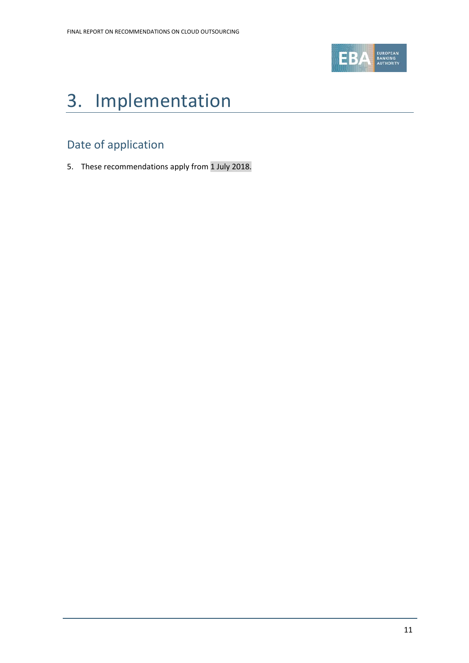

# 3. Implementation

## Date of application

5. These recommendations apply from 1 July 2018.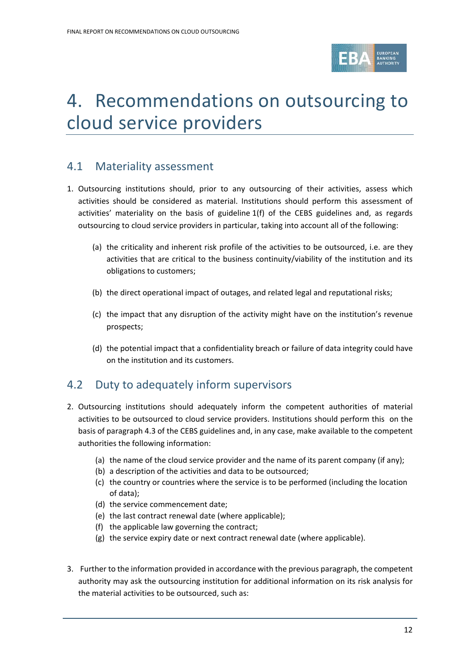

# 4. Recommendations on outsourcing to cloud service providers

## 4.1 Materiality assessment

- 1. Outsourcing institutions should, prior to any outsourcing of their activities, assess which activities should be considered as material. Institutions should perform this assessment of activities' materiality on the basis of guideline 1(f) of the CEBS guidelines and, as regards outsourcing to cloud service providers in particular, taking into account all of the following:
	- (a) the criticality and inherent risk profile of the activities to be outsourced, i.e. are they activities that are critical to the business continuity/viability of the institution and its obligations to customers;
	- (b) the direct operational impact of outages, and related legal and reputational risks;
	- (c) the impact that any disruption of the activity might have on the institution's revenue prospects;
	- (d) the potential impact that a confidentiality breach or failure of data integrity could have on the institution and its customers.

## 4.2 Duty to adequately inform supervisors

- 2. Outsourcing institutions should adequately inform the competent authorities of material activities to be outsourced to cloud service providers. Institutions should perform this on the basis of paragraph 4.3 of the CEBS guidelines and, in any case, make available to the competent authorities the following information:
	- (a) the name of the cloud service provider and the name of its parent company (if any);
	- (b) a description of the activities and data to be outsourced;
	- (c) the country or countries where the service is to be performed (including the location of data);
	- (d) the service commencement date;
	- (e) the last contract renewal date (where applicable);
	- (f) the applicable law governing the contract;
	- (g) the service expiry date or next contract renewal date (where applicable).
- 3. Further to the information provided in accordance with the previous paragraph, the competent authority may ask the outsourcing institution for additional information on its risk analysis for the material activities to be outsourced, such as: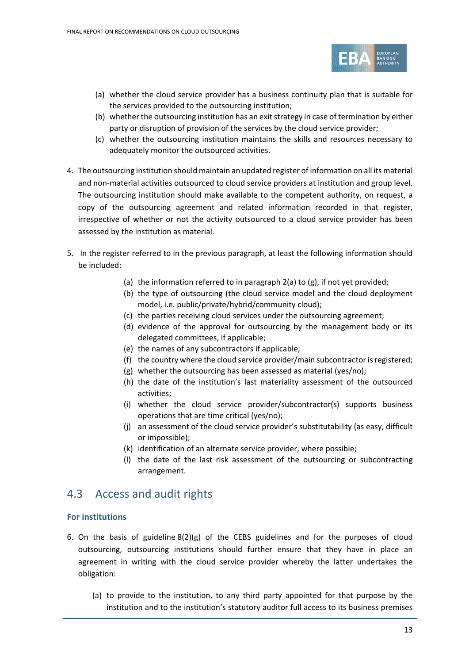

- (a) whether the cloud service provider has a business continuity plan that is suitable for the services provided to the outsourcing institution;
- (b) whether the outsourcing institution has an exit strategy in case of termination by either party or disruption of provision of the services by the cloud service provider;
- (c) whether the outsourcing institution maintains the skills and resources necessary to adequately monitor the outsourced activities.
- 4. The outsourcing institution should maintain an updated register of information on all its material and non-material activities outsourced to cloud service providers at institution and group level. The outsourcing institution should make available to the competent authority, on request, a copy of the outsourcing agreement and related information recorded in that register, irrespective of whether or not the activity outsourced to a cloud service provider has been assessed by the institution as material.
- 5. In the register referred to in the previous paragraph, at least the following information should be included:
	- (a) the information referred to in paragraph 2(a) to (g), if not yet provided;
	- (b) the type of outsourcing (the cloud service model and the cloud deployment model, i.e. public/private/hybrid/community cloud);
	- (c) the parties receiving cloud services under the outsourcing agreement;
	- (d) evidence of the approval for outsourcing by the management body or its delegated committees, if applicable;
	- (e) the names of any subcontractors if applicable;
	- (f) the country where the cloud service provider/main subcontractor is registered;
	- (g) whether the outsourcing has been assessed as material (yes/no);
	- (h) the date of the institution's last materiality assessment of the outsourced activities;
	- (i) whether the cloud service provider/subcontractor(s) supports business operations that are time critical (yes/no);
	- (j) an assessment of the cloud service provider's substitutability (as easy, difficult or impossible);
	- (k) identification of an alternate service provider, where possible;
	- (l) the date of the last risk assessment of the outsourcing or subcontracting arrangement.

### 4.3 Access and audit rights

#### **For institutions**

- 6. On the basis of guideline 8(2)(g) of the CEBS guidelines and for the purposes of cloud outsourcing, outsourcing institutions should further ensure that they have in place an agreement in writing with the cloud service provider whereby the latter undertakes the obligation:
	- (a) to provide to the institution, to any third party appointed for that purpose by the institution and to the institution's statutory auditor full access to its business premises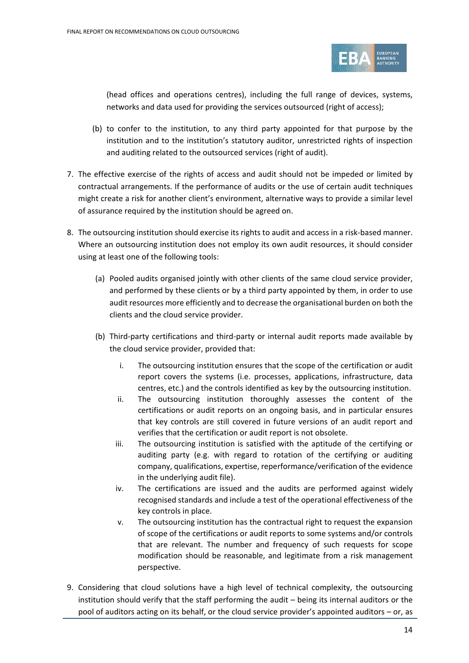

(head offices and operations centres), including the full range of devices, systems, networks and data used for providing the services outsourced (right of access);

- (b) to confer to the institution, to any third party appointed for that purpose by the institution and to the institution's statutory auditor, unrestricted rights of inspection and auditing related to the outsourced services (right of audit).
- 7. The effective exercise of the rights of access and audit should not be impeded or limited by contractual arrangements. If the performance of audits or the use of certain audit techniques might create a risk for another client's environment, alternative ways to provide a similar level of assurance required by the institution should be agreed on.
- 8. The outsourcing institution should exercise its rights to audit and access in a risk-based manner. Where an outsourcing institution does not employ its own audit resources, it should consider using at least one of the following tools:
	- (a) Pooled audits organised jointly with other clients of the same cloud service provider, and performed by these clients or by a third party appointed by them, in order to use audit resources more efficiently and to decrease the organisational burden on both the clients and the cloud service provider.
	- (b) Third-party certifications and third-party or internal audit reports made available by the cloud service provider, provided that:
		- i. The outsourcing institution ensures that the scope of the certification or audit report covers the systems (i.e. processes, applications, infrastructure, data centres, etc.) and the controls identified as key by the outsourcing institution.
		- ii. The outsourcing institution thoroughly assesses the content of the certifications or audit reports on an ongoing basis, and in particular ensures that key controls are still covered in future versions of an audit report and verifies that the certification or audit report is not obsolete.
		- iii. The outsourcing institution is satisfied with the aptitude of the certifying or auditing party (e.g. with regard to rotation of the certifying or auditing company, qualifications, expertise, reperformance/verification of the evidence in the underlying audit file).
		- iv. The certifications are issued and the audits are performed against widely recognised standards and include a test of the operational effectiveness of the key controls in place.
		- v. The outsourcing institution has the contractual right to request the expansion of scope of the certifications or audit reports to some systems and/or controls that are relevant. The number and frequency of such requests for scope modification should be reasonable, and legitimate from a risk management perspective.
- 9. Considering that cloud solutions have a high level of technical complexity, the outsourcing institution should verify that the staff performing the audit – being its internal auditors or the pool of auditors acting on its behalf, or the cloud service provider's appointed auditors – or, as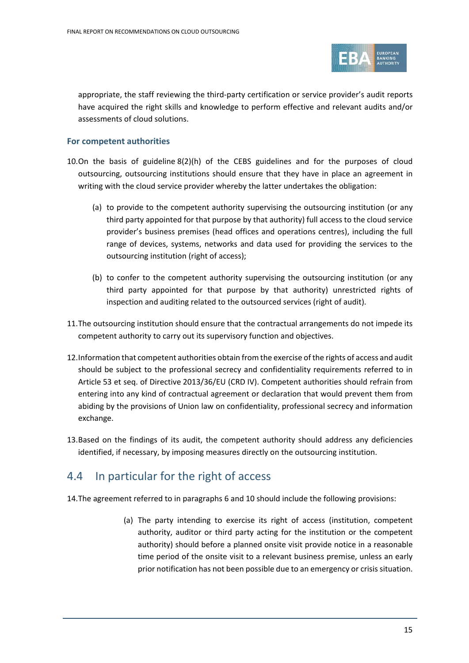

appropriate, the staff reviewing the third-party certification or service provider's audit reports have acquired the right skills and knowledge to perform effective and relevant audits and/or assessments of cloud solutions.

#### **For competent authorities**

- 10.On the basis of guideline 8(2)(h) of the CEBS guidelines and for the purposes of cloud outsourcing, outsourcing institutions should ensure that they have in place an agreement in writing with the cloud service provider whereby the latter undertakes the obligation:
	- (a) to provide to the competent authority supervising the outsourcing institution (or any third party appointed for that purpose by that authority) full access to the cloud service provider's business premises (head offices and operations centres), including the full range of devices, systems, networks and data used for providing the services to the outsourcing institution (right of access);
	- (b) to confer to the competent authority supervising the outsourcing institution (or any third party appointed for that purpose by that authority) unrestricted rights of inspection and auditing related to the outsourced services (right of audit).
- 11.The outsourcing institution should ensure that the contractual arrangements do not impede its competent authority to carry out its supervisory function and objectives.
- 12.Information that competent authorities obtain from the exercise of the rights of access and audit should be subject to the professional secrecy and confidentiality requirements referred to in Article 53 et seq. of Directive 2013/36/EU (CRD IV). Competent authorities should refrain from entering into any kind of contractual agreement or declaration that would prevent them from abiding by the provisions of Union law on confidentiality, professional secrecy and information exchange.
- 13.Based on the findings of its audit, the competent authority should address any deficiencies identified, if necessary, by imposing measures directly on the outsourcing institution.

### 4.4 In particular for the right of access

14.The agreement referred to in paragraphs 6 and 10 should include the following provisions:

(a) The party intending to exercise its right of access (institution, competent authority, auditor or third party acting for the institution or the competent authority) should before a planned onsite visit provide notice in a reasonable time period of the onsite visit to a relevant business premise, unless an early prior notification has not been possible due to an emergency or crisis situation.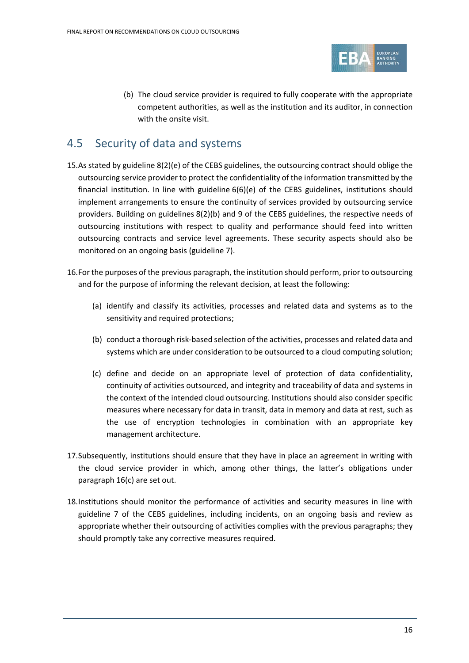

(b) The cloud service provider is required to fully cooperate with the appropriate competent authorities, as well as the institution and its auditor, in connection with the onsite visit.

## 4.5 Security of data and systems

- 15.As stated by guideline 8(2)(e) of the CEBS guidelines, the outsourcing contract should oblige the outsourcing service provider to protect the confidentiality of the information transmitted by the financial institution. In line with guideline 6(6)(e) of the CEBS guidelines, institutions should implement arrangements to ensure the continuity of services provided by outsourcing service providers. Building on guidelines 8(2)(b) and 9 of the CEBS guidelines, the respective needs of outsourcing institutions with respect to quality and performance should feed into written outsourcing contracts and service level agreements. These security aspects should also be monitored on an ongoing basis (guideline 7).
- 16.For the purposes of the previous paragraph, the institution should perform, prior to outsourcing and for the purpose of informing the relevant decision, at least the following:
	- (a) identify and classify its activities, processes and related data and systems as to the sensitivity and required protections;
	- (b) conduct a thorough risk-based selection of the activities, processes and related data and systems which are under consideration to be outsourced to a cloud computing solution;
	- (c) define and decide on an appropriate level of protection of data confidentiality, continuity of activities outsourced, and integrity and traceability of data and systems in the context of the intended cloud outsourcing. Institutions should also consider specific measures where necessary for data in transit, data in memory and data at rest, such as the use of encryption technologies in combination with an appropriate key management architecture.
- 17.Subsequently, institutions should ensure that they have in place an agreement in writing with the cloud service provider in which, among other things, the latter's obligations under paragraph 16(c) are set out.
- 18.Institutions should monitor the performance of activities and security measures in line with guideline 7 of the CEBS guidelines, including incidents, on an ongoing basis and review as appropriate whether their outsourcing of activities complies with the previous paragraphs; they should promptly take any corrective measures required.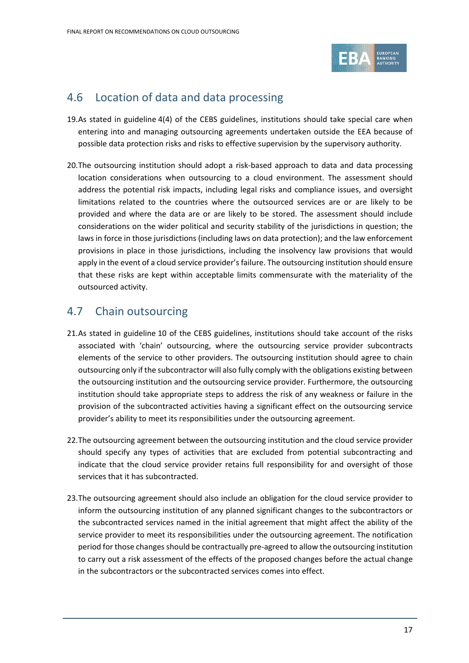

## 4.6 Location of data and data processing

- 19.As stated in guideline 4(4) of the CEBS guidelines, institutions should take special care when entering into and managing outsourcing agreements undertaken outside the EEA because of possible data protection risks and risks to effective supervision by the supervisory authority.
- 20.The outsourcing institution should adopt a risk-based approach to data and data processing location considerations when outsourcing to a cloud environment. The assessment should address the potential risk impacts, including legal risks and compliance issues, and oversight limitations related to the countries where the outsourced services are or are likely to be provided and where the data are or are likely to be stored. The assessment should include considerations on the wider political and security stability of the jurisdictions in question; the laws in force in those jurisdictions (including laws on data protection); and the law enforcement provisions in place in those jurisdictions, including the insolvency law provisions that would apply in the event of a cloud service provider's failure. The outsourcing institution should ensure that these risks are kept within acceptable limits commensurate with the materiality of the outsourced activity.

## 4.7 Chain outsourcing

- 21.As stated in guideline 10 of the CEBS guidelines, institutions should take account of the risks associated with 'chain' outsourcing, where the outsourcing service provider subcontracts elements of the service to other providers. The outsourcing institution should agree to chain outsourcing only if the subcontractor will also fully comply with the obligations existing between the outsourcing institution and the outsourcing service provider. Furthermore, the outsourcing institution should take appropriate steps to address the risk of any weakness or failure in the provision of the subcontracted activities having a significant effect on the outsourcing service provider's ability to meet its responsibilities under the outsourcing agreement.
- 22.The outsourcing agreement between the outsourcing institution and the cloud service provider should specify any types of activities that are excluded from potential subcontracting and indicate that the cloud service provider retains full responsibility for and oversight of those services that it has subcontracted.
- 23.The outsourcing agreement should also include an obligation for the cloud service provider to inform the outsourcing institution of any planned significant changes to the subcontractors or the subcontracted services named in the initial agreement that might affect the ability of the service provider to meet its responsibilities under the outsourcing agreement. The notification period for those changes should be contractually pre-agreed to allow the outsourcing institution to carry out a risk assessment of the effects of the proposed changes before the actual change in the subcontractors or the subcontracted services comes into effect.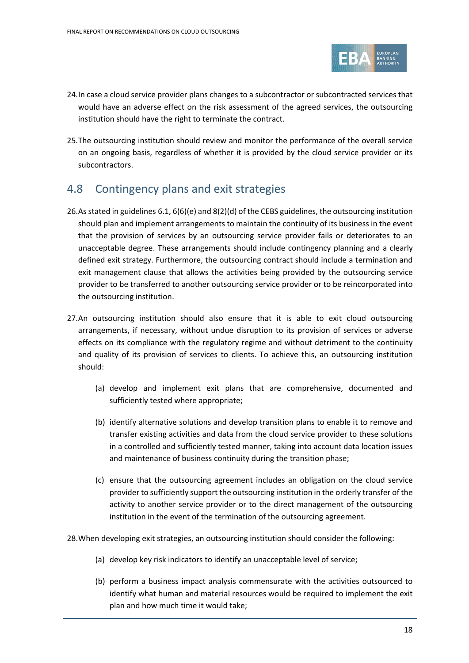

- 24.In case a cloud service provider plans changes to a subcontractor or subcontracted services that would have an adverse effect on the risk assessment of the agreed services, the outsourcing institution should have the right to terminate the contract.
- 25.The outsourcing institution should review and monitor the performance of the overall service on an ongoing basis, regardless of whether it is provided by the cloud service provider or its subcontractors.

## 4.8 Contingency plans and exit strategies

- 26.As stated in guidelines 6.1, 6(6)(e) and 8(2)(d) of the CEBS guidelines, the outsourcing institution should plan and implement arrangements to maintain the continuity of its business in the event that the provision of services by an outsourcing service provider fails or deteriorates to an unacceptable degree. These arrangements should include contingency planning and a clearly defined exit strategy. Furthermore, the outsourcing contract should include a termination and exit management clause that allows the activities being provided by the outsourcing service provider to be transferred to another outsourcing service provider or to be reincorporated into the outsourcing institution.
- 27.An outsourcing institution should also ensure that it is able to exit cloud outsourcing arrangements, if necessary, without undue disruption to its provision of services or adverse effects on its compliance with the regulatory regime and without detriment to the continuity and quality of its provision of services to clients. To achieve this, an outsourcing institution should:
	- (a) develop and implement exit plans that are comprehensive, documented and sufficiently tested where appropriate;
	- (b) identify alternative solutions and develop transition plans to enable it to remove and transfer existing activities and data from the cloud service provider to these solutions in a controlled and sufficiently tested manner, taking into account data location issues and maintenance of business continuity during the transition phase;
	- (c) ensure that the outsourcing agreement includes an obligation on the cloud service provider to sufficiently support the outsourcing institution in the orderly transfer of the activity to another service provider or to the direct management of the outsourcing institution in the event of the termination of the outsourcing agreement.
- 28.When developing exit strategies, an outsourcing institution should consider the following:
	- (a) develop key risk indicators to identify an unacceptable level of service;
	- (b) perform a business impact analysis commensurate with the activities outsourced to identify what human and material resources would be required to implement the exit plan and how much time it would take;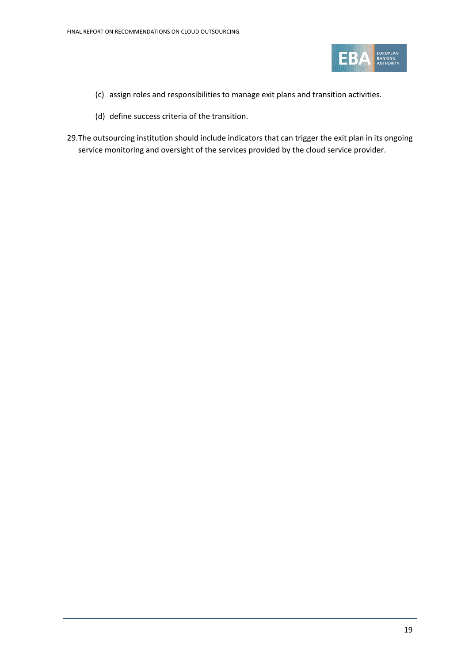

- (c) assign roles and responsibilities to manage exit plans and transition activities.
- (d) define success criteria of the transition.
- 29.The outsourcing institution should include indicators that can trigger the exit plan in its ongoing service monitoring and oversight of the services provided by the cloud service provider.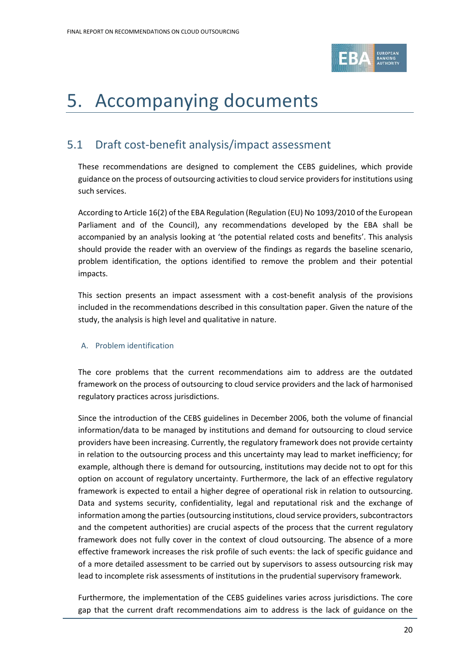

# <span id="page-19-0"></span>5. Accompanying documents

## <span id="page-19-1"></span>5.1 Draft cost-benefit analysis/impact assessment

These recommendations are designed to complement the CEBS guidelines, which provide guidance on the process of outsourcing activities to cloud service providers for institutions using such services.

According to Article 16(2) of the EBA Regulation (Regulation (EU) No 1093/2010 of the European Parliament and of the Council), any recommendations developed by the EBA shall be accompanied by an analysis looking at 'the potential related costs and benefits'. This analysis should provide the reader with an overview of the findings as regards the baseline scenario, problem identification, the options identified to remove the problem and their potential impacts.

This section presents an impact assessment with a cost-benefit analysis of the provisions included in the recommendations described in this consultation paper. Given the nature of the study, the analysis is high level and qualitative in nature.

#### A. Problem identification

The core problems that the current recommendations aim to address are the outdated framework on the process of outsourcing to cloud service providers and the lack of harmonised regulatory practices across jurisdictions.

Since the introduction of the CEBS guidelines in December 2006, both the volume of financial information/data to be managed by institutions and demand for outsourcing to cloud service providers have been increasing. Currently, the regulatory framework does not provide certainty in relation to the outsourcing process and this uncertainty may lead to market inefficiency; for example, although there is demand for outsourcing, institutions may decide not to opt for this option on account of regulatory uncertainty. Furthermore, the lack of an effective regulatory framework is expected to entail a higher degree of operational risk in relation to outsourcing. Data and systems security, confidentiality, legal and reputational risk and the exchange of information among the parties (outsourcing institutions, cloud service providers, subcontractors and the competent authorities) are crucial aspects of the process that the current regulatory framework does not fully cover in the context of cloud outsourcing. The absence of a more effective framework increases the risk profile of such events: the lack of specific guidance and of a more detailed assessment to be carried out by supervisors to assess outsourcing risk may lead to incomplete risk assessments of institutions in the prudential supervisory framework.

Furthermore, the implementation of the CEBS guidelines varies across jurisdictions. The core gap that the current draft recommendations aim to address is the lack of guidance on the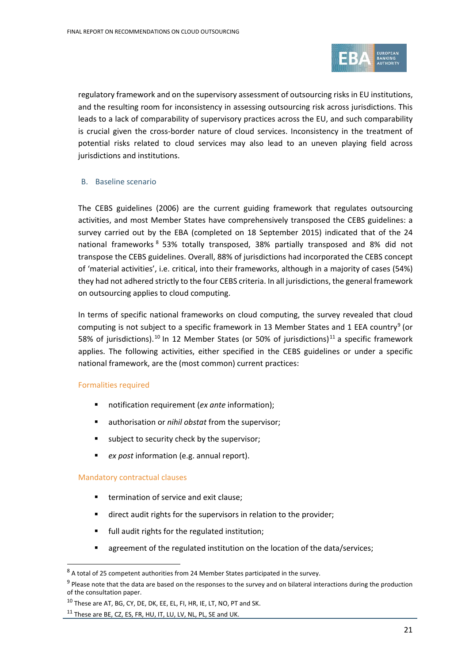

regulatory framework and on the supervisory assessment of outsourcing risks in EU institutions, and the resulting room for inconsistency in assessing outsourcing risk across jurisdictions. This leads to a lack of comparability of supervisory practices across the EU, and such comparability is crucial given the cross-border nature of cloud services. Inconsistency in the treatment of potential risks related to cloud services may also lead to an uneven playing field across jurisdictions and institutions.

#### B. Baseline scenario

The CEBS guidelines (2006) are the current guiding framework that regulates outsourcing activities, and most Member States have comprehensively transposed the CEBS guidelines: a survey carried out by the EBA (completed on 18 September 2015) indicated that of the 24 national frameworks <sup>[8](#page-20-0)</sup> 53% totally transposed, 38% partially transposed and 8% did not transpose the CEBS guidelines. Overall, 88% of jurisdictions had incorporated the CEBS concept of 'material activities', i.e. critical, into their frameworks, although in a majority of cases (54%) they had not adhered strictly to the four CEBS criteria. In all jurisdictions, the general framework on outsourcing applies to cloud computing.

In terms of specific national frameworks on cloud computing, the survey revealed that cloud computing is not subject to a specific framework in 13 Member States and 1 EEA country<sup>[9](#page-20-1)</sup> (or 58% of jurisdictions).<sup>[10](#page-20-2)</sup> In 12 Member States (or 50% of jurisdictions)<sup>[11](#page-20-3)</sup> a specific framework applies. The following activities, either specified in the CEBS guidelines or under a specific national framework, are the (most common) current practices:

#### Formalities required

- notification requirement (*ex ante* information);
- authorisation or *nihil obstat* from the supervisor;
- subject to security check by the supervisor;
- *ex post* information (e.g. annual report).

#### Mandatory contractual clauses

 $\overline{a}$ 

- **termination of service and exit clause:**
- direct audit rights for the supervisors in relation to the provider;
- **full audit rights for the regulated institution;**
- **E** agreement of the regulated institution on the location of the data/services;

<span id="page-20-0"></span><sup>8</sup> A total of 25 competent authorities from 24 Member States participated in the survey.

<span id="page-20-1"></span> $9$  Please note that the data are based on the responses to the survey and on bilateral interactions during the production of the consultation paper.

<sup>&</sup>lt;sup>10</sup> These are AT, BG, CY, DE, DK, EE, EL, FI, HR, IE, LT, NO, PT and SK.

<span id="page-20-3"></span><span id="page-20-2"></span><sup>&</sup>lt;sup>11</sup> These are BE, CZ, ES, FR, HU, IT, LU, LV, NL, PL, SE and UK.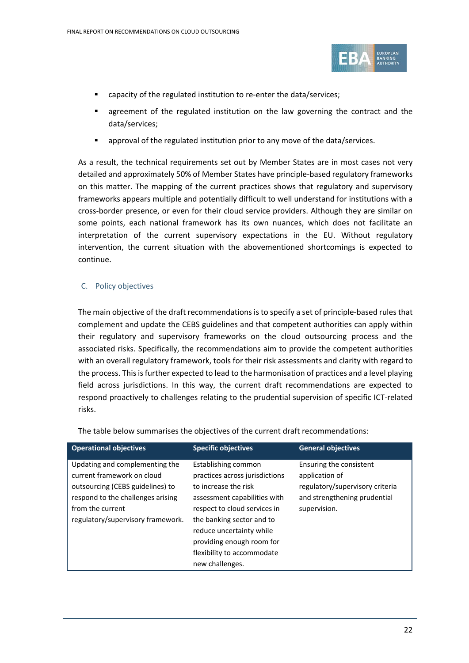

- capacity of the regulated institution to re-enter the data/services;
- agreement of the regulated institution on the law governing the contract and the data/services;
- approval of the regulated institution prior to any move of the data/services.

As a result, the technical requirements set out by Member States are in most cases not very detailed and approximately 50% of Member States have principle-based regulatory frameworks on this matter. The mapping of the current practices shows that regulatory and supervisory frameworks appears multiple and potentially difficult to well understand for institutions with a cross-border presence, or even for their cloud service providers. Although they are similar on some points, each national framework has its own nuances, which does not facilitate an interpretation of the current supervisory expectations in the EU. Without regulatory intervention, the current situation with the abovementioned shortcomings is expected to continue.

#### C. Policy objectives

The main objective of the draft recommendations is to specify a set of principle-based rules that complement and update the CEBS guidelines and that competent authorities can apply within their regulatory and supervisory frameworks on the cloud outsourcing process and the associated risks. Specifically, the recommendations aim to provide the competent authorities with an overall regulatory framework, tools for their risk assessments and clarity with regard to the process. This is further expected to lead to the harmonisation of practices and a level playing field across jurisdictions. In this way, the current draft recommendations are expected to respond proactively to challenges relating to the prudential supervision of specific ICT-related risks.

| <b>Operational objectives</b>                                                                                                                                                                  | <b>Specific objectives</b>                                                                                                                                                                                                                                        | <b>General objectives</b>                                                                                                    |
|------------------------------------------------------------------------------------------------------------------------------------------------------------------------------------------------|-------------------------------------------------------------------------------------------------------------------------------------------------------------------------------------------------------------------------------------------------------------------|------------------------------------------------------------------------------------------------------------------------------|
| Updating and complementing the<br>current framework on cloud<br>outsourcing (CEBS guidelines) to<br>respond to the challenges arising<br>from the current<br>regulatory/supervisory framework. | Establishing common<br>practices across jurisdictions<br>to increase the risk<br>assessment capabilities with<br>respect to cloud services in<br>the banking sector and to<br>reduce uncertainty while<br>providing enough room for<br>flexibility to accommodate | Ensuring the consistent<br>application of<br>regulatory/supervisory criteria<br>and strengthening prudential<br>supervision. |
|                                                                                                                                                                                                | new challenges.                                                                                                                                                                                                                                                   |                                                                                                                              |

The table below summarises the objectives of the current draft recommendations: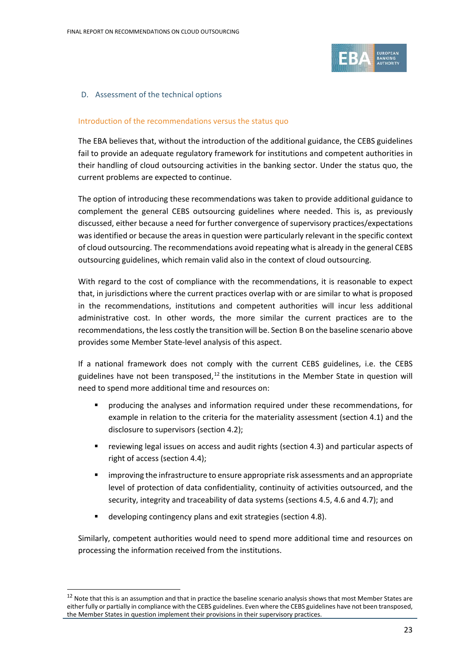

#### D. Assessment of the technical options

#### Introduction of the recommendations versus the status quo

The EBA believes that, without the introduction of the additional guidance, the CEBS guidelines fail to provide an adequate regulatory framework for institutions and competent authorities in their handling of cloud outsourcing activities in the banking sector. Under the status quo, the current problems are expected to continue.

The option of introducing these recommendations was taken to provide additional guidance to complement the general CEBS outsourcing guidelines where needed. This is, as previously discussed, either because a need for further convergence of supervisory practices/expectations was identified or because the areas in question were particularly relevant in the specific context of cloud outsourcing. The recommendations avoid repeating what is already in the general CEBS outsourcing guidelines, which remain valid also in the context of cloud outsourcing.

With regard to the cost of compliance with the recommendations, it is reasonable to expect that, in jurisdictions where the current practices overlap with or are similar to what is proposed in the recommendations, institutions and competent authorities will incur less additional administrative cost. In other words, the more similar the current practices are to the recommendations, the less costly the transition will be. Section B on the baseline scenario above provides some Member State-level analysis of this aspect.

If a national framework does not comply with the current CEBS guidelines, i.e. the CEBS guidelines have not been transposed, $12$  the institutions in the Member State in question will need to spend more additional time and resources on:

- producing the analyses and information required under these recommendations, for example in relation to the criteria for the materiality assessment (section 4.1) and the disclosure to supervisors (section 4.2);
- reviewing legal issues on access and audit rights (section 4.3) and particular aspects of right of access (section 4.4);
- improving the infrastructure to ensure appropriate risk assessments and an appropriate level of protection of data confidentiality, continuity of activities outsourced, and the security, integrity and traceability of data systems (sections 4.5, 4.6 and 4.7); and
- developing contingency plans and exit strategies (section 4.8).

 $\overline{a}$ 

Similarly, competent authorities would need to spend more additional time and resources on processing the information received from the institutions.

<span id="page-22-0"></span> $12$  Note that this is an assumption and that in practice the baseline scenario analysis shows that most Member States are either fully or partially in compliance with the CEBS guidelines. Even where the CEBS guidelines have not been transposed, the Member States in question implement their provisions in their supervisory practices.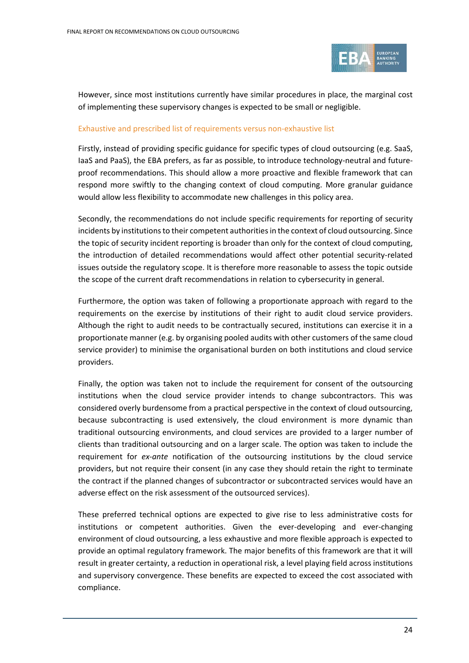

However, since most institutions currently have similar procedures in place, the marginal cost of implementing these supervisory changes is expected to be small or negligible.

#### Exhaustive and prescribed list of requirements versus non-exhaustive list

Firstly, instead of providing specific guidance for specific types of cloud outsourcing (e.g. SaaS, IaaS and PaaS), the EBA prefers, as far as possible, to introduce technology-neutral and futureproof recommendations. This should allow a more proactive and flexible framework that can respond more swiftly to the changing context of cloud computing. More granular guidance would allow less flexibility to accommodate new challenges in this policy area.

Secondly, the recommendations do not include specific requirements for reporting of security incidents by institutions to their competent authorities in the context of cloud outsourcing. Since the topic of security incident reporting is broader than only for the context of cloud computing, the introduction of detailed recommendations would affect other potential security-related issues outside the regulatory scope. It is therefore more reasonable to assess the topic outside the scope of the current draft recommendations in relation to cybersecurity in general.

Furthermore, the option was taken of following a proportionate approach with regard to the requirements on the exercise by institutions of their right to audit cloud service providers. Although the right to audit needs to be contractually secured, institutions can exercise it in a proportionate manner (e.g. by organising pooled audits with other customers of the same cloud service provider) to minimise the organisational burden on both institutions and cloud service providers.

Finally, the option was taken not to include the requirement for consent of the outsourcing institutions when the cloud service provider intends to change subcontractors. This was considered overly burdensome from a practical perspective in the context of cloud outsourcing, because subcontracting is used extensively, the cloud environment is more dynamic than traditional outsourcing environments, and cloud services are provided to a larger number of clients than traditional outsourcing and on a larger scale. The option was taken to include the requirement for *ex-ante* notification of the outsourcing institutions by the cloud service providers, but not require their consent (in any case they should retain the right to terminate the contract if the planned changes of subcontractor or subcontracted services would have an adverse effect on the risk assessment of the outsourced services).

These preferred technical options are expected to give rise to less administrative costs for institutions or competent authorities. Given the ever-developing and ever-changing environment of cloud outsourcing, a less exhaustive and more flexible approach is expected to provide an optimal regulatory framework. The major benefits of this framework are that it will result in greater certainty, a reduction in operational risk, a level playing field across institutions and supervisory convergence. These benefits are expected to exceed the cost associated with compliance.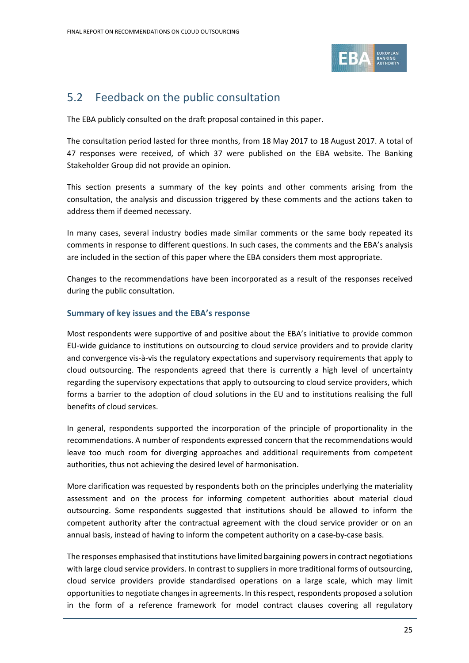

## <span id="page-24-0"></span>5.2 Feedback on the public consultation

The EBA publicly consulted on the draft proposal contained in this paper.

The consultation period lasted for three months, from 18 May 2017 to 18 August 2017. A total of 47 responses were received, of which 37 were published on the EBA website. The Banking Stakeholder Group did not provide an opinion.

This section presents a summary of the key points and other comments arising from the consultation, the analysis and discussion triggered by these comments and the actions taken to address them if deemed necessary.

In many cases, several industry bodies made similar comments or the same body repeated its comments in response to different questions. In such cases, the comments and the EBA's analysis are included in the section of this paper where the EBA considers them most appropriate.

Changes to the recommendations have been incorporated as a result of the responses received during the public consultation.

### **Summary of key issues and the EBA's response**

Most respondents were supportive of and positive about the EBA's initiative to provide common EU-wide guidance to institutions on outsourcing to cloud service providers and to provide clarity and convergence vis-à-vis the regulatory expectations and supervisory requirements that apply to cloud outsourcing. The respondents agreed that there is currently a high level of uncertainty regarding the supervisory expectations that apply to outsourcing to cloud service providers, which forms a barrier to the adoption of cloud solutions in the EU and to institutions realising the full benefits of cloud services.

In general, respondents supported the incorporation of the principle of proportionality in the recommendations. A number of respondents expressed concern that the recommendations would leave too much room for diverging approaches and additional requirements from competent authorities, thus not achieving the desired level of harmonisation.

More clarification was requested by respondents both on the principles underlying the materiality assessment and on the process for informing competent authorities about material cloud outsourcing. Some respondents suggested that institutions should be allowed to inform the competent authority after the contractual agreement with the cloud service provider or on an annual basis, instead of having to inform the competent authority on a case-by-case basis.

The responses emphasised that institutions have limited bargaining powers in contract negotiations with large cloud service providers. In contrast to suppliers in more traditional forms of outsourcing, cloud service providers provide standardised operations on a large scale, which may limit opportunitiesto negotiate changes in agreements. In this respect, respondents proposed a solution in the form of a reference framework for model contract clauses covering all regulatory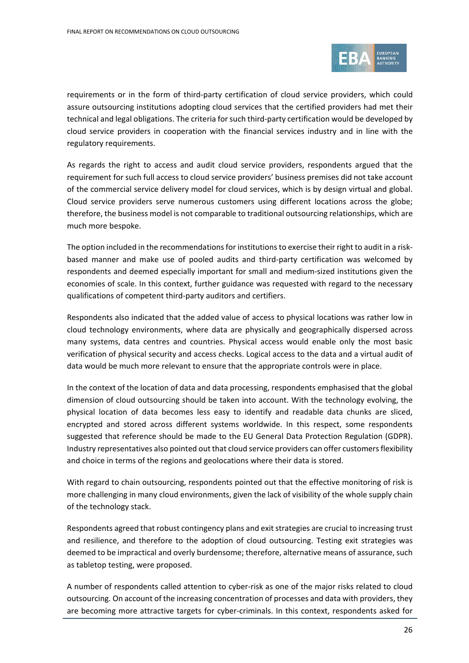

requirements or in the form of third-party certification of cloud service providers, which could assure outsourcing institutions adopting cloud services that the certified providers had met their technical and legal obligations. The criteria for such third-party certification would be developed by cloud service providers in cooperation with the financial services industry and in line with the regulatory requirements.

As regards the right to access and audit cloud service providers, respondents argued that the requirement for such full access to cloud service providers' business premises did not take account of the commercial service delivery model for cloud services, which is by design virtual and global. Cloud service providers serve numerous customers using different locations across the globe; therefore, the business model is not comparable to traditional outsourcing relationships, which are much more bespoke.

The option included in the recommendations for institutions to exercise their right to audit in a riskbased manner and make use of pooled audits and third-party certification was welcomed by respondents and deemed especially important for small and medium-sized institutions given the economies of scale. In this context, further guidance was requested with regard to the necessary qualifications of competent third-party auditors and certifiers.

Respondents also indicated that the added value of access to physical locations was rather low in cloud technology environments, where data are physically and geographically dispersed across many systems, data centres and countries. Physical access would enable only the most basic verification of physical security and access checks. Logical access to the data and a virtual audit of data would be much more relevant to ensure that the appropriate controls were in place.

In the context of the location of data and data processing, respondents emphasised that the global dimension of cloud outsourcing should be taken into account. With the technology evolving, the physical location of data becomes less easy to identify and readable data chunks are sliced, encrypted and stored across different systems worldwide. In this respect, some respondents suggested that reference should be made to the EU General Data Protection Regulation (GDPR). Industry representatives also pointed out that cloud service providers can offer customersflexibility and choice in terms of the regions and geolocations where their data is stored.

With regard to chain outsourcing, respondents pointed out that the effective monitoring of risk is more challenging in many cloud environments, given the lack of visibility of the whole supply chain of the technology stack.

Respondents agreed that robust contingency plans and exit strategies are crucial to increasing trust and resilience, and therefore to the adoption of cloud outsourcing. Testing exit strategies was deemed to be impractical and overly burdensome; therefore, alternative means of assurance, such as tabletop testing, were proposed.

A number of respondents called attention to cyber-risk as one of the major risks related to cloud outsourcing. On account of the increasing concentration of processes and data with providers, they are becoming more attractive targets for cyber-criminals. In this context, respondents asked for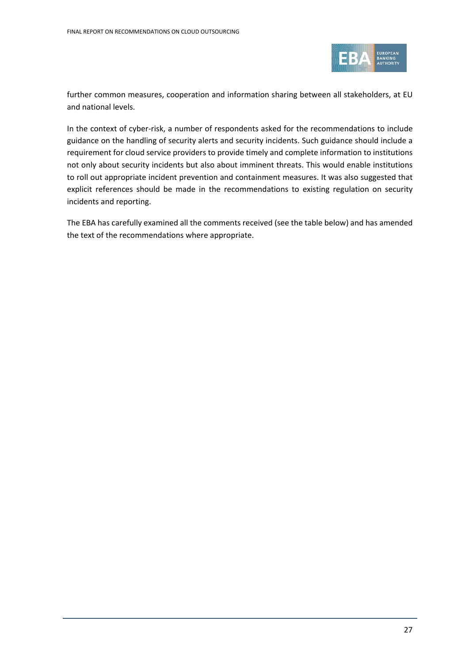

further common measures, cooperation and information sharing between all stakeholders, at EU and national levels.

In the context of cyber-risk, a number of respondents asked for the recommendations to include guidance on the handling of security alerts and security incidents. Such guidance should include a requirement for cloud service providers to provide timely and complete information to institutions not only about security incidents but also about imminent threats. This would enable institutions to roll out appropriate incident prevention and containment measures. It was also suggested that explicit references should be made in the recommendations to existing regulation on security incidents and reporting.

The EBA has carefully examined all the comments received (see the table below) and has amended the text of the recommendations where appropriate.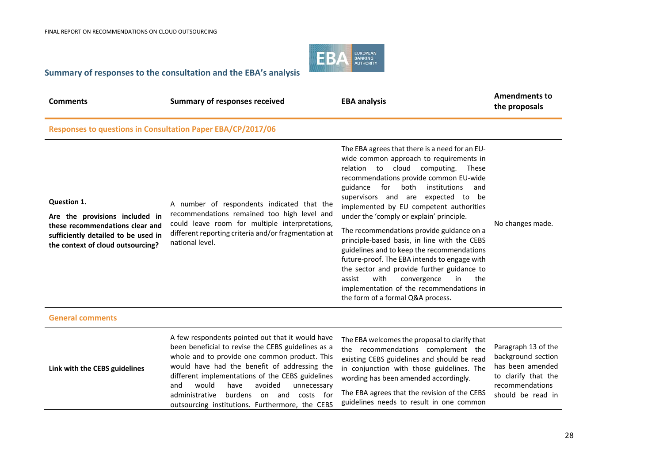

### **Summary of responses to the consultation and the EBA's analysis**

| <b>Comments</b>                                                                                                                                              | <b>Summary of responses received</b>                                                                                                                                                                                                                                                                                                                                                                              | <b>EBA analysis</b>                                                                                                                                                                                                                                                                                                                                                                                                                                                                                                                                                                                                                                                                                                              | <b>Amendments to</b><br>the proposals                                                                                        |
|--------------------------------------------------------------------------------------------------------------------------------------------------------------|-------------------------------------------------------------------------------------------------------------------------------------------------------------------------------------------------------------------------------------------------------------------------------------------------------------------------------------------------------------------------------------------------------------------|----------------------------------------------------------------------------------------------------------------------------------------------------------------------------------------------------------------------------------------------------------------------------------------------------------------------------------------------------------------------------------------------------------------------------------------------------------------------------------------------------------------------------------------------------------------------------------------------------------------------------------------------------------------------------------------------------------------------------------|------------------------------------------------------------------------------------------------------------------------------|
| Responses to questions in Consultation Paper EBA/CP/2017/06                                                                                                  |                                                                                                                                                                                                                                                                                                                                                                                                                   |                                                                                                                                                                                                                                                                                                                                                                                                                                                                                                                                                                                                                                                                                                                                  |                                                                                                                              |
| Question 1.<br>Are the provisions included in<br>these recommendations clear and<br>sufficiently detailed to be used in<br>the context of cloud outsourcing? | A number of respondents indicated that the<br>recommendations remained too high level and<br>could leave room for multiple interpretations,<br>different reporting criteria and/or fragmentation at<br>national level.                                                                                                                                                                                            | The EBA agrees that there is a need for an EU-<br>wide common approach to requirements in<br>relation to cloud computing. These<br>recommendations provide common EU-wide<br>for<br>both<br>guidance<br>institutions<br>and<br>supervisors and are expected to be<br>implemented by EU competent authorities<br>under the 'comply or explain' principle.<br>The recommendations provide guidance on a<br>principle-based basis, in line with the CEBS<br>guidelines and to keep the recommendations<br>future-proof. The EBA intends to engage with<br>the sector and provide further guidance to<br>with<br>in<br>the<br>assist<br>convergence<br>implementation of the recommendations in<br>the form of a formal Q&A process. | No changes made.                                                                                                             |
| <b>General comments</b>                                                                                                                                      |                                                                                                                                                                                                                                                                                                                                                                                                                   |                                                                                                                                                                                                                                                                                                                                                                                                                                                                                                                                                                                                                                                                                                                                  |                                                                                                                              |
| Link with the CEBS guidelines                                                                                                                                | A few respondents pointed out that it would have<br>been beneficial to revise the CEBS guidelines as a<br>whole and to provide one common product. This<br>would have had the benefit of addressing the<br>different implementations of the CEBS guidelines<br>would<br>avoided<br>and<br>have<br>unnecessary<br>administrative<br>burdens on and<br>costs for<br>outsourcing institutions. Furthermore, the CEBS | The EBA welcomes the proposal to clarify that<br>the recommendations complement the<br>existing CEBS guidelines and should be read<br>in conjunction with those guidelines. The<br>wording has been amended accordingly.<br>The EBA agrees that the revision of the CEBS<br>guidelines needs to result in one common                                                                                                                                                                                                                                                                                                                                                                                                             | Paragraph 13 of the<br>background section<br>has been amended<br>to clarify that the<br>recommendations<br>should be read in |
|                                                                                                                                                              |                                                                                                                                                                                                                                                                                                                                                                                                                   |                                                                                                                                                                                                                                                                                                                                                                                                                                                                                                                                                                                                                                                                                                                                  |                                                                                                                              |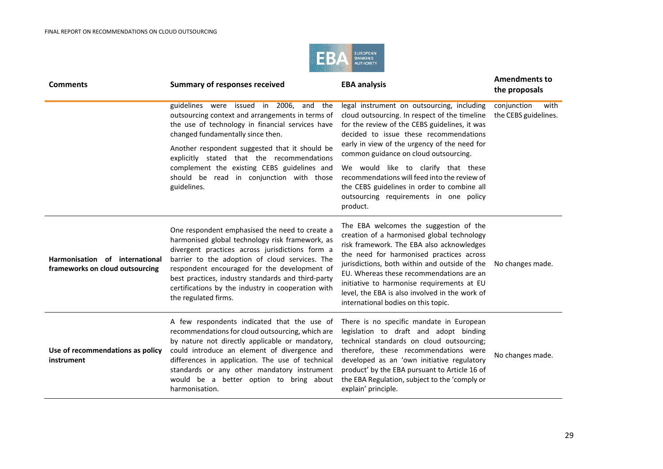

| <b>Comments</b>                                                   | <b>Summary of responses received</b>                                                                                                                                                                                                                                                                                                                                                       | <b>EBA analysis</b>                                                                                                                                                                                                                                                                                                                                                                                               | <b>Amendments to</b><br>the proposals       |
|-------------------------------------------------------------------|--------------------------------------------------------------------------------------------------------------------------------------------------------------------------------------------------------------------------------------------------------------------------------------------------------------------------------------------------------------------------------------------|-------------------------------------------------------------------------------------------------------------------------------------------------------------------------------------------------------------------------------------------------------------------------------------------------------------------------------------------------------------------------------------------------------------------|---------------------------------------------|
|                                                                   | guidelines were issued in 2006, and the<br>outsourcing context and arrangements in terms of<br>the use of technology in financial services have<br>changed fundamentally since then.                                                                                                                                                                                                       | legal instrument on outsourcing, including<br>cloud outsourcing. In respect of the timeline<br>for the review of the CEBS guidelines, it was<br>decided to issue these recommendations                                                                                                                                                                                                                            | conjunction<br>with<br>the CEBS guidelines. |
|                                                                   | Another respondent suggested that it should be<br>explicitly stated that the recommendations                                                                                                                                                                                                                                                                                               | early in view of the urgency of the need for<br>common guidance on cloud outsourcing.                                                                                                                                                                                                                                                                                                                             |                                             |
|                                                                   | complement the existing CEBS guidelines and<br>should be read in conjunction with those<br>guidelines.                                                                                                                                                                                                                                                                                     | We would like to clarify that these<br>recommendations will feed into the review of<br>the CEBS guidelines in order to combine all<br>outsourcing requirements in one policy<br>product.                                                                                                                                                                                                                          |                                             |
| Harmonisation of international<br>frameworks on cloud outsourcing | One respondent emphasised the need to create a<br>harmonised global technology risk framework, as<br>divergent practices across jurisdictions form a<br>barrier to the adoption of cloud services. The<br>respondent encouraged for the development of<br>best practices, industry standards and third-party<br>certifications by the industry in cooperation with<br>the regulated firms. | The EBA welcomes the suggestion of the<br>creation of a harmonised global technology<br>risk framework. The EBA also acknowledges<br>the need for harmonised practices across<br>jurisdictions, both within and outside of the<br>EU. Whereas these recommendations are an<br>initiative to harmonise requirements at EU<br>level, the EBA is also involved in the work of<br>international bodies on this topic. | No changes made.                            |
| Use of recommendations as policy<br>instrument                    | A few respondents indicated that the use of<br>recommendations for cloud outsourcing, which are<br>by nature not directly applicable or mandatory,<br>could introduce an element of divergence and<br>differences in application. The use of technical<br>standards or any other mandatory instrument<br>would be a better option to bring about<br>harmonisation.                         | There is no specific mandate in European<br>legislation to draft and adopt binding<br>technical standards on cloud outsourcing;<br>therefore, these recommendations were<br>developed as an 'own initiative regulatory<br>product' by the EBA pursuant to Article 16 of<br>the EBA Regulation, subject to the 'comply or<br>explain' principle.                                                                   | No changes made.                            |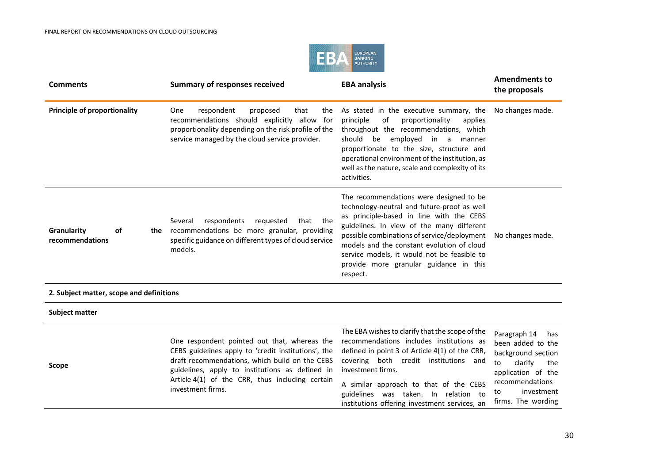

| <b>Comments</b>                             | <b>Summary of responses received</b>                                                                                                                                                                                                                                             | <b>EBA analysis</b>                                                                                                                                                                                                                                                                                                                                                               | <b>Amendments to</b><br>the proposals                                                                                                               |
|---------------------------------------------|----------------------------------------------------------------------------------------------------------------------------------------------------------------------------------------------------------------------------------------------------------------------------------|-----------------------------------------------------------------------------------------------------------------------------------------------------------------------------------------------------------------------------------------------------------------------------------------------------------------------------------------------------------------------------------|-----------------------------------------------------------------------------------------------------------------------------------------------------|
| <b>Principle of proportionality</b>         | One<br>respondent<br>proposed<br>that<br>the<br>recommendations should explicitly allow for<br>proportionality depending on the risk profile of the<br>service managed by the cloud service provider.                                                                            | As stated in the executive summary, the<br>of<br>proportionality<br>principle<br>applies<br>throughout the recommendations, which<br>should be employed in a<br>manner<br>proportionate to the size, structure and<br>operational environment of the institution, as<br>well as the nature, scale and complexity of its<br>activities.                                            | No changes made.                                                                                                                                    |
| Granularity<br><b>of</b><br>recommendations | respondents<br>requested<br>the<br>Several<br>that<br>the recommendations be more granular, providing<br>specific guidance on different types of cloud service<br>models.                                                                                                        | The recommendations were designed to be<br>technology-neutral and future-proof as well<br>as principle-based in line with the CEBS<br>guidelines. In view of the many different<br>possible combinations of service/deployment<br>models and the constant evolution of cloud<br>service models, it would not be feasible to<br>provide more granular guidance in this<br>respect. | No changes made.                                                                                                                                    |
| 2. Subject matter, scope and definitions    |                                                                                                                                                                                                                                                                                  |                                                                                                                                                                                                                                                                                                                                                                                   |                                                                                                                                                     |
| <b>Subject matter</b>                       |                                                                                                                                                                                                                                                                                  |                                                                                                                                                                                                                                                                                                                                                                                   |                                                                                                                                                     |
| <b>Scope</b>                                | One respondent pointed out that, whereas the<br>CEBS guidelines apply to 'credit institutions', the<br>draft recommendations, which build on the CEBS<br>guidelines, apply to institutions as defined in<br>Article 4(1) of the CRR, thus including certain<br>investment firms. | The EBA wishes to clarify that the scope of the<br>recommendations includes institutions as<br>defined in point 3 of Article 4(1) of the CRR,<br>covering both credit institutions and<br>investment firms.<br>A similar approach to that of the CEBS<br>guidelines was taken. In relation to                                                                                     | Paragraph 14<br>has<br>been added to the<br>background section<br>clarify<br>to<br>the<br>application of the<br>recommendations<br>investment<br>to |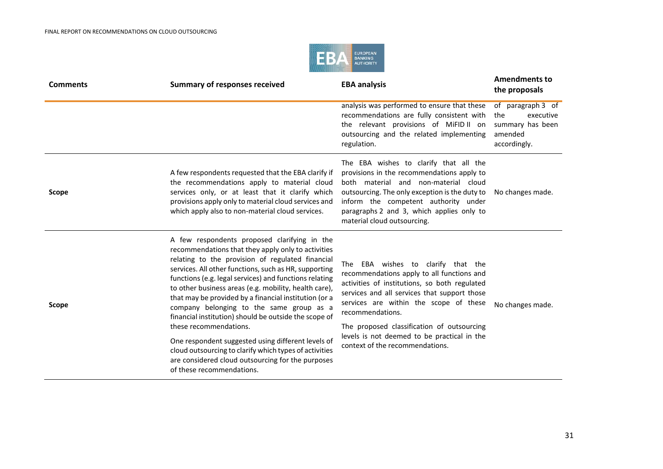

| <b>Comments</b> | <b>Summary of responses received</b>                                                                                                                                                                                                                                                                                                                                                                                                                                                                                                                                                                                                                                                                                         | <b>EBA analysis</b>                                                                                                                                                                                                                                                                                                                                                             | <b>Amendments to</b><br>the proposals                                                |
|-----------------|------------------------------------------------------------------------------------------------------------------------------------------------------------------------------------------------------------------------------------------------------------------------------------------------------------------------------------------------------------------------------------------------------------------------------------------------------------------------------------------------------------------------------------------------------------------------------------------------------------------------------------------------------------------------------------------------------------------------------|---------------------------------------------------------------------------------------------------------------------------------------------------------------------------------------------------------------------------------------------------------------------------------------------------------------------------------------------------------------------------------|--------------------------------------------------------------------------------------|
|                 |                                                                                                                                                                                                                                                                                                                                                                                                                                                                                                                                                                                                                                                                                                                              | analysis was performed to ensure that these<br>recommendations are fully consistent with<br>the relevant provisions of MiFID II on<br>outsourcing and the related implementing<br>regulation.                                                                                                                                                                                   | of paragraph 3 of<br>executive<br>the<br>summary has been<br>amended<br>accordingly. |
| Scope           | A few respondents requested that the EBA clarify if<br>the recommendations apply to material cloud<br>services only, or at least that it clarify which<br>provisions apply only to material cloud services and<br>which apply also to non-material cloud services.                                                                                                                                                                                                                                                                                                                                                                                                                                                           | The EBA wishes to clarify that all the<br>provisions in the recommendations apply to<br>both material and non-material cloud<br>outsourcing. The only exception is the duty to<br>inform the competent authority under<br>paragraphs 2 and 3, which applies only to<br>material cloud outsourcing.                                                                              | No changes made.                                                                     |
| Scope           | A few respondents proposed clarifying in the<br>recommendations that they apply only to activities<br>relating to the provision of regulated financial<br>services. All other functions, such as HR, supporting<br>functions (e.g. legal services) and functions relating<br>to other business areas (e.g. mobility, health care),<br>that may be provided by a financial institution (or a<br>company belonging to the same group as a<br>financial institution) should be outside the scope of<br>these recommendations.<br>One respondent suggested using different levels of<br>cloud outsourcing to clarify which types of activities<br>are considered cloud outsourcing for the purposes<br>of these recommendations. | The EBA wishes to clarify that the<br>recommendations apply to all functions and<br>activities of institutions, so both regulated<br>services and all services that support those<br>services are within the scope of these<br>recommendations.<br>The proposed classification of outsourcing<br>levels is not deemed to be practical in the<br>context of the recommendations. | No changes made.                                                                     |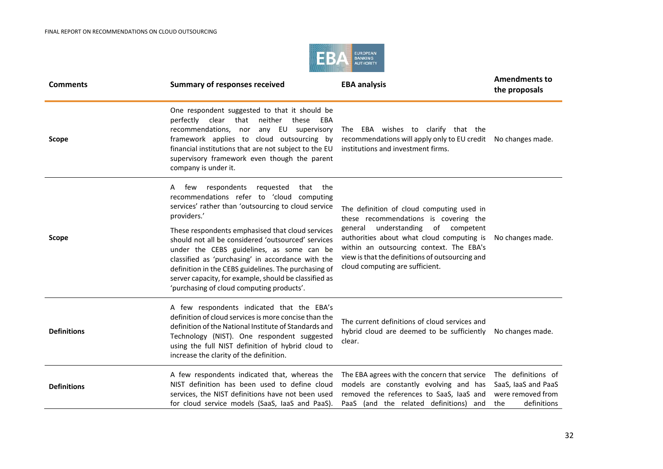

| <b>Comments</b>    | <b>Summary of responses received</b>                                                                                                                                                                                                                                                                                                                                                                                                                                                                                                    | <b>EBA analysis</b>                                                                                                                                                                                                                                                                                        | <b>Amendments to</b><br>the proposals                                                |
|--------------------|-----------------------------------------------------------------------------------------------------------------------------------------------------------------------------------------------------------------------------------------------------------------------------------------------------------------------------------------------------------------------------------------------------------------------------------------------------------------------------------------------------------------------------------------|------------------------------------------------------------------------------------------------------------------------------------------------------------------------------------------------------------------------------------------------------------------------------------------------------------|--------------------------------------------------------------------------------------|
| <b>Scope</b>       | One respondent suggested to that it should be<br>neither<br>perfectly<br>clear<br>that<br>these<br>EBA<br>recommendations, nor<br>any EU supervisory<br>framework applies to cloud outsourcing by<br>financial institutions that are not subject to the EU<br>supervisory framework even though the parent<br>company is under it.                                                                                                                                                                                                      | The EBA wishes to clarify that the<br>recommendations will apply only to EU credit<br>institutions and investment firms.                                                                                                                                                                                   | No changes made.                                                                     |
| <b>Scope</b>       | few respondents requested<br>that the<br>A<br>recommendations refer to 'cloud computing<br>services' rather than 'outsourcing to cloud service<br>providers.'<br>These respondents emphasised that cloud services<br>should not all be considered 'outsourced' services<br>under the CEBS guidelines, as some can be<br>classified as 'purchasing' in accordance with the<br>definition in the CEBS guidelines. The purchasing of<br>server capacity, for example, should be classified as<br>'purchasing of cloud computing products'. | The definition of cloud computing used in<br>these recommendations is covering the<br>understanding of competent<br>general<br>authorities about what cloud computing is<br>within an outsourcing context. The EBA's<br>view is that the definitions of outsourcing and<br>cloud computing are sufficient. | No changes made.                                                                     |
| <b>Definitions</b> | A few respondents indicated that the EBA's<br>definition of cloud services is more concise than the<br>definition of the National Institute of Standards and<br>Technology (NIST). One respondent suggested<br>using the full NIST definition of hybrid cloud to<br>increase the clarity of the definition.                                                                                                                                                                                                                             | The current definitions of cloud services and<br>hybrid cloud are deemed to be sufficiently<br>clear.                                                                                                                                                                                                      | No changes made.                                                                     |
| <b>Definitions</b> | A few respondents indicated that, whereas the<br>NIST definition has been used to define cloud<br>services, the NIST definitions have not been used<br>for cloud service models (SaaS, laaS and PaaS).                                                                                                                                                                                                                                                                                                                                  | The EBA agrees with the concern that service<br>models are constantly evolving and has<br>removed the references to SaaS, laaS and<br>PaaS (and the related definitions) and                                                                                                                               | The definitions of<br>SaaS, laaS and PaaS<br>were removed from<br>definitions<br>the |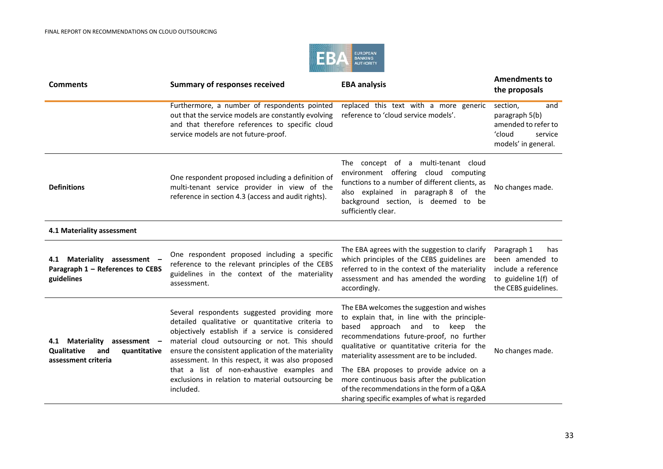

| <b>Comments</b>                                                                              | <b>Summary of responses received</b>                                                                                                                                                                                                                                                                                | <b>EBA analysis</b>                                                                                                                                                                                                                                                          | <b>Amendments to</b><br>the proposals                                                                        |
|----------------------------------------------------------------------------------------------|---------------------------------------------------------------------------------------------------------------------------------------------------------------------------------------------------------------------------------------------------------------------------------------------------------------------|------------------------------------------------------------------------------------------------------------------------------------------------------------------------------------------------------------------------------------------------------------------------------|--------------------------------------------------------------------------------------------------------------|
|                                                                                              | Furthermore, a number of respondents pointed<br>out that the service models are constantly evolving<br>and that therefore references to specific cloud<br>service models are not future-proof.                                                                                                                      | replaced this text with a more generic<br>reference to 'cloud service models'.                                                                                                                                                                                               | section,<br>and<br>paragraph 5(b)<br>amended to refer to<br>'cloud<br>service<br>models' in general.         |
| <b>Definitions</b>                                                                           | One respondent proposed including a definition of<br>multi-tenant service provider in view of the<br>reference in section 4.3 (access and audit rights).                                                                                                                                                            | The concept of a multi-tenant cloud<br>environment offering cloud computing<br>functions to a number of different clients, as<br>also explained in paragraph 8 of the<br>background section, is deemed to be<br>sufficiently clear.                                          | No changes made.                                                                                             |
| 4.1 Materiality assessment                                                                   |                                                                                                                                                                                                                                                                                                                     |                                                                                                                                                                                                                                                                              |                                                                                                              |
| Materiality assessment -<br>4.1<br>Paragraph 1 - References to CEBS<br>guidelines            | One respondent proposed including a specific<br>reference to the relevant principles of the CEBS<br>guidelines in the context of the materiality<br>assessment.                                                                                                                                                     | The EBA agrees with the suggestion to clarify<br>which principles of the CEBS guidelines are<br>referred to in the context of the materiality<br>assessment and has amended the wording<br>accordingly.                                                                      | Paragraph 1<br>has<br>been amended to<br>include a reference<br>to guideline 1(f) of<br>the CEBS guidelines. |
| Materiality assessment -<br>4.1<br>Qualitative<br>and<br>quantitative<br>assessment criteria | Several respondents suggested providing more<br>detailed qualitative or quantitative criteria to<br>objectively establish if a service is considered<br>material cloud outsourcing or not. This should<br>ensure the consistent application of the materiality<br>assessment. In this respect, it was also proposed | The EBA welcomes the suggestion and wishes<br>to explain that, in line with the principle-<br>based<br>approach and to<br>keep the<br>recommendations future-proof, no further<br>qualitative or quantitative criteria for the<br>materiality assessment are to be included. | No changes made.                                                                                             |
|                                                                                              | that a list of non-exhaustive examples and<br>exclusions in relation to material outsourcing be<br>included.                                                                                                                                                                                                        | The EBA proposes to provide advice on a<br>more continuous basis after the publication<br>of the recommendations in the form of a Q&A<br>sharing specific examples of what is regarded                                                                                       |                                                                                                              |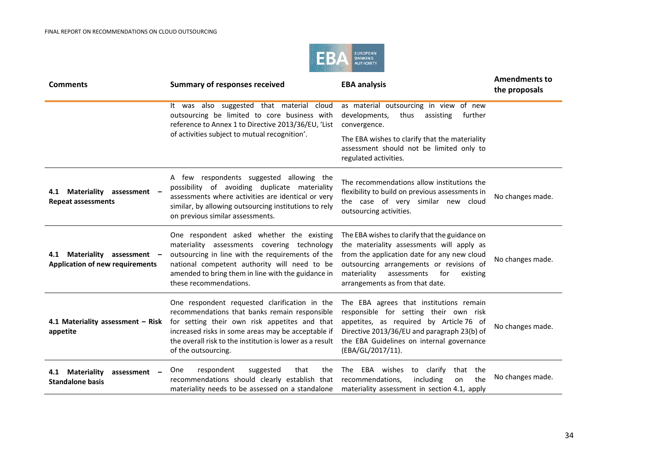

| <b>Comments</b>                                                                | <b>Summary of responses received</b>                                                                                                                                                                                                                                                     | <b>EBA analysis</b>                                                                                                                                                                                                                                                        | <b>Amendments to</b><br>the proposals |
|--------------------------------------------------------------------------------|------------------------------------------------------------------------------------------------------------------------------------------------------------------------------------------------------------------------------------------------------------------------------------------|----------------------------------------------------------------------------------------------------------------------------------------------------------------------------------------------------------------------------------------------------------------------------|---------------------------------------|
|                                                                                | It was also suggested that material cloud<br>outsourcing be limited to core business with<br>reference to Annex 1 to Directive 2013/36/EU, 'List                                                                                                                                         | as material outsourcing in view of new<br>developments,<br>thus<br>assisting<br>further<br>convergence.                                                                                                                                                                    |                                       |
|                                                                                | of activities subject to mutual recognition'.                                                                                                                                                                                                                                            | The EBA wishes to clarify that the materiality<br>assessment should not be limited only to<br>regulated activities.                                                                                                                                                        |                                       |
| Materiality assessment<br>4.1<br><b>Repeat assessments</b>                     | A few respondents suggested allowing the<br>possibility of avoiding duplicate materiality<br>assessments where activities are identical or very<br>similar, by allowing outsourcing institutions to rely<br>on previous similar assessments.                                             | The recommendations allow institutions the<br>flexibility to build on previous assessments in<br>the case of very similar new cloud<br>outsourcing activities.                                                                                                             | No changes made.                      |
| Materiality<br>assessment $-$<br>4.1<br><b>Application of new requirements</b> | One respondent asked whether the existing<br>materiality assessments covering technology<br>outsourcing in line with the requirements of the<br>national competent authority will need to be<br>amended to bring them in line with the guidance in<br>these recommendations.             | The EBA wishes to clarify that the guidance on<br>the materiality assessments will apply as<br>from the application date for any new cloud<br>outsourcing arrangements or revisions of<br>materiality<br>assessments<br>for<br>existing<br>arrangements as from that date. | No changes made.                      |
| 4.1 Materiality assessment - Risk<br>appetite                                  | One respondent requested clarification in the<br>recommendations that banks remain responsible<br>for setting their own risk appetites and that<br>increased risks in some areas may be acceptable if<br>the overall risk to the institution is lower as a result<br>of the outsourcing. | The EBA agrees that institutions remain<br>responsible for setting their own risk<br>appetites, as required by Article 76 of<br>Directive 2013/36/EU and paragraph 23(b) of<br>the EBA Guidelines on internal governance<br>(EBA/GL/2017/11).                              | No changes made.                      |
| <b>Materiality</b><br>4.1<br>assessment<br><b>Standalone basis</b>             | respondent<br>suggested<br>that<br>the<br>One<br>recommendations should clearly establish that<br>materiality needs to be assessed on a standalone                                                                                                                                       | The EBA wishes<br>to clarify<br>that the<br>recommendations,<br>including<br>the<br>on<br>materiality assessment in section 4.1, apply                                                                                                                                     | No changes made.                      |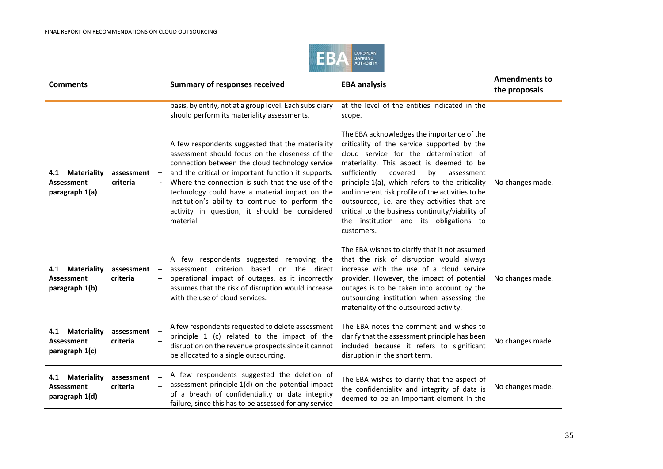

| <b>Comments</b>                                           |                        | <b>Summary of responses received</b>                                                                                                                                                                                                                                                                                                                                                                                                  | <b>EBA analysis</b>                                                                                                                                                                                                                                                                                                                                                                                                                                                                                 | <b>Amendments to</b><br>the proposals |
|-----------------------------------------------------------|------------------------|---------------------------------------------------------------------------------------------------------------------------------------------------------------------------------------------------------------------------------------------------------------------------------------------------------------------------------------------------------------------------------------------------------------------------------------|-----------------------------------------------------------------------------------------------------------------------------------------------------------------------------------------------------------------------------------------------------------------------------------------------------------------------------------------------------------------------------------------------------------------------------------------------------------------------------------------------------|---------------------------------------|
|                                                           |                        | basis, by entity, not at a group level. Each subsidiary<br>should perform its materiality assessments.                                                                                                                                                                                                                                                                                                                                | at the level of the entities indicated in the<br>scope.                                                                                                                                                                                                                                                                                                                                                                                                                                             |                                       |
| 4.1 Materiality<br><b>Assessment</b><br>paragraph 1(a)    | assessment<br>criteria | A few respondents suggested that the materiality<br>assessment should focus on the closeness of the<br>connection between the cloud technology service<br>and the critical or important function it supports.<br>Where the connection is such that the use of the<br>technology could have a material impact on the<br>institution's ability to continue to perform the<br>activity in question, it should be considered<br>material. | The EBA acknowledges the importance of the<br>criticality of the service supported by the<br>cloud service for the determination of<br>materiality. This aspect is deemed to be<br>sufficiently<br>covered<br>by<br>assessment<br>principle 1(a), which refers to the criticality<br>and inherent risk profile of the activities to be<br>outsourced, i.e. are they activities that are<br>critical to the business continuity/viability of<br>the institution and its obligations to<br>customers. | No changes made.                      |
| 4.1 Materiality<br>Assessment<br>paragraph 1(b)           | assessment<br>criteria | A few respondents suggested removing the<br>assessment criterion based on the direct<br>operational impact of outages, as it incorrectly<br>assumes that the risk of disruption would increase<br>with the use of cloud services.                                                                                                                                                                                                     | The EBA wishes to clarify that it not assumed<br>that the risk of disruption would always<br>increase with the use of a cloud service<br>provider. However, the impact of potential<br>outages is to be taken into account by the<br>outsourcing institution when assessing the<br>materiality of the outsourced activity.                                                                                                                                                                          | No changes made.                      |
| 4.1 Materiality<br><b>Assessment</b><br>paragraph 1(c)    | assessment<br>criteria | A few respondents requested to delete assessment<br>principle 1 (c) related to the impact of the<br>disruption on the revenue prospects since it cannot<br>be allocated to a single outsourcing.                                                                                                                                                                                                                                      | The EBA notes the comment and wishes to<br>clarify that the assessment principle has been<br>included because it refers to significant<br>disruption in the short term.                                                                                                                                                                                                                                                                                                                             | No changes made.                      |
| <b>Materiality</b><br>4.1<br>Assessment<br>paragraph 1(d) | assessment<br>criteria | A few respondents suggested the deletion of<br>assessment principle 1(d) on the potential impact<br>of a breach of confidentiality or data integrity<br>failure, since this has to be assessed for any service                                                                                                                                                                                                                        | The EBA wishes to clarify that the aspect of<br>the confidentiality and integrity of data is<br>deemed to be an important element in the                                                                                                                                                                                                                                                                                                                                                            | No changes made.                      |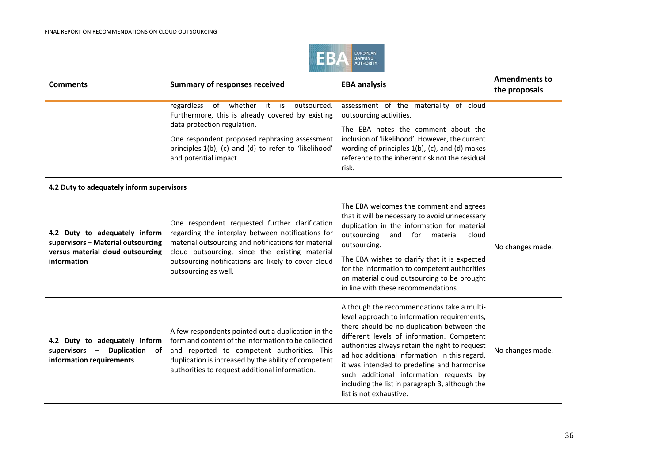

| <b>Comments</b>                                                                                                         | <b>Summary of responses received</b>                                                                                                                                                                                                                                                        | <b>EBA analysis</b>                                                                                                                                                                                                                                                                                                                                                                                                                                              | <b>Amendments to</b><br>the proposals |
|-------------------------------------------------------------------------------------------------------------------------|---------------------------------------------------------------------------------------------------------------------------------------------------------------------------------------------------------------------------------------------------------------------------------------------|------------------------------------------------------------------------------------------------------------------------------------------------------------------------------------------------------------------------------------------------------------------------------------------------------------------------------------------------------------------------------------------------------------------------------------------------------------------|---------------------------------------|
|                                                                                                                         | regardless of whether it is<br>outsourced.<br>Furthermore, this is already covered by existing                                                                                                                                                                                              | assessment of the materiality of cloud<br>outsourcing activities.                                                                                                                                                                                                                                                                                                                                                                                                |                                       |
|                                                                                                                         | data protection regulation.<br>One respondent proposed rephrasing assessment<br>principles 1(b), (c) and (d) to refer to 'likelihood'<br>and potential impact.                                                                                                                              | The EBA notes the comment about the<br>inclusion of 'likelihood'. However, the current<br>wording of principles 1(b), (c), and (d) makes<br>reference to the inherent risk not the residual<br>risk.                                                                                                                                                                                                                                                             |                                       |
| 4.2 Duty to adequately inform supervisors                                                                               |                                                                                                                                                                                                                                                                                             |                                                                                                                                                                                                                                                                                                                                                                                                                                                                  |                                       |
| 4.2 Duty to adequately inform<br>supervisors - Material outsourcing<br>versus material cloud outsourcing<br>information | One respondent requested further clarification<br>regarding the interplay between notifications for<br>material outsourcing and notifications for material<br>cloud outsourcing, since the existing material<br>outsourcing notifications are likely to cover cloud<br>outsourcing as well. | The EBA welcomes the comment and agrees<br>that it will be necessary to avoid unnecessary<br>duplication in the information for material<br>outsourcing<br>and for material<br>cloud<br>outsourcing.<br>The EBA wishes to clarify that it is expected<br>for the information to competent authorities<br>on material cloud outsourcing to be brought<br>in line with these recommendations.                                                                      | No changes made.                      |
| 4.2 Duty to adequately inform<br>supervisors -<br>Duplication of<br>information requirements                            | A few respondents pointed out a duplication in the<br>form and content of the information to be collected<br>and reported to competent authorities. This<br>duplication is increased by the ability of competent<br>authorities to request additional information.                          | Although the recommendations take a multi-<br>level approach to information requirements,<br>there should be no duplication between the<br>different levels of information. Competent<br>authorities always retain the right to request<br>ad hoc additional information. In this regard,<br>it was intended to predefine and harmonise<br>such additional information requests by<br>including the list in paragraph 3, although the<br>list is not exhaustive. | No changes made.                      |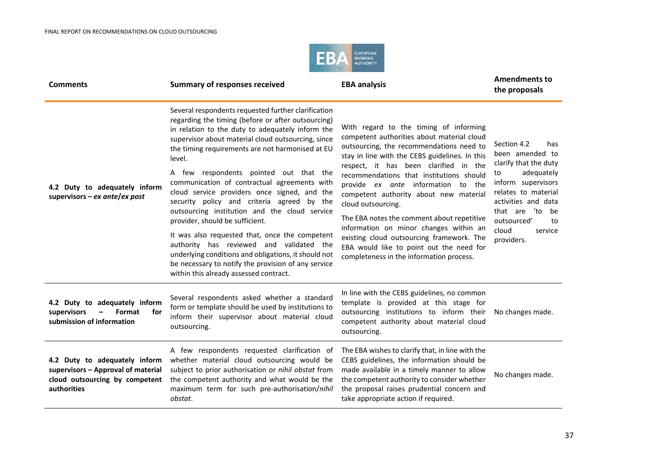

| <b>Comments</b>                                                                                                             | <b>Summary of responses received</b>                                                                                                                                                                                                                                                                                                                                                                                                                                                                                                                                                                                                                                                                                                                                                                                 | <b>EBA analysis</b>                                                                                                                                                                                                                                                                                                                                                                                                                                                                                                                                                                                        | <b>Amendments to</b><br>the proposals                                                                                                                                                                                               |
|-----------------------------------------------------------------------------------------------------------------------------|----------------------------------------------------------------------------------------------------------------------------------------------------------------------------------------------------------------------------------------------------------------------------------------------------------------------------------------------------------------------------------------------------------------------------------------------------------------------------------------------------------------------------------------------------------------------------------------------------------------------------------------------------------------------------------------------------------------------------------------------------------------------------------------------------------------------|------------------------------------------------------------------------------------------------------------------------------------------------------------------------------------------------------------------------------------------------------------------------------------------------------------------------------------------------------------------------------------------------------------------------------------------------------------------------------------------------------------------------------------------------------------------------------------------------------------|-------------------------------------------------------------------------------------------------------------------------------------------------------------------------------------------------------------------------------------|
| 4.2 Duty to adequately inform<br>supervisors – ex ante/ex post                                                              | Several respondents requested further clarification<br>regarding the timing (before or after outsourcing)<br>in relation to the duty to adequately inform the<br>supervisor about material cloud outsourcing, since<br>the timing requirements are not harmonised at EU<br>level.<br>A few respondents pointed out that the<br>communication of contractual agreements with<br>cloud service providers once signed, and the<br>security policy and criteria agreed by the<br>outsourcing institution and the cloud service<br>provider, should be sufficient.<br>It was also requested that, once the competent<br>authority has reviewed and validated the<br>underlying conditions and obligations, it should not<br>be necessary to notify the provision of any service<br>within this already assessed contract. | With regard to the timing of informing<br>competent authorities about material cloud<br>outsourcing, the recommendations need to<br>stay in line with the CEBS guidelines. In this<br>respect, it has been clarified in the<br>recommendations that institutions should<br>provide ex ante information to the<br>competent authority about new material<br>cloud outsourcing.<br>The EBA notes the comment about repetitive<br>information on minor changes within an<br>existing cloud outsourcing framework. The<br>EBA would like to point out the need for<br>completeness in the information process. | Section 4.2<br>has<br>been amended to<br>clarify that the duty<br>adequately<br>to<br>inform supervisors<br>relates to material<br>activities and data<br>that are 'to<br>be<br>outsourced'<br>to<br>cloud<br>service<br>providers. |
| 4.2 Duty to adequately inform<br>supervisors<br>Format<br>for<br>submission of information                                  | Several respondents asked whether a standard<br>form or template should be used by institutions to<br>inform their supervisor about material cloud<br>outsourcing.                                                                                                                                                                                                                                                                                                                                                                                                                                                                                                                                                                                                                                                   | In line with the CEBS guidelines, no common<br>template is provided at this stage for<br>outsourcing institutions to inform their<br>competent authority about material cloud<br>outsourcing.                                                                                                                                                                                                                                                                                                                                                                                                              | No changes made.                                                                                                                                                                                                                    |
| 4.2 Duty to adequately inform<br>supervisors - Approval of material<br>cloud outsourcing by competent<br><b>authorities</b> | A few respondents requested clarification of<br>whether material cloud outsourcing would be<br>subject to prior authorisation or nihil obstat from<br>the competent authority and what would be the<br>maximum term for such pre-authorisation/nihil<br>obstat.                                                                                                                                                                                                                                                                                                                                                                                                                                                                                                                                                      | The EBA wishes to clarify that, in line with the<br>CEBS guidelines, the information should be<br>made available in a timely manner to allow<br>the competent authority to consider whether<br>the proposal raises prudential concern and<br>take appropriate action if required.                                                                                                                                                                                                                                                                                                                          | No changes made.                                                                                                                                                                                                                    |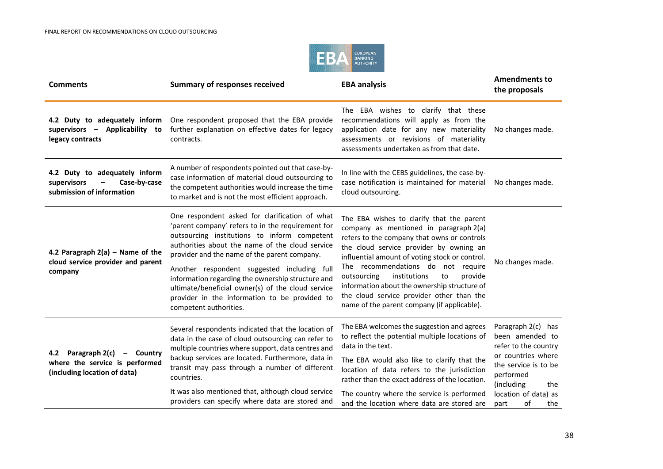

| <b>Comments</b>                                                                                   | <b>Summary of responses received</b>                                                                                                                                                                                                                                                                                                                                                                                                                                                       | <b>EBA analysis</b>                                                                                                                                                                                                                                                                                                                                                                                                                                               | <b>Amendments to</b><br>the proposals                                                                                                                                                      |
|---------------------------------------------------------------------------------------------------|--------------------------------------------------------------------------------------------------------------------------------------------------------------------------------------------------------------------------------------------------------------------------------------------------------------------------------------------------------------------------------------------------------------------------------------------------------------------------------------------|-------------------------------------------------------------------------------------------------------------------------------------------------------------------------------------------------------------------------------------------------------------------------------------------------------------------------------------------------------------------------------------------------------------------------------------------------------------------|--------------------------------------------------------------------------------------------------------------------------------------------------------------------------------------------|
| 4.2 Duty to adequately inform<br>supervisors - Applicability to<br>legacy contracts               | One respondent proposed that the EBA provide<br>further explanation on effective dates for legacy<br>contracts.                                                                                                                                                                                                                                                                                                                                                                            | The EBA wishes to clarify that these<br>recommendations will apply as from the<br>application date for any new materiality<br>assessments or revisions of materiality<br>assessments undertaken as from that date.                                                                                                                                                                                                                                                | No changes made.                                                                                                                                                                           |
| 4.2 Duty to adequately inform<br>Case-by-case<br>supervisors<br>submission of information         | A number of respondents pointed out that case-by-<br>case information of material cloud outsourcing to<br>the competent authorities would increase the time<br>to market and is not the most efficient approach.                                                                                                                                                                                                                                                                           | In line with the CEBS guidelines, the case-by-<br>case notification is maintained for material<br>cloud outsourcing.                                                                                                                                                                                                                                                                                                                                              | No changes made.                                                                                                                                                                           |
| 4.2 Paragraph $2(a)$ – Name of the<br>cloud service provider and parent<br>company                | One respondent asked for clarification of what<br>'parent company' refers to in the requirement for<br>outsourcing institutions to inform competent<br>authorities about the name of the cloud service<br>provider and the name of the parent company.<br>Another respondent suggested including full<br>information regarding the ownership structure and<br>ultimate/beneficial owner(s) of the cloud service<br>provider in the information to be provided to<br>competent authorities. | The EBA wishes to clarify that the parent<br>company as mentioned in paragraph 2(a)<br>refers to the company that owns or controls<br>the cloud service provider by owning an<br>influential amount of voting stock or control.<br>The recommendations do not require<br>institutions<br>provide<br>outsourcing<br>to<br>information about the ownership structure of<br>the cloud service provider other than the<br>name of the parent company (if applicable). | No changes made.                                                                                                                                                                           |
| 4.2 Paragraph 2(c)<br>- Country<br>where the service is performed<br>(including location of data) | Several respondents indicated that the location of<br>data in the case of cloud outsourcing can refer to<br>multiple countries where support, data centres and<br>backup services are located. Furthermore, data in<br>transit may pass through a number of different<br>countries.<br>It was also mentioned that, although cloud service<br>providers can specify where data are stored and                                                                                               | The EBA welcomes the suggestion and agrees<br>to reflect the potential multiple locations of<br>data in the text.<br>The EBA would also like to clarify that the<br>location of data refers to the jurisdiction<br>rather than the exact address of the location.<br>The country where the service is performed<br>and the location where data are stored are                                                                                                     | Paragraph 2(c) has<br>been amended to<br>refer to the country<br>or countries where<br>the service is to be<br>performed<br>(including<br>the<br>location of data) as<br>part<br>0f<br>the |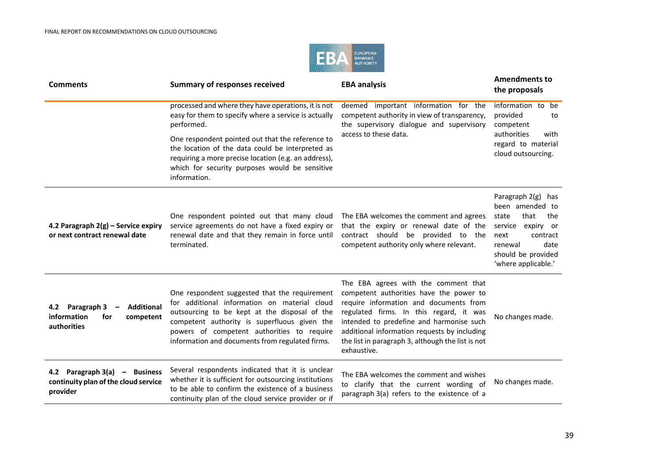

| <b>Comments</b>                                                                                                | <b>Summary of responses received</b>                                                                                                                                                                                                                                                            | <b>EBA analysis</b>                                                                                                                                                                                                                                                                                                                  | <b>Amendments to</b><br>the proposals                                                                                                                                     |
|----------------------------------------------------------------------------------------------------------------|-------------------------------------------------------------------------------------------------------------------------------------------------------------------------------------------------------------------------------------------------------------------------------------------------|--------------------------------------------------------------------------------------------------------------------------------------------------------------------------------------------------------------------------------------------------------------------------------------------------------------------------------------|---------------------------------------------------------------------------------------------------------------------------------------------------------------------------|
|                                                                                                                | processed and where they have operations, it is not<br>easy for them to specify where a service is actually<br>performed.                                                                                                                                                                       | deemed important information for the<br>competent authority in view of transparency,<br>the supervisory dialogue and supervisory<br>access to these data.                                                                                                                                                                            | information to be<br>provided<br>to<br>competent                                                                                                                          |
|                                                                                                                | One respondent pointed out that the reference to<br>the location of the data could be interpreted as<br>requiring a more precise location (e.g. an address),<br>which for security purposes would be sensitive<br>information.                                                                  |                                                                                                                                                                                                                                                                                                                                      | authorities<br>with<br>regard to material<br>cloud outsourcing.                                                                                                           |
| 4.2 Paragraph $2(g)$ – Service expiry<br>or next contract renewal date                                         | One respondent pointed out that many cloud<br>service agreements do not have a fixed expiry or<br>renewal date and that they remain in force until<br>terminated.                                                                                                                               | The EBA welcomes the comment and agrees<br>that the expiry or renewal date of the<br>contract should be provided to the<br>competent authority only where relevant.                                                                                                                                                                  | Paragraph 2(g) has<br>been amended to<br>that<br>state<br>the<br>service<br>expiry or<br>next<br>contract<br>date<br>renewal<br>should be provided<br>'where applicable.' |
| <b>Additional</b><br>4.2 Paragraph 3<br>information<br>for<br>competent<br>authorities                         | One respondent suggested that the requirement<br>for additional information on material cloud<br>outsourcing to be kept at the disposal of the<br>competent authority is superfluous given the<br>powers of competent authorities to require<br>information and documents from regulated firms. | The EBA agrees with the comment that<br>competent authorities have the power to<br>require information and documents from<br>regulated firms. In this regard, it was<br>intended to predefine and harmonise such<br>additional information requests by including<br>the list in paragraph 3, although the list is not<br>exhaustive. | No changes made.                                                                                                                                                          |
| 4.2 Paragraph 3(a)<br><b>Business</b><br>$\qquad \qquad -$<br>continuity plan of the cloud service<br>provider | Several respondents indicated that it is unclear<br>whether it is sufficient for outsourcing institutions<br>to be able to confirm the existence of a business<br>continuity plan of the cloud service provider or if                                                                           | The EBA welcomes the comment and wishes<br>to clarify that the current wording of<br>paragraph 3(a) refers to the existence of a                                                                                                                                                                                                     | No changes made.                                                                                                                                                          |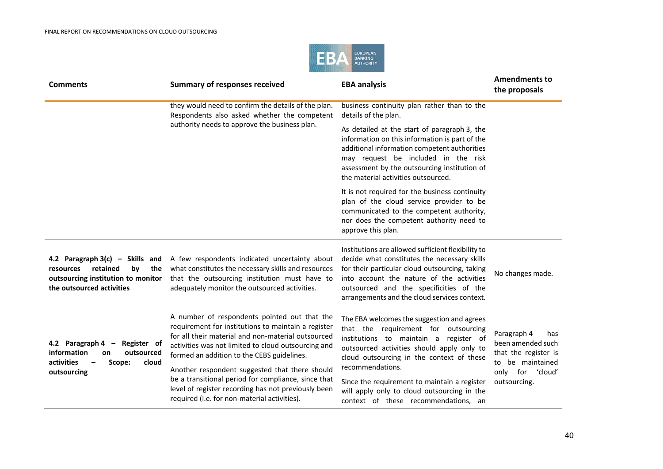

| <b>Comments</b>                                                                                                                            | <b>Summary of responses received</b>                                                                                                                                                                                                                                                                                                                                                                                                                                           | <b>EBA analysis</b>                                                                                                                                                                                                                                                                                                                                                                | <b>Amendments to</b><br>the proposals                                                                                   |
|--------------------------------------------------------------------------------------------------------------------------------------------|--------------------------------------------------------------------------------------------------------------------------------------------------------------------------------------------------------------------------------------------------------------------------------------------------------------------------------------------------------------------------------------------------------------------------------------------------------------------------------|------------------------------------------------------------------------------------------------------------------------------------------------------------------------------------------------------------------------------------------------------------------------------------------------------------------------------------------------------------------------------------|-------------------------------------------------------------------------------------------------------------------------|
|                                                                                                                                            | they would need to confirm the details of the plan.<br>Respondents also asked whether the competent<br>authority needs to approve the business plan.                                                                                                                                                                                                                                                                                                                           | business continuity plan rather than to the<br>details of the plan.                                                                                                                                                                                                                                                                                                                |                                                                                                                         |
|                                                                                                                                            |                                                                                                                                                                                                                                                                                                                                                                                                                                                                                | As detailed at the start of paragraph 3, the<br>information on this information is part of the<br>additional information competent authorities<br>may request be included in the risk<br>assessment by the outsourcing institution of<br>the material activities outsourced.                                                                                                       |                                                                                                                         |
|                                                                                                                                            |                                                                                                                                                                                                                                                                                                                                                                                                                                                                                | It is not required for the business continuity<br>plan of the cloud service provider to be<br>communicated to the competent authority,<br>nor does the competent authority need to<br>approve this plan.                                                                                                                                                                           |                                                                                                                         |
| 4.2 Paragraph $3(c)$ – Skills and<br>retained<br>bv<br>the<br>resources<br>outsourcing institution to monitor<br>the outsourced activities | A few respondents indicated uncertainty about<br>what constitutes the necessary skills and resources<br>that the outsourcing institution must have to<br>adequately monitor the outsourced activities.                                                                                                                                                                                                                                                                         | Institutions are allowed sufficient flexibility to<br>decide what constitutes the necessary skills<br>for their particular cloud outsourcing, taking<br>into account the nature of the activities<br>outsourced and the specificities of the<br>arrangements and the cloud services context.                                                                                       | No changes made.                                                                                                        |
| 4.2 Paragraph $4 -$<br>Register of<br>information<br>outsourced<br>on<br>activities<br>cloud<br>Scope:<br>outsourcing                      | A number of respondents pointed out that the<br>requirement for institutions to maintain a register<br>for all their material and non-material outsourced<br>activities was not limited to cloud outsourcing and<br>formed an addition to the CEBS guidelines.<br>Another respondent suggested that there should<br>be a transitional period for compliance, since that<br>level of register recording has not previously been<br>required (i.e. for non-material activities). | The EBA welcomes the suggestion and agrees<br>that the requirement for outsourcing<br>institutions to maintain a register of<br>outsourced activities should apply only to<br>cloud outsourcing in the context of these<br>recommendations.<br>Since the requirement to maintain a register<br>will apply only to cloud outsourcing in the<br>context of these recommendations, an | Paragraph 4<br>has<br>been amended such<br>that the register is<br>to be maintained<br>only for 'cloud'<br>outsourcing. |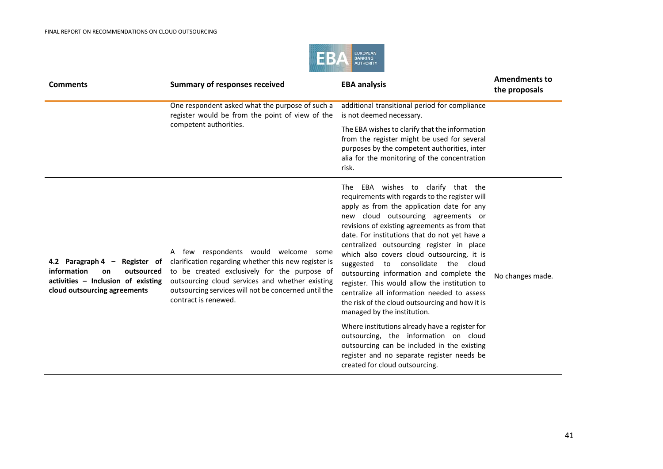

| <b>Comments</b>                                                                                                                        | <b>Summary of responses received</b>                                                                                                                                                                                                                                            | <b>EBA analysis</b>                                                                                                                                                                                                                                                                                                                                                                                                                                                                                                                                                                                                                                                                                                                         | <b>Amendments to</b><br>the proposals |
|----------------------------------------------------------------------------------------------------------------------------------------|---------------------------------------------------------------------------------------------------------------------------------------------------------------------------------------------------------------------------------------------------------------------------------|---------------------------------------------------------------------------------------------------------------------------------------------------------------------------------------------------------------------------------------------------------------------------------------------------------------------------------------------------------------------------------------------------------------------------------------------------------------------------------------------------------------------------------------------------------------------------------------------------------------------------------------------------------------------------------------------------------------------------------------------|---------------------------------------|
|                                                                                                                                        | One respondent asked what the purpose of such a<br>register would be from the point of view of the                                                                                                                                                                              | additional transitional period for compliance<br>is not deemed necessary.                                                                                                                                                                                                                                                                                                                                                                                                                                                                                                                                                                                                                                                                   |                                       |
|                                                                                                                                        | competent authorities.                                                                                                                                                                                                                                                          | The EBA wishes to clarify that the information<br>from the register might be used for several<br>purposes by the competent authorities, inter<br>alia for the monitoring of the concentration<br>risk.                                                                                                                                                                                                                                                                                                                                                                                                                                                                                                                                      |                                       |
| 4.2 Paragraph 4 - Register of<br>information<br>outsourced<br>on<br>activities - Inclusion of existing<br>cloud outsourcing agreements | A few respondents would welcome some<br>clarification regarding whether this new register is<br>to be created exclusively for the purpose of<br>outsourcing cloud services and whether existing<br>outsourcing services will not be concerned until the<br>contract is renewed. | The EBA wishes to clarify that the<br>requirements with regards to the register will<br>apply as from the application date for any<br>new cloud outsourcing agreements or<br>revisions of existing agreements as from that<br>date. For institutions that do not yet have a<br>centralized outsourcing register in place<br>which also covers cloud outsourcing, it is<br>consolidate the cloud<br>suggested<br>to<br>outsourcing information and complete the<br>register. This would allow the institution to<br>centralize all information needed to assess<br>the risk of the cloud outsourcing and how it is<br>managed by the institution.<br>Where institutions already have a register for<br>outsourcing, the information on cloud | No changes made.                      |
|                                                                                                                                        |                                                                                                                                                                                                                                                                                 | outsourcing can be included in the existing<br>register and no separate register needs be<br>created for cloud outsourcing.                                                                                                                                                                                                                                                                                                                                                                                                                                                                                                                                                                                                                 |                                       |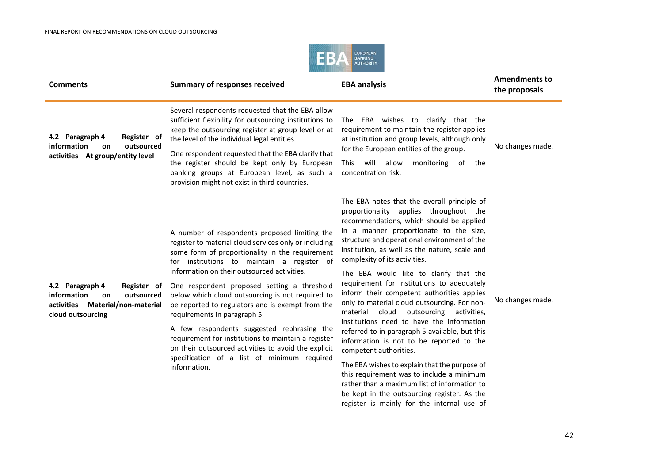

| <b>Comments</b>                                                                                                             | <b>Summary of responses received</b>                                                                                                                                                                                                                                                                                                                                                                                                                                                                                                                                                                                                                                      | <b>EBA analysis</b>                                                                                                                                                                                                                                                                                                                                                                                                                                                                                                                                                                                                                                                                                                                                                                                                                                                                                                                                                    | <b>Amendments to</b><br>the proposals |
|-----------------------------------------------------------------------------------------------------------------------------|---------------------------------------------------------------------------------------------------------------------------------------------------------------------------------------------------------------------------------------------------------------------------------------------------------------------------------------------------------------------------------------------------------------------------------------------------------------------------------------------------------------------------------------------------------------------------------------------------------------------------------------------------------------------------|------------------------------------------------------------------------------------------------------------------------------------------------------------------------------------------------------------------------------------------------------------------------------------------------------------------------------------------------------------------------------------------------------------------------------------------------------------------------------------------------------------------------------------------------------------------------------------------------------------------------------------------------------------------------------------------------------------------------------------------------------------------------------------------------------------------------------------------------------------------------------------------------------------------------------------------------------------------------|---------------------------------------|
| 4.2 Paragraph 4 $-$<br>Register of<br>information<br>outsourced<br>on<br>activities - At group/entity level                 | Several respondents requested that the EBA allow<br>sufficient flexibility for outsourcing institutions to<br>keep the outsourcing register at group level or at<br>the level of the individual legal entities.<br>One respondent requested that the EBA clarify that<br>the register should be kept only by European<br>banking groups at European level, as such a<br>provision might not exist in third countries.                                                                                                                                                                                                                                                     | The EBA wishes to clarify that the<br>requirement to maintain the register applies<br>at institution and group levels, although only<br>for the European entities of the group.<br>will allow<br>This<br>monitoring<br>of<br>the<br>concentration risk.                                                                                                                                                                                                                                                                                                                                                                                                                                                                                                                                                                                                                                                                                                                | No changes made.                      |
| 4.2 Paragraph 4 - Register of<br>information<br>on<br>outsourced<br>activities - Material/non-material<br>cloud outsourcing | A number of respondents proposed limiting the<br>register to material cloud services only or including<br>some form of proportionality in the requirement<br>for institutions to maintain a register of<br>information on their outsourced activities.<br>One respondent proposed setting a threshold<br>below which cloud outsourcing is not required to<br>be reported to regulators and is exempt from the<br>requirements in paragraph 5.<br>A few respondents suggested rephrasing the<br>requirement for institutions to maintain a register<br>on their outsourced activities to avoid the explicit<br>specification of a list of minimum required<br>information. | The EBA notes that the overall principle of<br>proportionality applies throughout the<br>recommendations, which should be applied<br>in a manner proportionate to the size,<br>structure and operational environment of the<br>institution, as well as the nature, scale and<br>complexity of its activities.<br>The EBA would like to clarify that the<br>requirement for institutions to adequately<br>inform their competent authorities applies<br>only to material cloud outsourcing. For non-<br>cloud<br>outsourcing<br>material<br>activities.<br>institutions need to have the information<br>referred to in paragraph 5 available, but this<br>information is not to be reported to the<br>competent authorities.<br>The EBA wishes to explain that the purpose of<br>this requirement was to include a minimum<br>rather than a maximum list of information to<br>be kept in the outsourcing register. As the<br>register is mainly for the internal use of | No changes made.                      |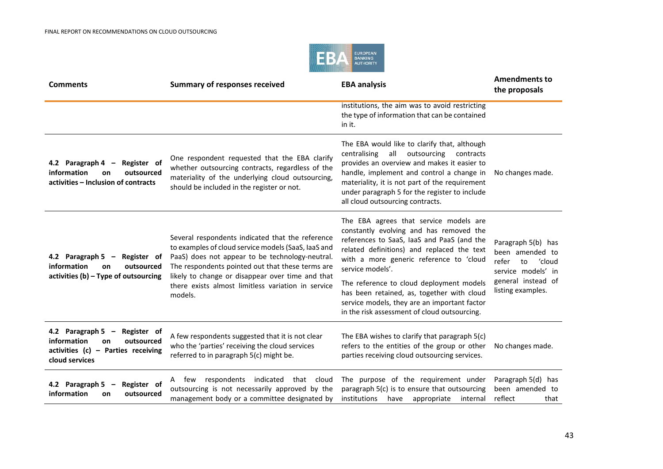

| <b>Comments</b>                                                                                                                   | <b>Summary of responses received</b>                                                                                                                                                                                                                                                                                                | <b>EBA analysis</b>                                                                                                                                                                                                                                                                                                             | <b>Amendments to</b><br>the proposals                                                |
|-----------------------------------------------------------------------------------------------------------------------------------|-------------------------------------------------------------------------------------------------------------------------------------------------------------------------------------------------------------------------------------------------------------------------------------------------------------------------------------|---------------------------------------------------------------------------------------------------------------------------------------------------------------------------------------------------------------------------------------------------------------------------------------------------------------------------------|--------------------------------------------------------------------------------------|
|                                                                                                                                   |                                                                                                                                                                                                                                                                                                                                     | institutions, the aim was to avoid restricting<br>the type of information that can be contained<br>in it.                                                                                                                                                                                                                       |                                                                                      |
| 4.2 Paragraph 4 -<br>Register of<br>information<br>outsourced<br>on<br>activities - Inclusion of contracts                        | One respondent requested that the EBA clarify<br>whether outsourcing contracts, regardless of the<br>materiality of the underlying cloud outsourcing,<br>should be included in the register or not.                                                                                                                                 | The EBA would like to clarify that, although<br>all outsourcing<br>centralising<br>contracts<br>provides an overview and makes it easier to<br>handle, implement and control a change in<br>materiality, it is not part of the requirement<br>under paragraph 5 for the register to include<br>all cloud outsourcing contracts. | No changes made.                                                                     |
| 4.2 Paragraph 5 - Register of<br>information<br>outsourced<br><b>on</b><br>activities $(b)$ – Type of outsourcing                 | Several respondents indicated that the reference<br>to examples of cloud service models (SaaS, laaS and<br>PaaS) does not appear to be technology-neutral.<br>The respondents pointed out that these terms are<br>likely to change or disappear over time and that<br>there exists almost limitless variation in service<br>models. | The EBA agrees that service models are<br>constantly evolving and has removed the<br>references to SaaS, laaS and PaaS (and the<br>related definitions) and replaced the text<br>with a more generic reference to 'cloud<br>service models'.                                                                                    | Paragraph 5(b) has<br>been amended to<br>'cloud<br>refer<br>to<br>service models' in |
|                                                                                                                                   |                                                                                                                                                                                                                                                                                                                                     | The reference to cloud deployment models<br>has been retained, as, together with cloud<br>service models, they are an important factor<br>in the risk assessment of cloud outsourcing.                                                                                                                                          | general instead of<br>listing examples.                                              |
| 4.2 Paragraph 5 - Register of<br>information<br>outsourced<br><b>on</b><br>activities $(c)$ – Parties receiving<br>cloud services | A few respondents suggested that it is not clear<br>who the 'parties' receiving the cloud services<br>referred to in paragraph 5(c) might be.                                                                                                                                                                                       | The EBA wishes to clarify that paragraph 5(c)<br>refers to the entities of the group or other<br>parties receiving cloud outsourcing services.                                                                                                                                                                                  | No changes made.                                                                     |
| 4.2 Paragraph 5 -<br>Register of<br>information<br>outsourced<br><b>on</b>                                                        | A few respondents indicated that<br>cloud<br>outsourcing is not necessarily approved by the<br>management body or a committee designated by                                                                                                                                                                                         | The purpose of the requirement under<br>paragraph 5(c) is to ensure that outsourcing<br>institutions have appropriate<br>internal                                                                                                                                                                                               | Paragraph 5(d) has<br>been amended to<br>reflect<br>that                             |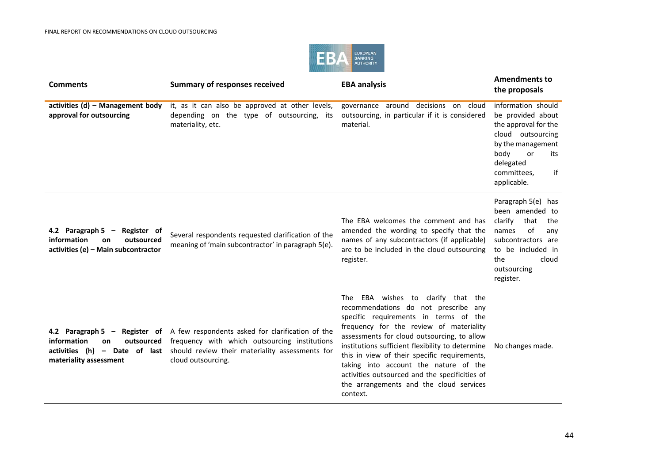

| <b>Comments</b>                                                                                         | <b>Summary of responses received</b>                                                                                                                                                                                                   | <b>EBA analysis</b>                                                                                                                                                                                                                                                                                                                                                                                                                                                 | <b>Amendments to</b><br>the proposals                                                                                                                                           |
|---------------------------------------------------------------------------------------------------------|----------------------------------------------------------------------------------------------------------------------------------------------------------------------------------------------------------------------------------------|---------------------------------------------------------------------------------------------------------------------------------------------------------------------------------------------------------------------------------------------------------------------------------------------------------------------------------------------------------------------------------------------------------------------------------------------------------------------|---------------------------------------------------------------------------------------------------------------------------------------------------------------------------------|
| activities $(d)$ – Management body<br>approval for outsourcing                                          | it, as it can also be approved at other levels,<br>depending on the type of outsourcing, its<br>materiality, etc.                                                                                                                      | governance around decisions on cloud<br>outsourcing, in particular if it is considered<br>material.                                                                                                                                                                                                                                                                                                                                                                 | information should<br>be provided about<br>the approval for the<br>cloud outsourcing<br>by the management<br>body<br>or<br>its<br>delegated<br>committees,<br>if<br>applicable. |
| 4.2 Paragraph 5 - Register of<br>information<br>outsourced<br>on<br>activities (e) – Main subcontractor | Several respondents requested clarification of the<br>meaning of 'main subcontractor' in paragraph 5(e).                                                                                                                               | The EBA welcomes the comment and has<br>amended the wording to specify that the<br>names of any subcontractors (if applicable)<br>are to be included in the cloud outsourcing<br>register.                                                                                                                                                                                                                                                                          | Paragraph 5(e) has<br>been amended to<br>clarify<br>that<br>the<br>of<br>names<br>any<br>subcontractors are<br>to be included in<br>the<br>cloud<br>outsourcing<br>register.    |
| information<br>outsourced<br>on<br>materiality assessment                                               | 4.2 Paragraph 5 - Register of A few respondents asked for clarification of the<br>frequency with which outsourcing institutions<br>activities (h) - Date of last should review their materiality assessments for<br>cloud outsourcing. | The EBA wishes to clarify that the<br>recommendations do not prescribe any<br>specific requirements in terms of the<br>frequency for the review of materiality<br>assessments for cloud outsourcing, to allow<br>institutions sufficient flexibility to determine<br>this in view of their specific requirements,<br>taking into account the nature of the<br>activities outsourced and the specificities of<br>the arrangements and the cloud services<br>context. | No changes made.                                                                                                                                                                |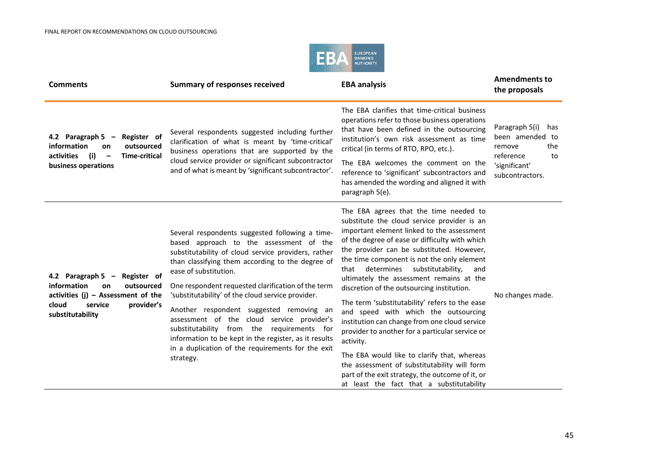

| <b>Comments</b>                                                                                                                                                       | <b>Summary of responses received</b>                                                                                                                                                                                                                                                                                                                                                                                                                                                                                                                                                                         | <b>EBA analysis</b>                                                                                                                                                                                                                                                                                                                                                                                                                                                                                                                                                                                                                                                                                                                                                                                                                     | <b>Amendments to</b><br>the proposals                                                                            |
|-----------------------------------------------------------------------------------------------------------------------------------------------------------------------|--------------------------------------------------------------------------------------------------------------------------------------------------------------------------------------------------------------------------------------------------------------------------------------------------------------------------------------------------------------------------------------------------------------------------------------------------------------------------------------------------------------------------------------------------------------------------------------------------------------|-----------------------------------------------------------------------------------------------------------------------------------------------------------------------------------------------------------------------------------------------------------------------------------------------------------------------------------------------------------------------------------------------------------------------------------------------------------------------------------------------------------------------------------------------------------------------------------------------------------------------------------------------------------------------------------------------------------------------------------------------------------------------------------------------------------------------------------------|------------------------------------------------------------------------------------------------------------------|
| 4.2 Paragraph 5 $-$<br>Register of<br>information<br>outsourced<br>on<br>(i)<br><b>Time-critical</b><br>activities<br>$\overline{\phantom{0}}$<br>business operations | Several respondents suggested including further<br>clarification of what is meant by 'time-critical'<br>business operations that are supported by the<br>cloud service provider or significant subcontractor<br>and of what is meant by 'significant subcontractor'.                                                                                                                                                                                                                                                                                                                                         | The EBA clarifies that time-critical business<br>operations refer to those business operations<br>that have been defined in the outsourcing<br>institution's own risk assessment as time<br>critical (in terms of RTO, RPO, etc.).<br>The EBA welcomes the comment on the<br>reference to 'significant' subcontractors and<br>has amended the wording and aligned it with<br>paragraph 5(e).                                                                                                                                                                                                                                                                                                                                                                                                                                            | Paragraph 5(i)<br>has<br>been amended to<br>the<br>remove<br>reference<br>to<br>'significant'<br>subcontractors. |
| Register of<br>4.2 Paragraph 5 $-$<br>information<br>outsourced<br>on<br>activities $(j)$ - Assessment of the<br>cloud<br>provider's<br>service<br>substitutability   | Several respondents suggested following a time-<br>based approach to the assessment of the<br>substitutability of cloud service providers, rather<br>than classifying them according to the degree of<br>ease of substitution.<br>One respondent requested clarification of the term<br>'substitutability' of the cloud service provider.<br>Another respondent suggested removing an<br>assessment of the cloud service provider's<br>substitutability from the requirements for<br>information to be kept in the register, as it results<br>in a duplication of the requirements for the exit<br>strategy. | The EBA agrees that the time needed to<br>substitute the cloud service provider is an<br>important element linked to the assessment<br>of the degree of ease or difficulty with which<br>the provider can be substituted. However,<br>the time component is not the only element<br>substitutability,<br>determines<br>that<br>and<br>ultimately the assessment remains at the<br>discretion of the outsourcing institution.<br>The term 'substitutability' refers to the ease<br>and speed with which the outsourcing<br>institution can change from one cloud service<br>provider to another for a particular service or<br>activity.<br>The EBA would like to clarify that, whereas<br>the assessment of substitutability will form<br>part of the exit strategy, the outcome of it, or<br>at least the fact that a substitutability | No changes made.                                                                                                 |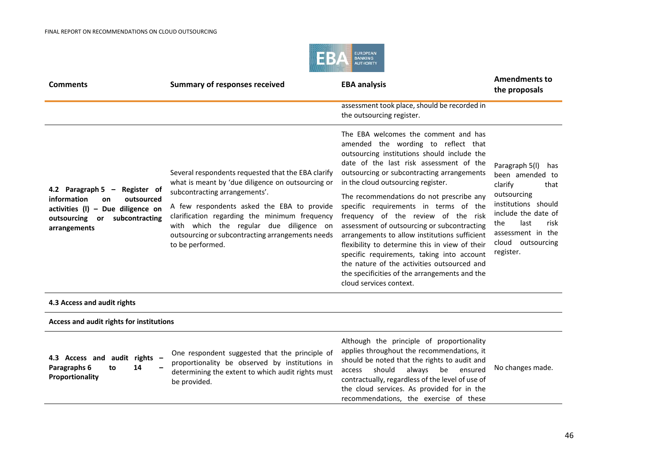

| <b>Comments</b>                                                                                                                                               | <b>Summary of responses received</b>                                                                                                                                                                                                                                                                                                                       | <b>EBA analysis</b>                                                                                                                                                                                                                                                                                                                                                                                                                                                                                                                                                                                                                                                                                              | <b>Amendments to</b><br>the proposals                                                                                                                                                                  |
|---------------------------------------------------------------------------------------------------------------------------------------------------------------|------------------------------------------------------------------------------------------------------------------------------------------------------------------------------------------------------------------------------------------------------------------------------------------------------------------------------------------------------------|------------------------------------------------------------------------------------------------------------------------------------------------------------------------------------------------------------------------------------------------------------------------------------------------------------------------------------------------------------------------------------------------------------------------------------------------------------------------------------------------------------------------------------------------------------------------------------------------------------------------------------------------------------------------------------------------------------------|--------------------------------------------------------------------------------------------------------------------------------------------------------------------------------------------------------|
|                                                                                                                                                               |                                                                                                                                                                                                                                                                                                                                                            | assessment took place, should be recorded in<br>the outsourcing register.                                                                                                                                                                                                                                                                                                                                                                                                                                                                                                                                                                                                                                        |                                                                                                                                                                                                        |
| 4.2 Paragraph 5 $-$<br>Register of<br>information<br>outsourced<br>on<br>activities $(I)$ – Due diligence on<br>outsourcing or subcontracting<br>arrangements | Several respondents requested that the EBA clarify<br>what is meant by 'due diligence on outsourcing or<br>subcontracting arrangements'.<br>A few respondents asked the EBA to provide<br>clarification regarding the minimum frequency<br>with which the regular due diligence on<br>outsourcing or subcontracting arrangements needs<br>to be performed. | The EBA welcomes the comment and has<br>amended the wording to reflect that<br>outsourcing institutions should include the<br>date of the last risk assessment of the<br>outsourcing or subcontracting arrangements<br>in the cloud outsourcing register.<br>The recommendations do not prescribe any<br>specific requirements in terms of the<br>frequency of the review of the risk<br>assessment of outsourcing or subcontracting<br>arrangements to allow institutions sufficient<br>flexibility to determine this in view of their<br>specific requirements, taking into account<br>the nature of the activities outsourced and<br>the specificities of the arrangements and the<br>cloud services context. | Paragraph 5(I)<br>has<br>been amended to<br>clarify<br>that<br>outsourcing<br>institutions should<br>include the date of<br>last<br>risk<br>the<br>assessment in the<br>cloud outsourcing<br>register. |
| 4.3 Access and audit rights                                                                                                                                   |                                                                                                                                                                                                                                                                                                                                                            |                                                                                                                                                                                                                                                                                                                                                                                                                                                                                                                                                                                                                                                                                                                  |                                                                                                                                                                                                        |
| Access and audit rights for institutions                                                                                                                      |                                                                                                                                                                                                                                                                                                                                                            |                                                                                                                                                                                                                                                                                                                                                                                                                                                                                                                                                                                                                                                                                                                  |                                                                                                                                                                                                        |
| 4.3 Access and audit rights -<br>14<br>Paragraphs 6<br>to<br>Proportionality                                                                                  | One respondent suggested that the principle of<br>proportionality be observed by institutions in<br>determining the extent to which audit rights must<br>be provided.                                                                                                                                                                                      | Although the principle of proportionality<br>applies throughout the recommendations, it<br>should be noted that the rights to audit and<br>always be<br>should<br>ensured<br>access<br>contractually, regardless of the level of use of<br>the cloud services. As provided for in the<br>recommendations, the exercise of these                                                                                                                                                                                                                                                                                                                                                                                  | No changes made.                                                                                                                                                                                       |

46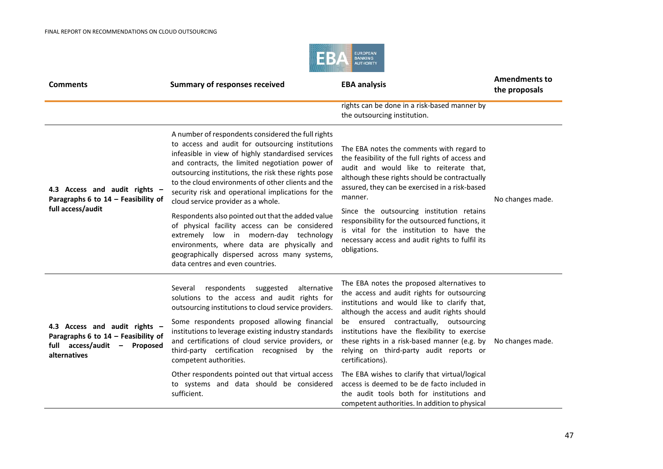

| <b>Comments</b>                                                                                                         | <b>Summary of responses received</b>                                                                                                                                                                                                                                                                                                                                                                                      | <b>EBA analysis</b>                                                                                                                                                                                                                                                                                                                                                                               | <b>Amendments to</b><br>the proposals |
|-------------------------------------------------------------------------------------------------------------------------|---------------------------------------------------------------------------------------------------------------------------------------------------------------------------------------------------------------------------------------------------------------------------------------------------------------------------------------------------------------------------------------------------------------------------|---------------------------------------------------------------------------------------------------------------------------------------------------------------------------------------------------------------------------------------------------------------------------------------------------------------------------------------------------------------------------------------------------|---------------------------------------|
|                                                                                                                         |                                                                                                                                                                                                                                                                                                                                                                                                                           | rights can be done in a risk-based manner by<br>the outsourcing institution.                                                                                                                                                                                                                                                                                                                      |                                       |
| 4.3 Access and audit rights -<br>Paragraphs 6 to 14 - Feasibility of<br>full access/audit                               | A number of respondents considered the full rights<br>to access and audit for outsourcing institutions<br>infeasible in view of highly standardised services<br>and contracts, the limited negotiation power of<br>outsourcing institutions, the risk these rights pose<br>to the cloud environments of other clients and the<br>security risk and operational implications for the<br>cloud service provider as a whole. | The EBA notes the comments with regard to<br>the feasibility of the full rights of access and<br>audit and would like to reiterate that,<br>although these rights should be contractually<br>assured, they can be exercised in a risk-based<br>manner.                                                                                                                                            | No changes made.                      |
|                                                                                                                         | Respondents also pointed out that the added value<br>of physical facility access can be considered<br>extremely low in modern-day technology<br>environments, where data are physically and<br>geographically dispersed across many systems,<br>data centres and even countries.                                                                                                                                          | Since the outsourcing institution retains<br>responsibility for the outsourced functions, it<br>is vital for the institution to have the<br>necessary access and audit rights to fulfil its<br>obligations.                                                                                                                                                                                       |                                       |
| 4.3 Access and audit rights -<br>Paragraphs 6 to 14 - Feasibility of<br>full access/audit -<br>Proposed<br>alternatives | suggested<br>alternative<br>respondents<br>Several<br>solutions to the access and audit rights for<br>outsourcing institutions to cloud service providers.<br>Some respondents proposed allowing financial<br>institutions to leverage existing industry standards<br>and certifications of cloud service providers, or<br>third-party certification recognised<br>by the<br>competent authorities.                       | The EBA notes the proposed alternatives to<br>the access and audit rights for outsourcing<br>institutions and would like to clarify that,<br>although the access and audit rights should<br>be ensured contractually, outsourcing<br>institutions have the flexibility to exercise<br>these rights in a risk-based manner (e.g. by<br>relying on third-party audit reports or<br>certifications). | No changes made.                      |
|                                                                                                                         | Other respondents pointed out that virtual access<br>to systems and data should be considered<br>sufficient.                                                                                                                                                                                                                                                                                                              | The EBA wishes to clarify that virtual/logical<br>access is deemed to be de facto included in<br>the audit tools both for institutions and<br>competent authorities. In addition to physical                                                                                                                                                                                                      |                                       |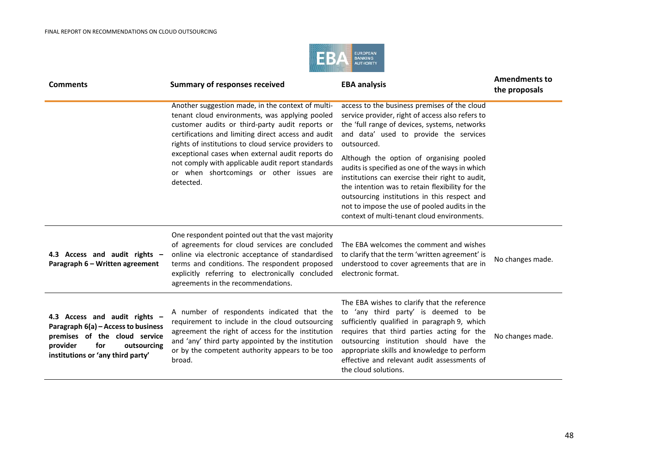

| <b>Comments</b>                                                                                                                                                              | <b>Summary of responses received</b>                                                                                                                                                                                                                                                                                                                                                                                                    | <b>EBA analysis</b>                                                                                                                                                                                                                                                                                                                                                                                                                                                                                                                                             | <b>Amendments to</b><br>the proposals |
|------------------------------------------------------------------------------------------------------------------------------------------------------------------------------|-----------------------------------------------------------------------------------------------------------------------------------------------------------------------------------------------------------------------------------------------------------------------------------------------------------------------------------------------------------------------------------------------------------------------------------------|-----------------------------------------------------------------------------------------------------------------------------------------------------------------------------------------------------------------------------------------------------------------------------------------------------------------------------------------------------------------------------------------------------------------------------------------------------------------------------------------------------------------------------------------------------------------|---------------------------------------|
|                                                                                                                                                                              | Another suggestion made, in the context of multi-<br>tenant cloud environments, was applying pooled<br>customer audits or third-party audit reports or<br>certifications and limiting direct access and audit<br>rights of institutions to cloud service providers to<br>exceptional cases when external audit reports do<br>not comply with applicable audit report standards<br>or when shortcomings or other issues are<br>detected. | access to the business premises of the cloud<br>service provider, right of access also refers to<br>the 'full range of devices, systems, networks<br>and data' used to provide the services<br>outsourced.<br>Although the option of organising pooled<br>audits is specified as one of the ways in which<br>institutions can exercise their right to audit,<br>the intention was to retain flexibility for the<br>outsourcing institutions in this respect and<br>not to impose the use of pooled audits in the<br>context of multi-tenant cloud environments. |                                       |
| 4.3 Access and audit rights -<br>Paragraph 6 - Written agreement                                                                                                             | One respondent pointed out that the vast majority<br>of agreements for cloud services are concluded<br>online via electronic acceptance of standardised<br>terms and conditions. The respondent proposed<br>explicitly referring to electronically concluded<br>agreements in the recommendations.                                                                                                                                      | The EBA welcomes the comment and wishes<br>to clarify that the term 'written agreement' is<br>understood to cover agreements that are in<br>electronic format.                                                                                                                                                                                                                                                                                                                                                                                                  | No changes made.                      |
| 4.3 Access and audit rights -<br>Paragraph 6(a) - Access to business<br>premises of the cloud service<br>provider<br>for<br>outsourcing<br>institutions or 'any third party' | A number of respondents indicated that the<br>requirement to include in the cloud outsourcing<br>agreement the right of access for the institution<br>and 'any' third party appointed by the institution<br>or by the competent authority appears to be too<br>broad.                                                                                                                                                                   | The EBA wishes to clarify that the reference<br>to 'any third party' is deemed to be<br>sufficiently qualified in paragraph 9, which<br>requires that third parties acting for the<br>outsourcing institution should have the<br>appropriate skills and knowledge to perform<br>effective and relevant audit assessments of<br>the cloud solutions.                                                                                                                                                                                                             | No changes made.                      |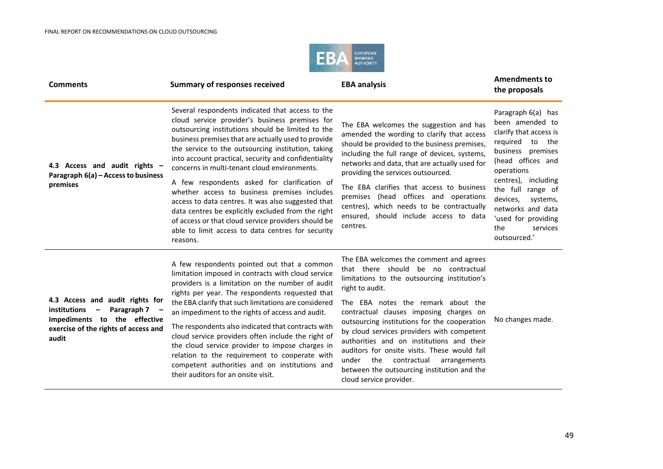

| <b>Comments</b>                                                                                                                                                             | <b>Summary of responses received</b>                                                                                                                                                                                                                                                                                                                                                                                                                                                                                                                                                                                                                                                                             | <b>EBA analysis</b>                                                                                                                                                                                                                                                                                                                                                                                                                                                                                                                                    | <b>Amendments to</b><br>the proposals                                                                                                                                                                                                                                                         |
|-----------------------------------------------------------------------------------------------------------------------------------------------------------------------------|------------------------------------------------------------------------------------------------------------------------------------------------------------------------------------------------------------------------------------------------------------------------------------------------------------------------------------------------------------------------------------------------------------------------------------------------------------------------------------------------------------------------------------------------------------------------------------------------------------------------------------------------------------------------------------------------------------------|--------------------------------------------------------------------------------------------------------------------------------------------------------------------------------------------------------------------------------------------------------------------------------------------------------------------------------------------------------------------------------------------------------------------------------------------------------------------------------------------------------------------------------------------------------|-----------------------------------------------------------------------------------------------------------------------------------------------------------------------------------------------------------------------------------------------------------------------------------------------|
| 4.3 Access and audit rights -<br>Paragraph 6(a) - Access to business<br>premises                                                                                            | Several respondents indicated that access to the<br>cloud service provider's business premises for<br>outsourcing institutions should be limited to the<br>business premises that are actually used to provide<br>the service to the outsourcing institution, taking<br>into account practical, security and confidentiality<br>concerns in multi-tenant cloud environments.<br>A few respondents asked for clarification of<br>whether access to business premises includes<br>access to data centres. It was also suggested that<br>data centres be explicitly excluded from the right<br>of access or that cloud service providers should be<br>able to limit access to data centres for security<br>reasons. | The EBA welcomes the suggestion and has<br>amended the wording to clarify that access<br>should be provided to the business premises,<br>including the full range of devices, systems,<br>networks and data, that are actually used for<br>providing the services outsourced.<br>The EBA clarifies that access to business<br>premises (head offices and operations<br>centres), which needs to be contractually<br>ensured, should include access to data<br>centres.                                                                                 | Paragraph 6(a) has<br>been amended to<br>clarify that access is<br>required to the<br>business premises<br>(head offices and<br>operations<br>centres), including<br>the full range of<br>devices,<br>systems,<br>networks and data<br>'used for providing<br>the<br>services<br>outsourced.' |
| 4.3 Access and audit rights for<br>institutions<br>Paragraph 7<br>$\overline{\phantom{a}}$<br>Impediments to the effective<br>exercise of the rights of access and<br>audit | A few respondents pointed out that a common<br>limitation imposed in contracts with cloud service<br>providers is a limitation on the number of audit<br>rights per year. The respondents requested that<br>the EBA clarify that such limitations are considered<br>an impediment to the rights of access and audit.<br>The respondents also indicated that contracts with<br>cloud service providers often include the right of<br>the cloud service provider to impose charges in<br>relation to the requirement to cooperate with<br>competent authorities and on institutions and<br>their auditors for an onsite visit.                                                                                     | The EBA welcomes the comment and agrees<br>that there should be no contractual<br>limitations to the outsourcing institution's<br>right to audit.<br>The EBA notes the remark about the<br>contractual clauses imposing charges on<br>outsourcing institutions for the cooperation<br>by cloud services providers with competent<br>authorities and on institutions and their<br>auditors for onsite visits. These would fall<br>the<br>contractual<br>under<br>arrangements<br>between the outsourcing institution and the<br>cloud service provider. | No changes made.                                                                                                                                                                                                                                                                              |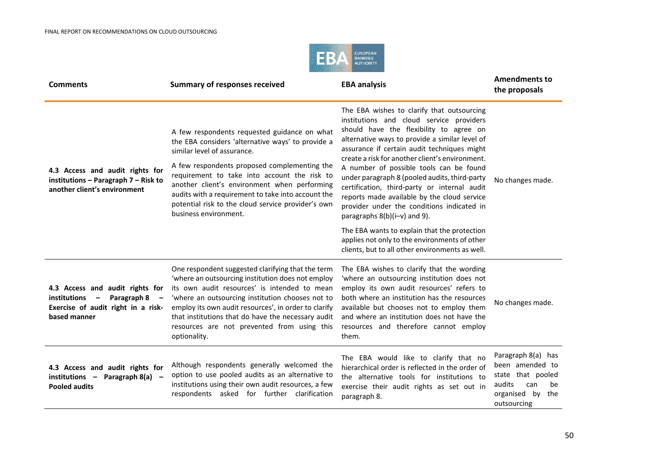

| <b>Comments</b>                                                                                                                                  | <b>Summary of responses received</b>                                                                                                                                                                                                                                                                                                                                                    | <b>EBA analysis</b>                                                                                                                                                                                                                                                                                                              | <b>Amendments to</b><br>the proposals                                                                                |
|--------------------------------------------------------------------------------------------------------------------------------------------------|-----------------------------------------------------------------------------------------------------------------------------------------------------------------------------------------------------------------------------------------------------------------------------------------------------------------------------------------------------------------------------------------|----------------------------------------------------------------------------------------------------------------------------------------------------------------------------------------------------------------------------------------------------------------------------------------------------------------------------------|----------------------------------------------------------------------------------------------------------------------|
|                                                                                                                                                  | A few respondents requested guidance on what<br>the EBA considers 'alternative ways' to provide a<br>similar level of assurance.                                                                                                                                                                                                                                                        | The EBA wishes to clarify that outsourcing<br>institutions and cloud service providers<br>should have the flexibility to agree on<br>alternative ways to provide a similar level of<br>assurance if certain audit techniques might<br>create a risk for another client's environment.                                            |                                                                                                                      |
| 4.3 Access and audit rights for<br>institutions - Paragraph 7 - Risk to<br>another client's environment                                          | A few respondents proposed complementing the<br>requirement to take into account the risk to<br>another client's environment when performing<br>audits with a requirement to take into account the<br>potential risk to the cloud service provider's own<br>business environment.                                                                                                       | A number of possible tools can be found<br>under paragraph 8 (pooled audits, third-party<br>certification, third-party or internal audit<br>reports made available by the cloud service<br>provider under the conditions indicated in<br>paragraphs $8(b)(i-v)$ and 9).                                                          | No changes made.                                                                                                     |
|                                                                                                                                                  |                                                                                                                                                                                                                                                                                                                                                                                         | The EBA wants to explain that the protection<br>applies not only to the environments of other<br>clients, but to all other environments as well.                                                                                                                                                                                 |                                                                                                                      |
| 4.3 Access and audit rights for<br>institutions<br>Paragraph 8<br>$\overline{\phantom{a}}$<br>Exercise of audit right in a risk-<br>based manner | One respondent suggested clarifying that the term<br>'where an outsourcing institution does not employ<br>its own audit resources' is intended to mean<br>'where an outsourcing institution chooses not to<br>employ its own audit resources', in order to clarify<br>that institutions that do have the necessary audit<br>resources are not prevented from using this<br>optionality. | The EBA wishes to clarify that the wording<br>'where an outsourcing institution does not<br>employ its own audit resources' refers to<br>both where an institution has the resources<br>available but chooses not to employ them<br>and where an institution does not have the<br>resources and therefore cannot employ<br>them. | No changes made.                                                                                                     |
| 4.3 Access and audit rights for<br>institutions - Paragraph 8(a) -<br><b>Pooled audits</b>                                                       | Although respondents generally welcomed the<br>option to use pooled audits as an alternative to<br>institutions using their own audit resources, a few<br>respondents asked for further clarification                                                                                                                                                                                   | The EBA would like to clarify that no<br>hierarchical order is reflected in the order of<br>the alternative tools for institutions to<br>exercise their audit rights as set out in<br>paragraph 8.                                                                                                                               | Paragraph 8(a) has<br>been amended to<br>state that pooled<br>audits<br>can<br>be<br>organised by the<br>outsourcing |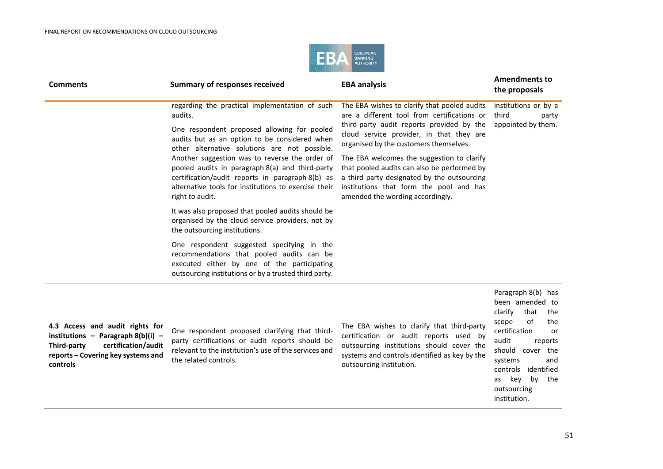

| <b>Comments</b>                                                                                                                                                 | <b>Summary of responses received</b>                                                                                                                                                                                                                                                                                                                                                                                                           | <b>EBA analysis</b>                                                                                                                                                                                                                                                                                                                                                                                                                                       | <b>Amendments to</b><br>the proposals                                                                                                                                                                                      |
|-----------------------------------------------------------------------------------------------------------------------------------------------------------------|------------------------------------------------------------------------------------------------------------------------------------------------------------------------------------------------------------------------------------------------------------------------------------------------------------------------------------------------------------------------------------------------------------------------------------------------|-----------------------------------------------------------------------------------------------------------------------------------------------------------------------------------------------------------------------------------------------------------------------------------------------------------------------------------------------------------------------------------------------------------------------------------------------------------|----------------------------------------------------------------------------------------------------------------------------------------------------------------------------------------------------------------------------|
|                                                                                                                                                                 | regarding the practical implementation of such<br>audits.<br>One respondent proposed allowing for pooled<br>audits but as an option to be considered when<br>other alternative solutions are not possible.<br>Another suggestion was to reverse the order of<br>pooled audits in paragraph 8(a) and third-party<br>certification/audit reports in paragraph 8(b) as<br>alternative tools for institutions to exercise their<br>right to audit. | The EBA wishes to clarify that pooled audits<br>are a different tool from certifications or<br>third-party audit reports provided by the<br>cloud service provider, in that they are<br>organised by the customers themselves.<br>The EBA welcomes the suggestion to clarify<br>that pooled audits can also be performed by<br>a third party designated by the outsourcing<br>institutions that form the pool and has<br>amended the wording accordingly. | institutions or by a<br>third<br>party<br>appointed by them.                                                                                                                                                               |
|                                                                                                                                                                 | It was also proposed that pooled audits should be<br>organised by the cloud service providers, not by<br>the outsourcing institutions.                                                                                                                                                                                                                                                                                                         |                                                                                                                                                                                                                                                                                                                                                                                                                                                           |                                                                                                                                                                                                                            |
|                                                                                                                                                                 | One respondent suggested specifying in the<br>recommendations that pooled audits can be<br>executed either by one of the participating<br>outsourcing institutions or by a trusted third party.                                                                                                                                                                                                                                                |                                                                                                                                                                                                                                                                                                                                                                                                                                                           |                                                                                                                                                                                                                            |
| 4.3 Access and audit rights for<br>institutions - Paragraph $8(b)(i)$ -<br>certification/audit<br>Third-party<br>reports - Covering key systems and<br>controls | One respondent proposed clarifying that third-<br>party certifications or audit reports should be<br>relevant to the institution's use of the services and<br>the related controls.                                                                                                                                                                                                                                                            | The EBA wishes to clarify that third-party<br>certification or audit reports used by<br>outsourcing institutions should cover the<br>systems and controls identified as key by the<br>outsourcing institution.                                                                                                                                                                                                                                            | Paragraph 8(b) has<br>been amended to<br>clarify<br>that<br>the<br>of<br>the<br>scope<br>certification<br>or<br>audit<br>reports<br>cover the<br>should<br>systems<br>and<br>identified<br>controls<br>by the<br>kev<br>as |

outsourcing institution.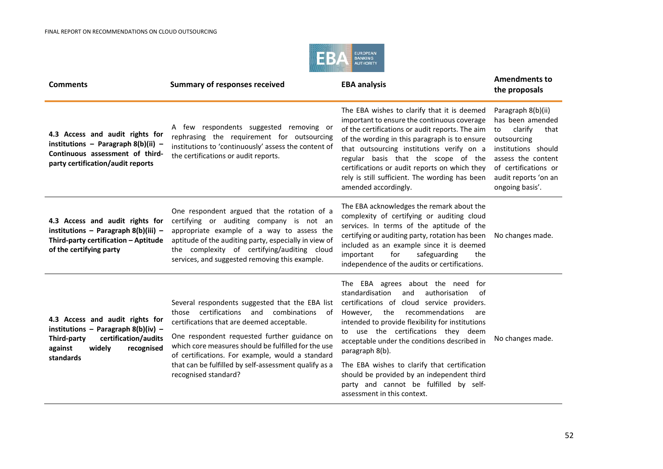

| <b>Comments</b>                                                                                                                                                 | <b>Summary of responses received</b>                                                                                                                                                                                                                                                                                                                                                     | <b>EBA analysis</b>                                                                                                                                                                                                                                                                                                                                                                                                                                                                                                | <b>Amendments to</b><br>the proposals                                                                                                                                                          |
|-----------------------------------------------------------------------------------------------------------------------------------------------------------------|------------------------------------------------------------------------------------------------------------------------------------------------------------------------------------------------------------------------------------------------------------------------------------------------------------------------------------------------------------------------------------------|--------------------------------------------------------------------------------------------------------------------------------------------------------------------------------------------------------------------------------------------------------------------------------------------------------------------------------------------------------------------------------------------------------------------------------------------------------------------------------------------------------------------|------------------------------------------------------------------------------------------------------------------------------------------------------------------------------------------------|
| 4.3 Access and audit rights for<br>institutions - Paragraph $8(b)(ii)$ -<br>Continuous assessment of third-<br>party certification/audit reports                | A few respondents suggested removing or<br>rephrasing the requirement for outsourcing<br>institutions to 'continuously' assess the content of<br>the certifications or audit reports.                                                                                                                                                                                                    | The EBA wishes to clarify that it is deemed<br>important to ensure the continuous coverage<br>of the certifications or audit reports. The aim<br>of the wording in this paragraph is to ensure<br>that outsourcing institutions verify on a<br>regular basis that the scope of the<br>certifications or audit reports on which they<br>rely is still sufficient. The wording has been<br>amended accordingly.                                                                                                      | Paragraph 8(b)(ii)<br>has been amended<br>clarify<br>that<br>to<br>outsourcing<br>institutions should<br>assess the content<br>of certifications or<br>audit reports 'on an<br>ongoing basis'. |
| 4.3 Access and audit rights for<br>institutions - Paragraph 8(b)(iii) -<br>Third-party certification - Aptitude<br>of the certifying party                      | One respondent argued that the rotation of a<br>certifying or auditing company is not an<br>appropriate example of a way to assess the<br>aptitude of the auditing party, especially in view of<br>the complexity of certifying/auditing cloud<br>services, and suggested removing this example.                                                                                         | The EBA acknowledges the remark about the<br>complexity of certifying or auditing cloud<br>services. In terms of the aptitude of the<br>certifying or auditing party, rotation has been<br>included as an example since it is deemed<br>important<br>for<br>safeguarding<br>the<br>independence of the audits or certifications.                                                                                                                                                                                   | No changes made.                                                                                                                                                                               |
| 4.3 Access and audit rights for<br>institutions - Paragraph $8(b)(iv)$ -<br>certification/audits<br>Third-party<br>against<br>widely<br>recognised<br>standards | Several respondents suggested that the EBA list<br>those certifications and combinations<br>of<br>certifications that are deemed acceptable.<br>One respondent requested further guidance on<br>which core measures should be fulfilled for the use<br>of certifications. For example, would a standard<br>that can be fulfilled by self-assessment qualify as a<br>recognised standard? | The EBA agrees about the need for<br>standardisation<br>authorisation<br>and<br>of<br>certifications of cloud service providers.<br>the<br>recommendations<br>However.<br>are<br>intended to provide flexibility for institutions<br>to use the certifications they deem<br>acceptable under the conditions described in<br>paragraph 8(b).<br>The EBA wishes to clarify that certification<br>should be provided by an independent third<br>party and cannot be fulfilled by self-<br>assessment in this context. | No changes made.                                                                                                                                                                               |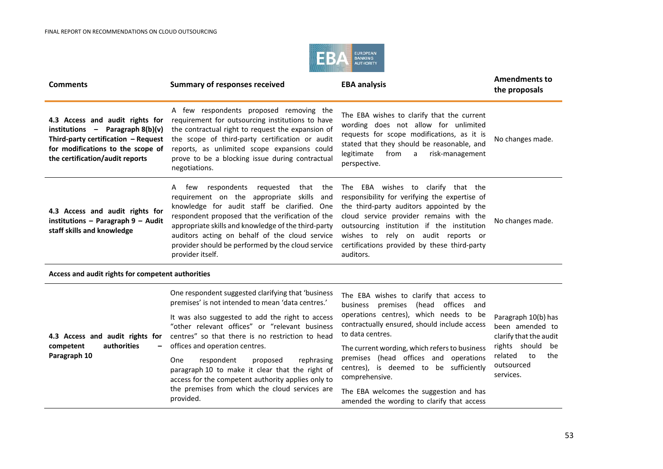

| <b>Comments</b>                                                                                                                                                                      | <b>Summary of responses received</b>                                                                                                                                                                                                                                                                                                                                                  | <b>EBA analysis</b>                                                                                                                                                                                                                                                                                                          | <b>Amendments to</b><br>the proposals                                                   |
|--------------------------------------------------------------------------------------------------------------------------------------------------------------------------------------|---------------------------------------------------------------------------------------------------------------------------------------------------------------------------------------------------------------------------------------------------------------------------------------------------------------------------------------------------------------------------------------|------------------------------------------------------------------------------------------------------------------------------------------------------------------------------------------------------------------------------------------------------------------------------------------------------------------------------|-----------------------------------------------------------------------------------------|
| 4.3 Access and audit rights for<br>institutions $-$ Paragraph 8(b)(v)<br>Third-party certification - Request<br>for modifications to the scope of<br>the certification/audit reports | A few respondents proposed removing the<br>requirement for outsourcing institutions to have<br>the contractual right to request the expansion of<br>the scope of third-party certification or audit<br>reports, as unlimited scope expansions could<br>prove to be a blocking issue during contractual<br>negotiations.                                                               | The EBA wishes to clarify that the current<br>wording does not allow for unlimited<br>requests for scope modifications, as it is<br>stated that they should be reasonable, and<br>from<br>legitimate<br>a<br>risk-management<br>perspective.                                                                                 | No changes made.                                                                        |
| 4.3 Access and audit rights for<br>institutions - Paragraph 9 - Audit<br>staff skills and knowledge                                                                                  | few respondents<br>reguested<br>that<br>the<br>A<br>requirement on the appropriate skills<br>and<br>knowledge for audit staff be clarified. One<br>respondent proposed that the verification of the<br>appropriate skills and knowledge of the third-party<br>auditors acting on behalf of the cloud service<br>provider should be performed by the cloud service<br>provider itself. | The EBA wishes to clarify that the<br>responsibility for verifying the expertise of<br>the third-party auditors appointed by the<br>cloud service provider remains with the<br>outsourcing institution if the institution<br>wishes to rely on audit reports or<br>certifications provided by these third-party<br>auditors. | No changes made.                                                                        |
| Access and audit rights for competent authorities                                                                                                                                    |                                                                                                                                                                                                                                                                                                                                                                                       |                                                                                                                                                                                                                                                                                                                              |                                                                                         |
|                                                                                                                                                                                      | One respondent suggested clarifying that 'business<br>premises' is not intended to mean 'data centres.'                                                                                                                                                                                                                                                                               | The EBA wishes to clarify that access to<br>premises (head offices and<br>business                                                                                                                                                                                                                                           |                                                                                         |
| 4.3 Access and audit rights for<br>authorities<br>competent                                                                                                                          | It was also suggested to add the right to access<br>"other relevant offices" or "relevant business<br>centres" so that there is no restriction to head<br>offices and operation centres.                                                                                                                                                                                              | operations centres), which needs to be<br>contractually ensured, should include access<br>to data centres.<br>The current wording, which refers to business                                                                                                                                                                  | Paragraph 10(b) has<br>been amended to<br>clarify that the audit<br>rights should<br>be |
| Paragraph 10                                                                                                                                                                         | rephrasing<br>One<br>respondent<br>proposed<br>paragraph 10 to make it clear that the right of<br>access for the competent authority applies only to                                                                                                                                                                                                                                  | premises (head offices and operations<br>centres), is deemed to be sufficiently<br>comprehensive.                                                                                                                                                                                                                            | related<br>to<br>the<br>outsourced<br>services.                                         |
|                                                                                                                                                                                      | the premises from which the cloud services are<br>provided.                                                                                                                                                                                                                                                                                                                           | The EBA welcomes the suggestion and has<br>amended the wording to clarify that access                                                                                                                                                                                                                                        |                                                                                         |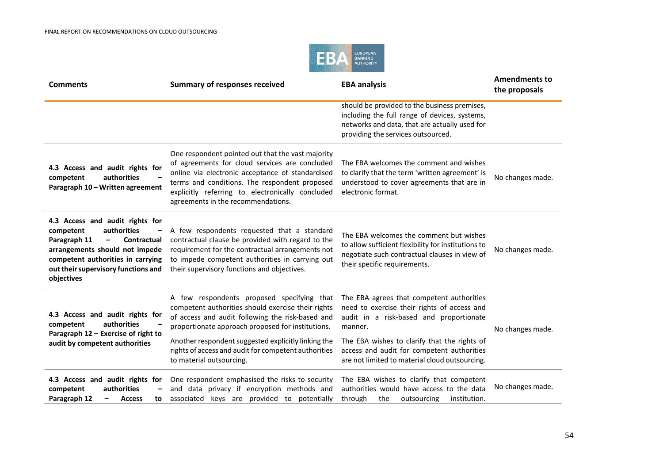

| <b>Comments</b>                                                                                                                                                                                                                             | <b>Summary of responses received</b>                                                                                                                                                                                                                                                               | <b>EBA analysis</b>                                                                                                                                                                  | <b>Amendments to</b><br>the proposals |
|---------------------------------------------------------------------------------------------------------------------------------------------------------------------------------------------------------------------------------------------|----------------------------------------------------------------------------------------------------------------------------------------------------------------------------------------------------------------------------------------------------------------------------------------------------|--------------------------------------------------------------------------------------------------------------------------------------------------------------------------------------|---------------------------------------|
|                                                                                                                                                                                                                                             |                                                                                                                                                                                                                                                                                                    | should be provided to the business premises,<br>including the full range of devices, systems,<br>networks and data, that are actually used for<br>providing the services outsourced. |                                       |
| 4.3 Access and audit rights for<br>authorities<br>competent<br>Paragraph 10 - Written agreement                                                                                                                                             | One respondent pointed out that the vast majority<br>of agreements for cloud services are concluded<br>online via electronic acceptance of standardised<br>terms and conditions. The respondent proposed<br>explicitly referring to electronically concluded<br>agreements in the recommendations. | The EBA welcomes the comment and wishes<br>to clarify that the term 'written agreement' is<br>understood to cover agreements that are in<br>electronic format.                       | No changes made.                      |
| 4.3 Access and audit rights for<br>authorities<br>competent<br>Paragraph 11<br>Contractual<br>$\qquad \qquad -$<br>arrangements should not impede<br>competent authorities in carrying<br>out their supervisory functions and<br>objectives | A few respondents requested that a standard<br>contractual clause be provided with regard to the<br>requirement for the contractual arrangements not<br>to impede competent authorities in carrying out<br>their supervisory functions and objectives.                                             | The EBA welcomes the comment but wishes<br>to allow sufficient flexibility for institutions to<br>negotiate such contractual clauses in view of<br>their specific requirements.      | No changes made.                      |
| 4.3 Access and audit rights for<br>authorities<br>competent<br>Paragraph 12 - Exercise of right to                                                                                                                                          | A few respondents proposed specifying that<br>competent authorities should exercise their rights<br>of access and audit following the risk-based and<br>proportionate approach proposed for institutions.                                                                                          | The EBA agrees that competent authorities<br>need to exercise their rights of access and<br>audit in a risk-based and proportionate<br>manner.                                       | No changes made.                      |
| audit by competent authorities                                                                                                                                                                                                              | Another respondent suggested explicitly linking the<br>rights of access and audit for competent authorities<br>to material outsourcing.                                                                                                                                                            | The EBA wishes to clarify that the rights of<br>access and audit for competent authorities<br>are not limited to material cloud outsourcing.                                         |                                       |
| 4.3 Access and audit rights for<br>authorities<br>competent<br>Paragraph 12<br><b>Access</b><br>to<br>-                                                                                                                                     | One respondent emphasised the risks to security<br>and data privacy if encryption methods and<br>associated keys are provided to potentially                                                                                                                                                       | The EBA wishes to clarify that competent<br>authorities would have access to the data<br>through<br>the<br>outsourcing<br>institution.                                               | No changes made.                      |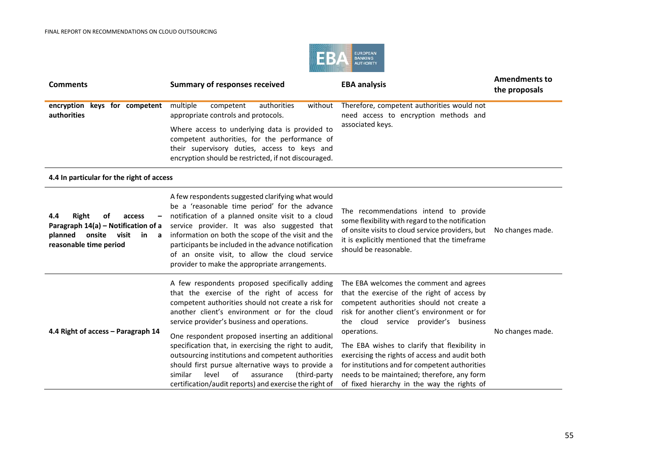

| <b>Comments</b>                                                                                                                        | <b>Summary of responses received</b>                                                                                                                                                                                                                                                                                                                                                                                                                                                                                                                                                          | <b>EBA analysis</b>                                                                                                                                                                                                                                                                                                                                                                                                                                                                            | <b>Amendments to</b><br>the proposals |
|----------------------------------------------------------------------------------------------------------------------------------------|-----------------------------------------------------------------------------------------------------------------------------------------------------------------------------------------------------------------------------------------------------------------------------------------------------------------------------------------------------------------------------------------------------------------------------------------------------------------------------------------------------------------------------------------------------------------------------------------------|------------------------------------------------------------------------------------------------------------------------------------------------------------------------------------------------------------------------------------------------------------------------------------------------------------------------------------------------------------------------------------------------------------------------------------------------------------------------------------------------|---------------------------------------|
| encryption keys for competent<br>authorities                                                                                           | multiple<br>authorities<br>competent<br>without<br>appropriate controls and protocols.<br>Where access to underlying data is provided to<br>competent authorities, for the performance of<br>their supervisory duties, access to keys and<br>encryption should be restricted, if not discouraged.                                                                                                                                                                                                                                                                                             | Therefore, competent authorities would not<br>need access to encryption methods and<br>associated keys.                                                                                                                                                                                                                                                                                                                                                                                        |                                       |
| 4.4 In particular for the right of access                                                                                              |                                                                                                                                                                                                                                                                                                                                                                                                                                                                                                                                                                                               |                                                                                                                                                                                                                                                                                                                                                                                                                                                                                                |                                       |
| Right<br>4.4<br>of<br>access<br>Paragraph 14(a) - Notification of a<br>planned<br>onsite<br>visit<br>in<br>a<br>reasonable time period | A few respondents suggested clarifying what would<br>be a 'reasonable time period' for the advance<br>notification of a planned onsite visit to a cloud<br>service provider. It was also suggested that<br>information on both the scope of the visit and the<br>participants be included in the advance notification<br>of an onsite visit, to allow the cloud service<br>provider to make the appropriate arrangements.                                                                                                                                                                     | The recommendations intend to provide<br>some flexibility with regard to the notification<br>of onsite visits to cloud service providers, but<br>it is explicitly mentioned that the timeframe<br>should be reasonable.                                                                                                                                                                                                                                                                        | No changes made.                      |
| 4.4 Right of access - Paragraph 14                                                                                                     | A few respondents proposed specifically adding<br>that the exercise of the right of access for<br>competent authorities should not create a risk for<br>another client's environment or for the cloud<br>service provider's business and operations.<br>One respondent proposed inserting an additional<br>specification that, in exercising the right to audit,<br>outsourcing institutions and competent authorities<br>should first pursue alternative ways to provide a<br>level<br>of<br>similar<br>assurance<br>(third-party)<br>certification/audit reports) and exercise the right of | The EBA welcomes the comment and agrees<br>that the exercise of the right of access by<br>competent authorities should not create a<br>risk for another client's environment or for<br>the cloud service provider's business<br>operations.<br>The EBA wishes to clarify that flexibility in<br>exercising the rights of access and audit both<br>for institutions and for competent authorities<br>needs to be maintained; therefore, any form<br>of fixed hierarchy in the way the rights of | No changes made.                      |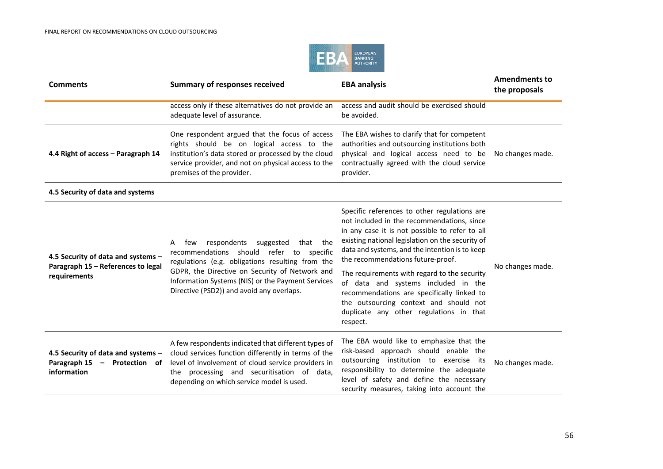

| <b>Comments</b>                                                                          | <b>Summary of responses received</b>                                                                                                                                                                                                                                                                 | <b>EBA analysis</b>                                                                                                                                                                                                                                                                                                                                                                                                                                                                                                           | <b>Amendments to</b><br>the proposals |
|------------------------------------------------------------------------------------------|------------------------------------------------------------------------------------------------------------------------------------------------------------------------------------------------------------------------------------------------------------------------------------------------------|-------------------------------------------------------------------------------------------------------------------------------------------------------------------------------------------------------------------------------------------------------------------------------------------------------------------------------------------------------------------------------------------------------------------------------------------------------------------------------------------------------------------------------|---------------------------------------|
|                                                                                          | access only if these alternatives do not provide an<br>adequate level of assurance.                                                                                                                                                                                                                  | access and audit should be exercised should<br>be avoided.                                                                                                                                                                                                                                                                                                                                                                                                                                                                    |                                       |
| 4.4 Right of access - Paragraph 14                                                       | One respondent argued that the focus of access<br>rights should be on logical access to the<br>institution's data stored or processed by the cloud<br>service provider, and not on physical access to the<br>premises of the provider.                                                               | The EBA wishes to clarify that for competent<br>authorities and outsourcing institutions both<br>physical and logical access need to be<br>contractually agreed with the cloud service<br>provider.                                                                                                                                                                                                                                                                                                                           | No changes made.                      |
| 4.5 Security of data and systems                                                         |                                                                                                                                                                                                                                                                                                      |                                                                                                                                                                                                                                                                                                                                                                                                                                                                                                                               |                                       |
| 4.5 Security of data and systems -<br>Paragraph 15 - References to legal<br>requirements | respondents<br>suggested<br>that the<br>few<br>A<br>recommendations should refer to specific<br>regulations (e.g. obligations resulting from the<br>GDPR, the Directive on Security of Network and<br>Information Systems (NIS) or the Payment Services<br>Directive (PSD2)) and avoid any overlaps. | Specific references to other regulations are<br>not included in the recommendations, since<br>in any case it is not possible to refer to all<br>existing national legislation on the security of<br>data and systems, and the intention is to keep<br>the recommendations future-proof.<br>The requirements with regard to the security<br>of data and systems included in the<br>recommendations are specifically linked to<br>the outsourcing context and should not<br>duplicate any other regulations in that<br>respect. | No changes made.                      |
| 4.5 Security of data and systems -<br>Paragraph 15 - Protection of<br>information        | A few respondents indicated that different types of<br>cloud services function differently in terms of the<br>level of involvement of cloud service providers in<br>the processing and securitisation of data,<br>depending on which service model is used.                                          | The EBA would like to emphasize that the<br>risk-based approach should enable the<br>outsourcing institution to exercise its<br>responsibility to determine the adequate<br>level of safety and define the necessary<br>security measures, taking into account the                                                                                                                                                                                                                                                            | No changes made.                      |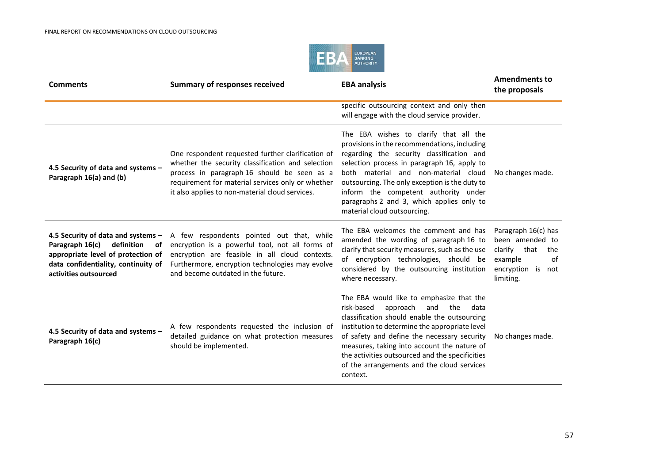

| <b>Comments</b>                                                                                                                                                                 | <b>Summary of responses received</b>                                                                                                                                                                                                                          | <b>EBA analysis</b>                                                                                                                                                                                                                                                                                                                                                                                   | <b>Amendments to</b><br>the proposals                                                                            |
|---------------------------------------------------------------------------------------------------------------------------------------------------------------------------------|---------------------------------------------------------------------------------------------------------------------------------------------------------------------------------------------------------------------------------------------------------------|-------------------------------------------------------------------------------------------------------------------------------------------------------------------------------------------------------------------------------------------------------------------------------------------------------------------------------------------------------------------------------------------------------|------------------------------------------------------------------------------------------------------------------|
|                                                                                                                                                                                 |                                                                                                                                                                                                                                                               | specific outsourcing context and only then<br>will engage with the cloud service provider.                                                                                                                                                                                                                                                                                                            |                                                                                                                  |
| 4.5 Security of data and systems -<br>Paragraph 16(a) and (b)                                                                                                                   | One respondent requested further clarification of<br>whether the security classification and selection<br>process in paragraph 16 should be seen as a<br>requirement for material services only or whether<br>it also applies to non-material cloud services. | The EBA wishes to clarify that all the<br>provisions in the recommendations, including<br>regarding the security classification and<br>selection process in paragraph 16, apply to<br>both material and non-material cloud<br>outsourcing. The only exception is the duty to<br>inform the competent authority under<br>paragraphs 2 and 3, which applies only to<br>material cloud outsourcing.      | No changes made.                                                                                                 |
| 4.5 Security of data and systems -<br>Paragraph 16(c)<br>definition<br>of<br>appropriate level of protection of<br>data confidentiality, continuity of<br>activities outsourced | A few respondents pointed out that, while<br>encryption is a powerful tool, not all forms of<br>encryption are feasible in all cloud contexts.<br>Furthermore, encryption technologies may evolve<br>and become outdated in the future.                       | The EBA welcomes the comment and has<br>amended the wording of paragraph 16 to<br>clarify that security measures, such as the use<br>of encryption technologies, should be<br>considered by the outsourcing institution<br>where necessary.                                                                                                                                                           | Paragraph 16(c) has<br>been amended to<br>clarify that<br>the<br>example<br>of<br>encryption is not<br>limiting. |
| 4.5 Security of data and systems -<br>Paragraph 16(c)                                                                                                                           | A few respondents requested the inclusion of<br>detailed guidance on what protection measures<br>should be implemented.                                                                                                                                       | The EBA would like to emphasize that the<br>risk-based<br>approach<br>and<br>the<br>data<br>classification should enable the outsourcing<br>institution to determine the appropriate level<br>of safety and define the necessary security<br>measures, taking into account the nature of<br>the activities outsourced and the specificities<br>of the arrangements and the cloud services<br>context. | No changes made.                                                                                                 |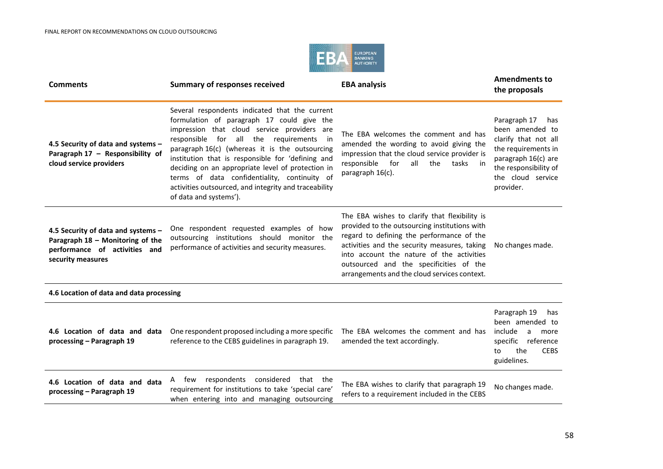

| <b>Comments</b>                                                                                                              | <b>Summary of responses received</b>                                                                                                                                                                                                                                                                                                                                                                                                                                                     | <b>EBA analysis</b>                                                                                                                                                                                                                                                                                                                 | <b>Amendments to</b><br>the proposals                                                                                                                                   |
|------------------------------------------------------------------------------------------------------------------------------|------------------------------------------------------------------------------------------------------------------------------------------------------------------------------------------------------------------------------------------------------------------------------------------------------------------------------------------------------------------------------------------------------------------------------------------------------------------------------------------|-------------------------------------------------------------------------------------------------------------------------------------------------------------------------------------------------------------------------------------------------------------------------------------------------------------------------------------|-------------------------------------------------------------------------------------------------------------------------------------------------------------------------|
| 4.5 Security of data and systems -<br>Paragraph 17 - Responsibility of<br>cloud service providers                            | Several respondents indicated that the current<br>formulation of paragraph 17 could give the<br>impression that cloud service providers are<br>responsible for all the<br>requirements in<br>paragraph 16(c) (whereas it is the outsourcing<br>institution that is responsible for 'defining and<br>deciding on an appropriate level of protection in<br>terms of data confidentiality, continuity of<br>activities outsourced, and integrity and traceability<br>of data and systems'). | The EBA welcomes the comment and has<br>amended the wording to avoid giving the<br>impression that the cloud service provider is<br>for<br>responsible<br>all<br>the<br>tasks<br>in<br>paragraph 16(c).                                                                                                                             | Paragraph 17<br>has<br>been amended to<br>clarify that not all<br>the requirements in<br>paragraph 16(c) are<br>the responsibility of<br>the cloud service<br>provider. |
| 4.5 Security of data and systems -<br>Paragraph 18 - Monitoring of the<br>performance of activities and<br>security measures | One respondent requested examples of how<br>outsourcing institutions should monitor the<br>performance of activities and security measures.                                                                                                                                                                                                                                                                                                                                              | The EBA wishes to clarify that flexibility is<br>provided to the outsourcing institutions with<br>regard to defining the performance of the<br>activities and the security measures, taking<br>into account the nature of the activities<br>outsourced and the specificities of the<br>arrangements and the cloud services context. | No changes made.                                                                                                                                                        |
| 4.6 Location of data and data processing                                                                                     |                                                                                                                                                                                                                                                                                                                                                                                                                                                                                          |                                                                                                                                                                                                                                                                                                                                     |                                                                                                                                                                         |
| 4.6 Location of data and data<br>processing - Paragraph 19                                                                   | One respondent proposed including a more specific<br>reference to the CEBS guidelines in paragraph 19.                                                                                                                                                                                                                                                                                                                                                                                   | The EBA welcomes the comment and has<br>amended the text accordingly.                                                                                                                                                                                                                                                               | Paragraph 19<br>has<br>been amended to<br>include<br>a<br>more<br>specific reference<br>the<br><b>CEBS</b><br>to<br>guidelines.                                         |
| 4.6 Location of data and data<br>processing - Paragraph 19                                                                   | respondents considered<br>A few<br>that the<br>requirement for institutions to take 'special care'<br>when entering into and managing outsourcing                                                                                                                                                                                                                                                                                                                                        | The EBA wishes to clarify that paragraph 19<br>refers to a requirement included in the CEBS                                                                                                                                                                                                                                         | No changes made.                                                                                                                                                        |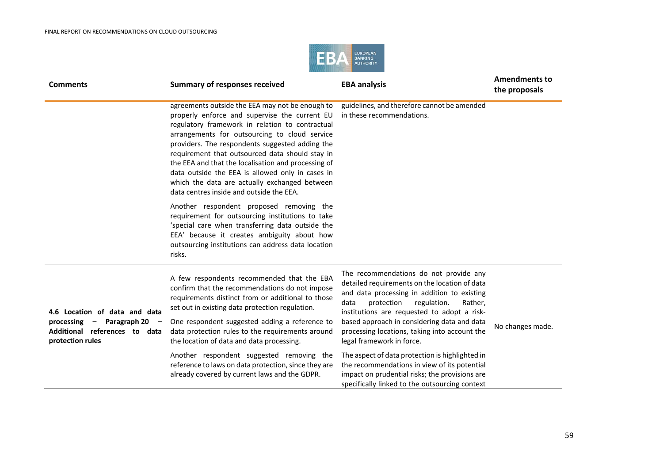

| <b>Comments</b>                                                                                                       | <b>Summary of responses received</b>                                                                                                                                                                                                                                                                                                                                                                                                                                                                               | <b>EBA analysis</b>                                                                                                                                                                                                                                                                                                                                                | <b>Amendments to</b><br>the proposals |
|-----------------------------------------------------------------------------------------------------------------------|--------------------------------------------------------------------------------------------------------------------------------------------------------------------------------------------------------------------------------------------------------------------------------------------------------------------------------------------------------------------------------------------------------------------------------------------------------------------------------------------------------------------|--------------------------------------------------------------------------------------------------------------------------------------------------------------------------------------------------------------------------------------------------------------------------------------------------------------------------------------------------------------------|---------------------------------------|
|                                                                                                                       | agreements outside the EEA may not be enough to<br>properly enforce and supervise the current EU<br>regulatory framework in relation to contractual<br>arrangements for outsourcing to cloud service<br>providers. The respondents suggested adding the<br>requirement that outsourced data should stay in<br>the EEA and that the localisation and processing of<br>data outside the EEA is allowed only in cases in<br>which the data are actually exchanged between<br>data centres inside and outside the EEA. | guidelines, and therefore cannot be amended<br>in these recommendations.                                                                                                                                                                                                                                                                                           |                                       |
|                                                                                                                       | Another respondent proposed removing the<br>requirement for outsourcing institutions to take<br>'special care when transferring data outside the<br>EEA' because it creates ambiguity about how<br>outsourcing institutions can address data location<br>risks.                                                                                                                                                                                                                                                    |                                                                                                                                                                                                                                                                                                                                                                    |                                       |
| 4.6 Location of data and data<br>processing $-$ Paragraph 20 $-$<br>Additional references to data<br>protection rules | A few respondents recommended that the EBA<br>confirm that the recommendations do not impose<br>requirements distinct from or additional to those<br>set out in existing data protection regulation.<br>One respondent suggested adding a reference to<br>data protection rules to the requirements around<br>the location of data and data processing.                                                                                                                                                            | The recommendations do not provide any<br>detailed requirements on the location of data<br>and data processing in addition to existing<br>protection<br>regulation.<br>Rather,<br>data<br>institutions are requested to adopt a risk-<br>based approach in considering data and data<br>processing locations, taking into account the<br>legal framework in force. | No changes made.                      |
|                                                                                                                       | Another respondent suggested removing the<br>reference to laws on data protection, since they are<br>already covered by current laws and the GDPR.                                                                                                                                                                                                                                                                                                                                                                 | The aspect of data protection is highlighted in<br>the recommendations in view of its potential<br>impact on prudential risks; the provisions are<br>specifically linked to the outsourcing context                                                                                                                                                                |                                       |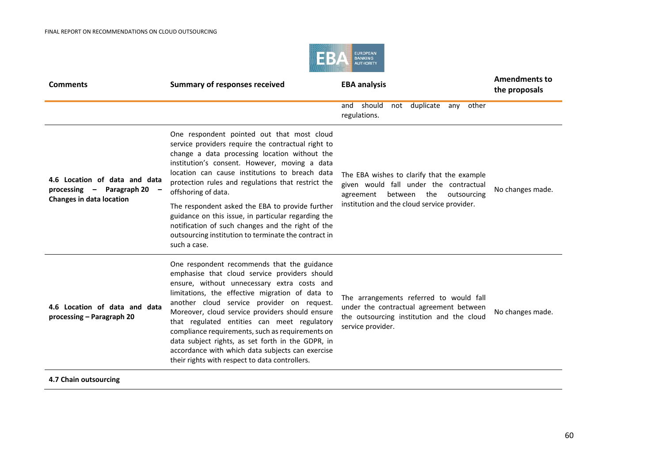

| <b>Comments</b>                                                                               | <b>Summary of responses received</b>                                                                                                                                                                                                                                                                                                                                                                                                                                                                                                                          | <b>EBA analysis</b>                                                                                                                                                            | <b>Amendments to</b><br>the proposals |
|-----------------------------------------------------------------------------------------------|---------------------------------------------------------------------------------------------------------------------------------------------------------------------------------------------------------------------------------------------------------------------------------------------------------------------------------------------------------------------------------------------------------------------------------------------------------------------------------------------------------------------------------------------------------------|--------------------------------------------------------------------------------------------------------------------------------------------------------------------------------|---------------------------------------|
|                                                                                               |                                                                                                                                                                                                                                                                                                                                                                                                                                                                                                                                                               | not duplicate<br>other<br>should<br>and<br>any<br>regulations.                                                                                                                 |                                       |
| 4.6 Location of data and data<br>processing - Paragraph 20<br><b>Changes in data location</b> | One respondent pointed out that most cloud<br>service providers require the contractual right to<br>change a data processing location without the<br>institution's consent. However, moving a data<br>location can cause institutions to breach data<br>protection rules and regulations that restrict the<br>offshoring of data.                                                                                                                                                                                                                             | The EBA wishes to clarify that the example<br>given would fall under the contractual<br>between the<br>agreement<br>outsourcing<br>institution and the cloud service provider. | No changes made.                      |
|                                                                                               | The respondent asked the EBA to provide further<br>guidance on this issue, in particular regarding the<br>notification of such changes and the right of the<br>outsourcing institution to terminate the contract in<br>such a case.                                                                                                                                                                                                                                                                                                                           |                                                                                                                                                                                |                                       |
| 4.6 Location of data and data<br>processing – Paragraph 20                                    | One respondent recommends that the guidance<br>emphasise that cloud service providers should<br>ensure, without unnecessary extra costs and<br>limitations, the effective migration of data to<br>another cloud service provider on request.<br>Moreover, cloud service providers should ensure<br>that regulated entities can meet regulatory<br>compliance requirements, such as requirements on<br>data subject rights, as set forth in the GDPR, in<br>accordance with which data subjects can exercise<br>their rights with respect to data controllers. | The arrangements referred to would fall<br>under the contractual agreement between<br>the outsourcing institution and the cloud<br>service provider.                           | No changes made.                      |

**4.7 Chain outsourcing**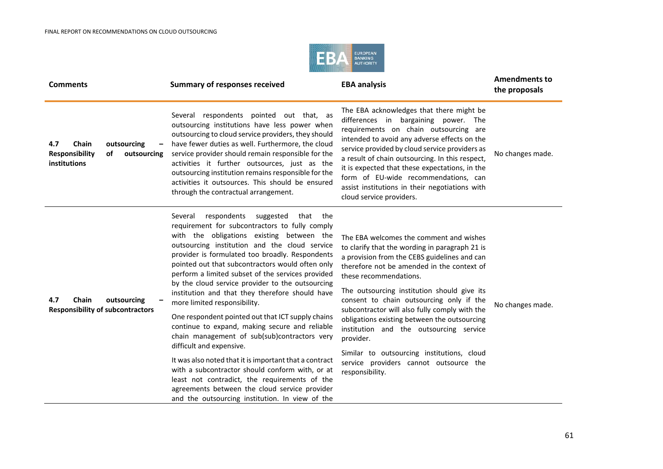

| <b>Comments</b>                                                                    | <b>Summary of responses received</b>                                                                                                                                                                                                                                                                                                                                                                                                                                                                                                                                                                                                                                                                                                                                                                                                                                                                                                                       | <b>EBA analysis</b>                                                                                                                                                                                                                                                                                                                                                                                                                                                                                                                                                              | <b>Amendments to</b><br>the proposals |
|------------------------------------------------------------------------------------|------------------------------------------------------------------------------------------------------------------------------------------------------------------------------------------------------------------------------------------------------------------------------------------------------------------------------------------------------------------------------------------------------------------------------------------------------------------------------------------------------------------------------------------------------------------------------------------------------------------------------------------------------------------------------------------------------------------------------------------------------------------------------------------------------------------------------------------------------------------------------------------------------------------------------------------------------------|----------------------------------------------------------------------------------------------------------------------------------------------------------------------------------------------------------------------------------------------------------------------------------------------------------------------------------------------------------------------------------------------------------------------------------------------------------------------------------------------------------------------------------------------------------------------------------|---------------------------------------|
| Chain<br>outsourcing<br>4.7<br>Responsibility<br>of<br>outsourcing<br>institutions | Several respondents pointed out that, as<br>outsourcing institutions have less power when<br>outsourcing to cloud service providers, they should<br>have fewer duties as well. Furthermore, the cloud<br>service provider should remain responsible for the<br>activities it further outsources, just as the<br>outsourcing institution remains responsible for the<br>activities it outsources. This should be ensured<br>through the contractual arrangement.                                                                                                                                                                                                                                                                                                                                                                                                                                                                                            | The EBA acknowledges that there might be<br>differences in bargaining power. The<br>requirements on chain outsourcing are<br>intended to avoid any adverse effects on the<br>service provided by cloud service providers as<br>a result of chain outsourcing. In this respect,<br>it is expected that these expectations, in the<br>form of EU-wide recommendations, can<br>assist institutions in their negotiations with<br>cloud service providers.                                                                                                                           | No changes made.                      |
| 4.7<br>Chain<br>outsourcing<br><b>Responsibility of subcontractors</b>             | respondents<br>suggested<br>Several<br>that<br>the<br>requirement for subcontractors to fully comply<br>with the obligations existing between the<br>outsourcing institution and the cloud service<br>provider is formulated too broadly. Respondents<br>pointed out that subcontractors would often only<br>perform a limited subset of the services provided<br>by the cloud service provider to the outsourcing<br>institution and that they therefore should have<br>more limited responsibility.<br>One respondent pointed out that ICT supply chains<br>continue to expand, making secure and reliable<br>chain management of sub(sub)contractors very<br>difficult and expensive.<br>It was also noted that it is important that a contract<br>with a subcontractor should conform with, or at<br>least not contradict, the requirements of the<br>agreements between the cloud service provider<br>and the outsourcing institution. In view of the | The EBA welcomes the comment and wishes<br>to clarify that the wording in paragraph 21 is<br>a provision from the CEBS guidelines and can<br>therefore not be amended in the context of<br>these recommendations.<br>The outsourcing institution should give its<br>consent to chain outsourcing only if the<br>subcontractor will also fully comply with the<br>obligations existing between the outsourcing<br>institution and the outsourcing service<br>provider.<br>Similar to outsourcing institutions, cloud<br>service providers cannot outsource the<br>responsibility. | No changes made.                      |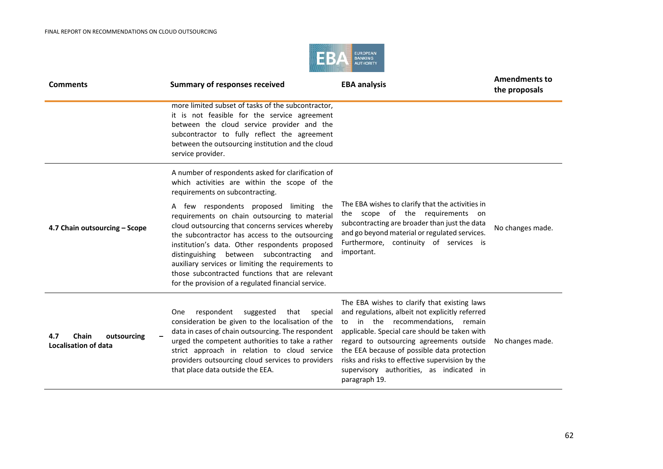

| <b>Comments</b>                                     | <b>Summary of responses received</b>                                                                                                                                                                                                                                                                                                                                                                                                                           | <b>EBA analysis</b>                                                                                                                                                                                                                                                                                                                                                                              | <b>Amendments to</b><br>the proposals |
|-----------------------------------------------------|----------------------------------------------------------------------------------------------------------------------------------------------------------------------------------------------------------------------------------------------------------------------------------------------------------------------------------------------------------------------------------------------------------------------------------------------------------------|--------------------------------------------------------------------------------------------------------------------------------------------------------------------------------------------------------------------------------------------------------------------------------------------------------------------------------------------------------------------------------------------------|---------------------------------------|
|                                                     | more limited subset of tasks of the subcontractor,<br>it is not feasible for the service agreement<br>between the cloud service provider and the<br>subcontractor to fully reflect the agreement<br>between the outsourcing institution and the cloud<br>service provider.                                                                                                                                                                                     |                                                                                                                                                                                                                                                                                                                                                                                                  |                                       |
|                                                     | A number of respondents asked for clarification of<br>which activities are within the scope of the<br>requirements on subcontracting.                                                                                                                                                                                                                                                                                                                          |                                                                                                                                                                                                                                                                                                                                                                                                  |                                       |
| 4.7 Chain outsourcing - Scope                       | A few respondents proposed limiting the<br>requirements on chain outsourcing to material<br>cloud outsourcing that concerns services whereby<br>the subcontractor has access to the outsourcing<br>institution's data. Other respondents proposed<br>distinguishing between subcontracting and<br>auxiliary services or limiting the requirements to<br>those subcontracted functions that are relevant<br>for the provision of a regulated financial service. | The EBA wishes to clarify that the activities in<br>the scope of the requirements on<br>subcontracting are broader than just the data<br>and go beyond material or regulated services.<br>Furthermore, continuity of services is<br>important.                                                                                                                                                   | No changes made.                      |
| Chain<br>4.7<br>outsourcing<br>Localisation of data | respondent<br>suggested<br>that<br>special<br><b>One</b><br>consideration be given to the localisation of the<br>data in cases of chain outsourcing. The respondent<br>urged the competent authorities to take a rather<br>strict approach in relation to cloud service<br>providers outsourcing cloud services to providers<br>that place data outside the EEA.                                                                                               | The EBA wishes to clarify that existing laws<br>and regulations, albeit not explicitly referred<br>to in the recommendations, remain<br>applicable. Special care should be taken with<br>regard to outsourcing agreements outside<br>the EEA because of possible data protection<br>risks and risks to effective supervision by the<br>supervisory authorities, as indicated in<br>paragraph 19. | No changes made.                      |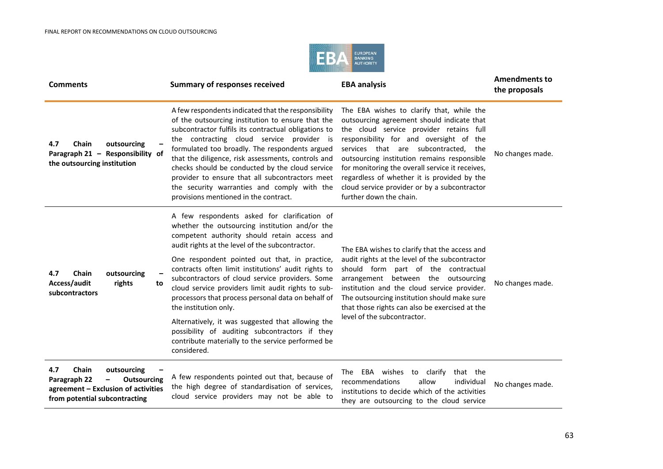

| <b>Comments</b>                                                                                                                                                       | <b>Summary of responses received</b>                                                                                                                                                                                                                                                                                                                                                                                                                                                                                                                   | <b>EBA analysis</b>                                                                                                                                                                                                                                                                                                                                                                                                                                  | <b>Amendments to</b><br>the proposals |
|-----------------------------------------------------------------------------------------------------------------------------------------------------------------------|--------------------------------------------------------------------------------------------------------------------------------------------------------------------------------------------------------------------------------------------------------------------------------------------------------------------------------------------------------------------------------------------------------------------------------------------------------------------------------------------------------------------------------------------------------|------------------------------------------------------------------------------------------------------------------------------------------------------------------------------------------------------------------------------------------------------------------------------------------------------------------------------------------------------------------------------------------------------------------------------------------------------|---------------------------------------|
| Chain<br>outsourcing<br>4.7<br>Paragraph 21 - Responsibility of<br>the outsourcing institution                                                                        | A few respondents indicated that the responsibility<br>of the outsourcing institution to ensure that the<br>subcontractor fulfils its contractual obligations to<br>the contracting cloud service provider is<br>formulated too broadly. The respondents argued<br>that the diligence, risk assessments, controls and<br>checks should be conducted by the cloud service<br>provider to ensure that all subcontractors meet<br>the security warranties and comply with the<br>provisions mentioned in the contract.                                    | The EBA wishes to clarify that, while the<br>outsourcing agreement should indicate that<br>the cloud service provider retains full<br>responsibility for and oversight of the<br>services that are subcontracted,<br>the<br>outsourcing institution remains responsible<br>for monitoring the overall service it receives,<br>regardless of whether it is provided by the<br>cloud service provider or by a subcontractor<br>further down the chain. | No changes made.                      |
| Chain<br>outsourcing<br>4.7<br>Access/audit<br>rights<br>to<br>subcontractors                                                                                         | A few respondents asked for clarification of<br>whether the outsourcing institution and/or the<br>competent authority should retain access and<br>audit rights at the level of the subcontractor.<br>One respondent pointed out that, in practice,<br>contracts often limit institutions' audit rights to<br>subcontractors of cloud service providers. Some<br>cloud service providers limit audit rights to sub-<br>processors that process personal data on behalf of<br>the institution only.<br>Alternatively, it was suggested that allowing the | The EBA wishes to clarify that the access and<br>audit rights at the level of the subcontractor<br>should form part of the contractual<br>arrangement between the outsourcing<br>institution and the cloud service provider.<br>The outsourcing institution should make sure<br>that those rights can also be exercised at the<br>level of the subcontractor.                                                                                        | No changes made.                      |
|                                                                                                                                                                       | possibility of auditing subcontractors if they<br>contribute materially to the service performed be<br>considered.                                                                                                                                                                                                                                                                                                                                                                                                                                     |                                                                                                                                                                                                                                                                                                                                                                                                                                                      |                                       |
| Chain<br>4.7<br>outsourcing<br>Paragraph 22<br><b>Outsourcing</b><br>$\overline{\phantom{0}}$<br>agreement - Exclusion of activities<br>from potential subcontracting | A few respondents pointed out that, because of<br>the high degree of standardisation of services,<br>cloud service providers may not be able to                                                                                                                                                                                                                                                                                                                                                                                                        | The EBA wishes to clarify<br>that the<br>recommendations<br>allow<br>individual<br>institutions to decide which of the activities<br>they are outsourcing to the cloud service                                                                                                                                                                                                                                                                       | No changes made.                      |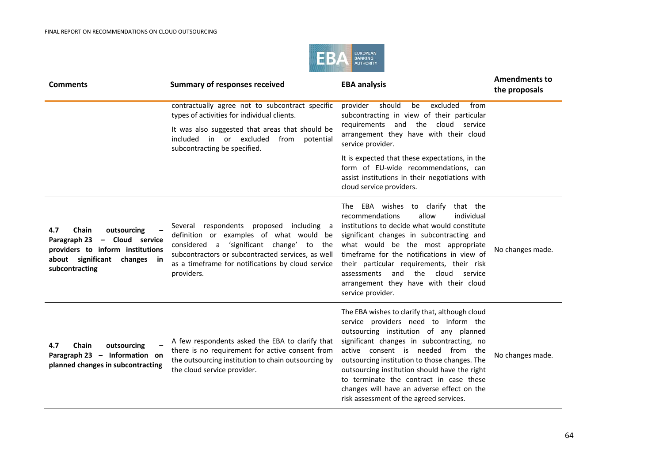

| <b>Comments</b>                                                                                                                                         | <b>Summary of responses received</b>                                                                                                                                                                                                                    | <b>EBA analysis</b>                                                                                                                                                                                                                                                                                                                                                                                                                                      | <b>Amendments to</b><br>the proposals |
|---------------------------------------------------------------------------------------------------------------------------------------------------------|---------------------------------------------------------------------------------------------------------------------------------------------------------------------------------------------------------------------------------------------------------|----------------------------------------------------------------------------------------------------------------------------------------------------------------------------------------------------------------------------------------------------------------------------------------------------------------------------------------------------------------------------------------------------------------------------------------------------------|---------------------------------------|
|                                                                                                                                                         | contractually agree not to subcontract specific<br>types of activities for individual clients.                                                                                                                                                          | provider<br>should<br>excluded<br>be<br>from<br>subcontracting in view of their particular                                                                                                                                                                                                                                                                                                                                                               |                                       |
|                                                                                                                                                         | It was also suggested that areas that should be<br>included in or excluded<br>from potential<br>subcontracting be specified.                                                                                                                            | requirements and the cloud service<br>arrangement they have with their cloud<br>service provider.                                                                                                                                                                                                                                                                                                                                                        |                                       |
|                                                                                                                                                         |                                                                                                                                                                                                                                                         | It is expected that these expectations, in the<br>form of EU-wide recommendations, can<br>assist institutions in their negotiations with<br>cloud service providers.                                                                                                                                                                                                                                                                                     |                                       |
| Chain<br>4.7<br>outsourcing<br>Paragraph 23<br>- Cloud service<br>providers to inform institutions<br>about significant<br>changes in<br>subcontracting | Several respondents proposed including a<br>definition or examples of what would be<br>considered a 'significant change' to the<br>subcontractors or subcontracted services, as well<br>as a timeframe for notifications by cloud service<br>providers. | The EBA wishes to clarify that the<br>recommendations<br>allow<br>individual<br>institutions to decide what would constitute<br>significant changes in subcontracting and<br>what would be the most appropriate<br>timeframe for the notifications in view of<br>their particular requirements, their risk<br>and the<br>cloud<br>assessments<br>service<br>arrangement they have with their cloud<br>service provider.                                  | No changes made.                      |
| Chain<br>outsourcing<br>4.7<br>Paragraph 23 - Information on<br>planned changes in subcontracting                                                       | A few respondents asked the EBA to clarify that<br>there is no requirement for active consent from<br>the outsourcing institution to chain outsourcing by<br>the cloud service provider.                                                                | The EBA wishes to clarify that, although cloud<br>service providers need to inform the<br>outsourcing institution of any planned<br>significant changes in subcontracting, no<br>active consent is needed from the<br>outsourcing institution to those changes. The<br>outsourcing institution should have the right<br>to terminate the contract in case these<br>changes will have an adverse effect on the<br>risk assessment of the agreed services. | No changes made.                      |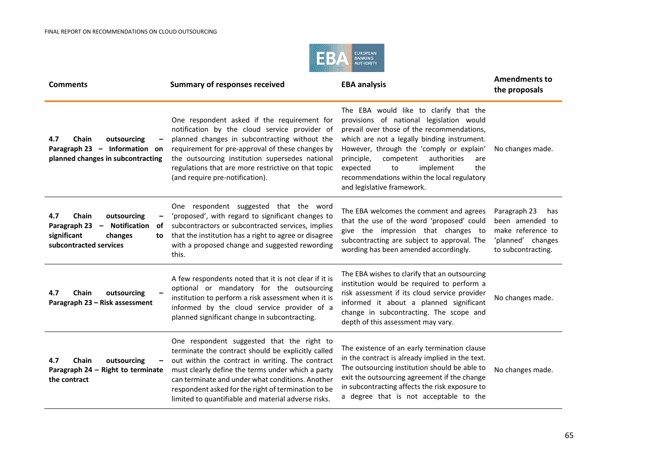

| <b>Comments</b>                                                                                                                                    | <b>Summary of responses received</b>                                                                                                                                                                                                                                                                                                                                        | <b>EBA analysis</b>                                                                                                                                                                                                                                                                                                                                                                             | <b>Amendments to</b><br>the proposals                                                                  |
|----------------------------------------------------------------------------------------------------------------------------------------------------|-----------------------------------------------------------------------------------------------------------------------------------------------------------------------------------------------------------------------------------------------------------------------------------------------------------------------------------------------------------------------------|-------------------------------------------------------------------------------------------------------------------------------------------------------------------------------------------------------------------------------------------------------------------------------------------------------------------------------------------------------------------------------------------------|--------------------------------------------------------------------------------------------------------|
| 4.7<br>Chain<br>outsourcing<br>Paragraph 23 - Information on<br>planned changes in subcontracting                                                  | One respondent asked if the requirement for<br>notification by the cloud service provider of<br>planned changes in subcontracting without the<br>requirement for pre-approval of these changes by<br>the outsourcing institution supersedes national<br>regulations that are more restrictive on that topic<br>(and require pre-notification).                              | The EBA would like to clarify that the<br>provisions of national legislation would<br>prevail over those of the recommendations,<br>which are not a legally binding instrument.<br>However, through the 'comply or explain'<br>authorities<br>competent<br>principle,<br>are<br>implement<br>the<br>expected<br>to<br>recommendations within the local regulatory<br>and legislative framework. | No changes made.                                                                                       |
| 4.7<br>Chain<br>outsourcing<br>$\qquad \qquad -$<br>Paragraph 23<br>- Notification<br>of<br>significant<br>changes<br>to<br>subcontracted services | One respondent suggested that the word<br>'proposed', with regard to significant changes to<br>subcontractors or subcontracted services, implies<br>that the institution has a right to agree or disagree<br>with a proposed change and suggested rewording<br>this.                                                                                                        | The EBA welcomes the comment and agrees<br>that the use of the word 'proposed' could<br>give the impression that changes to<br>subcontracting are subject to approval. The<br>wording has been amended accordingly.                                                                                                                                                                             | Paragraph 23<br>has<br>been amended to<br>make reference to<br>'planned' changes<br>to subcontracting. |
| Chain<br>outsourcing<br>4.7<br>Paragraph 23 - Risk assessment                                                                                      | A few respondents noted that it is not clear if it is<br>optional or mandatory for the outsourcing<br>institution to perform a risk assessment when it is<br>informed by the cloud service provider of a<br>planned significant change in subcontracting.                                                                                                                   | The EBA wishes to clarify that an outsourcing<br>institution would be required to perform a<br>risk assessment if its cloud service provider<br>informed it about a planned significant<br>change in subcontracting. The scope and<br>depth of this assessment may vary.                                                                                                                        | No changes made.                                                                                       |
| 4.7<br>Chain<br>outsourcing<br>Paragraph 24 - Right to terminate<br>the contract                                                                   | One respondent suggested that the right to<br>terminate the contract should be explicitly called<br>out within the contract in writing. The contract<br>must clearly define the terms under which a party<br>can terminate and under what conditions. Another<br>respondent asked for the right of termination to be<br>limited to quantifiable and material adverse risks. | The existence of an early termination clause<br>in the contract is already implied in the text.<br>The outsourcing institution should be able to<br>exit the outsourcing agreement if the change<br>in subcontracting affects the risk exposure to<br>a degree that is not acceptable to the                                                                                                    | No changes made.                                                                                       |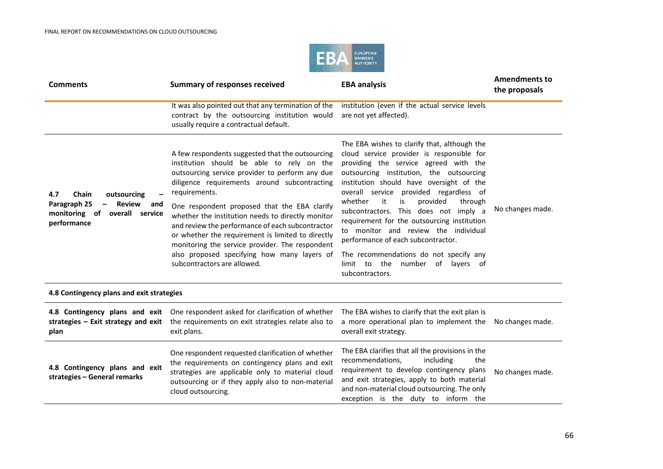

| <b>Comments</b>                                                                                                   | <b>Summary of responses received</b>                                                                                                                                                                                                                                                        | <b>EBA analysis</b>                                                                                                                                                                                                                                                                                                                                         | <b>Amendments to</b><br>the proposals |
|-------------------------------------------------------------------------------------------------------------------|---------------------------------------------------------------------------------------------------------------------------------------------------------------------------------------------------------------------------------------------------------------------------------------------|-------------------------------------------------------------------------------------------------------------------------------------------------------------------------------------------------------------------------------------------------------------------------------------------------------------------------------------------------------------|---------------------------------------|
|                                                                                                                   | It was also pointed out that any termination of the<br>contract by the outsourcing institution would<br>usually require a contractual default.                                                                                                                                              | institution (even if the actual service levels<br>are not yet affected).                                                                                                                                                                                                                                                                                    |                                       |
| 4.7<br>Chain<br>outsourcing<br>Paragraph 25<br>Review<br>-<br>and<br>monitoring of overall service<br>performance | A few respondents suggested that the outsourcing<br>institution should be able to rely on the<br>outsourcing service provider to perform any due<br>diligence requirements around subcontracting<br>requirements.<br>One respondent proposed that the EBA clarify                           | The EBA wishes to clarify that, although the<br>cloud service provider is responsible for<br>providing the service agreed with the<br>outsourcing institution, the outsourcing<br>institution should have oversight of the<br>overall service provided regardless of<br>whether<br>it<br>is<br>provided<br>through<br>subcontractors. This does not imply a | No changes made.                      |
|                                                                                                                   | whether the institution needs to directly monitor<br>and review the performance of each subcontractor<br>or whether the requirement is limited to directly<br>monitoring the service provider. The respondent<br>also proposed specifying how many layers of<br>subcontractors are allowed. | requirement for the outsourcing institution<br>to monitor and review the individual<br>performance of each subcontractor.<br>The recommendations do not specify any<br>limit to the number of layers of<br>subcontractors.                                                                                                                                  |                                       |
| 4.8 Contingency plans and exit strategies                                                                         |                                                                                                                                                                                                                                                                                             |                                                                                                                                                                                                                                                                                                                                                             |                                       |
| strategies $-$ Exit strategy and exit<br>plan                                                                     | 4.8 Contingency plans and exit One respondent asked for clarification of whether<br>the requirements on exit strategies relate also to<br>exit plans.                                                                                                                                       | The EBA wishes to clarify that the exit plan is<br>a more operational plan to implement the<br>overall exit strategy.                                                                                                                                                                                                                                       | No changes made.                      |
| 4.8 Contingency plans and exit<br>strategies - General remarks                                                    | One respondent requested clarification of whether<br>the requirements on contingency plans and exit<br>strategies are applicable only to material cloud<br>outsourcing or if they apply also to non-material<br>cloud outsourcing.                                                          | The EBA clarifies that all the provisions in the<br>recommendations,<br>including<br>the<br>requirement to develop contingency plans<br>and exit strategies, apply to both material<br>and non-material cloud outsourcing. The only<br>exception is the duty to inform the                                                                                  | No changes made.                      |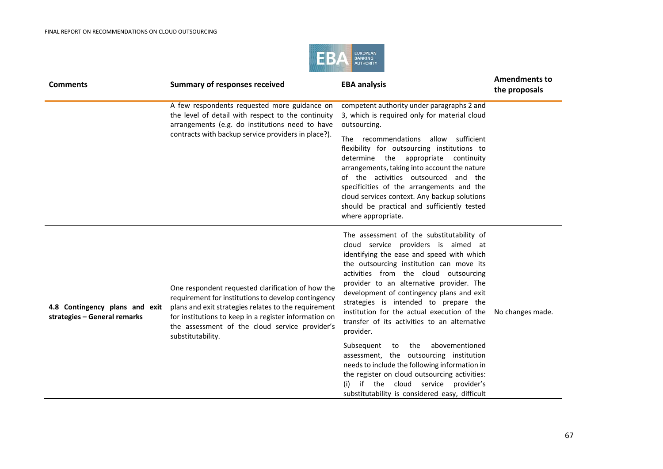

| <b>Comments</b>                                                | <b>Summary of responses received</b>                                                                                                                                                                                                                                                             | <b>EBA analysis</b>                                                                                                                                                                                                                                                                                                                                                                                                                                                                                                                                                                                                                                                                                                                              | <b>Amendments to</b><br>the proposals |
|----------------------------------------------------------------|--------------------------------------------------------------------------------------------------------------------------------------------------------------------------------------------------------------------------------------------------------------------------------------------------|--------------------------------------------------------------------------------------------------------------------------------------------------------------------------------------------------------------------------------------------------------------------------------------------------------------------------------------------------------------------------------------------------------------------------------------------------------------------------------------------------------------------------------------------------------------------------------------------------------------------------------------------------------------------------------------------------------------------------------------------------|---------------------------------------|
|                                                                | A few respondents requested more guidance on<br>the level of detail with respect to the continuity<br>arrangements (e.g. do institutions need to have<br>contracts with backup service providers in place?).                                                                                     | competent authority under paragraphs 2 and<br>3, which is required only for material cloud<br>outsourcing.<br>recommendations allow sufficient<br><b>The</b><br>flexibility for outsourcing institutions to<br>determine the appropriate continuity<br>arrangements, taking into account the nature<br>of the activities outsourced and the<br>specificities of the arrangements and the<br>cloud services context. Any backup solutions<br>should be practical and sufficiently tested<br>where appropriate.                                                                                                                                                                                                                                    |                                       |
| 4.8 Contingency plans and exit<br>strategies - General remarks | One respondent requested clarification of how the<br>requirement for institutions to develop contingency<br>plans and exit strategies relates to the requirement<br>for institutions to keep in a register information on<br>the assessment of the cloud service provider's<br>substitutability. | The assessment of the substitutability of<br>cloud service providers is aimed at<br>identifying the ease and speed with which<br>the outsourcing institution can move its<br>activities from the cloud outsourcing<br>provider to an alternative provider. The<br>development of contingency plans and exit<br>strategies is intended to prepare the<br>institution for the actual execution of the<br>transfer of its activities to an alternative<br>provider.<br>abovementioned<br>Subsequent to the<br>assessment, the outsourcing institution<br>needs to include the following information in<br>the register on cloud outsourcing activities:<br>if the cloud service provider's<br>(i)<br>substitutability is considered easy, difficult | No changes made.                      |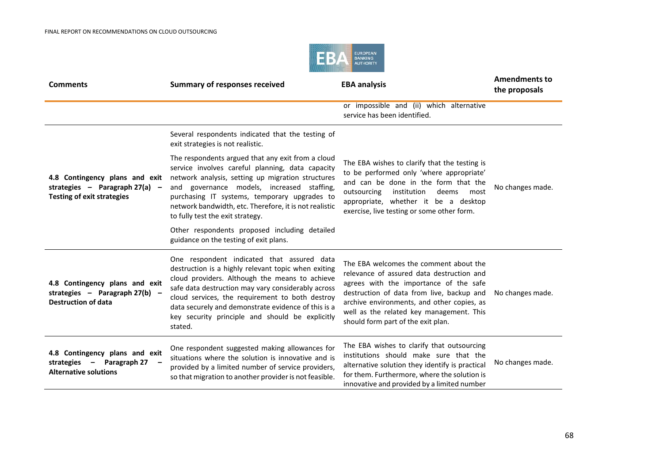

| <b>Comments</b>                                                                                         | <b>Summary of responses received</b>                                                                                                                                                                                                                                                                                                                                              | <b>EBA analysis</b>                                                                                                                                                                                                                                                                                        | <b>Amendments to</b><br>the proposals |
|---------------------------------------------------------------------------------------------------------|-----------------------------------------------------------------------------------------------------------------------------------------------------------------------------------------------------------------------------------------------------------------------------------------------------------------------------------------------------------------------------------|------------------------------------------------------------------------------------------------------------------------------------------------------------------------------------------------------------------------------------------------------------------------------------------------------------|---------------------------------------|
|                                                                                                         |                                                                                                                                                                                                                                                                                                                                                                                   | or impossible and (ii) which alternative<br>service has been identified.                                                                                                                                                                                                                                   |                                       |
|                                                                                                         | Several respondents indicated that the testing of<br>exit strategies is not realistic.                                                                                                                                                                                                                                                                                            |                                                                                                                                                                                                                                                                                                            |                                       |
| 4.8 Contingency plans and exit<br>strategies - Paragraph $27(a)$ -<br><b>Testing of exit strategies</b> | The respondents argued that any exit from a cloud<br>service involves careful planning, data capacity<br>network analysis, setting up migration structures<br>and governance models, increased staffing,<br>purchasing IT systems, temporary upgrades to<br>network bandwidth, etc. Therefore, it is not realistic<br>to fully test the exit strategy.                            | The EBA wishes to clarify that the testing is<br>to be performed only 'where appropriate'<br>and can be done in the form that the<br>outsourcing<br>institution<br>deems<br>most<br>appropriate, whether it be a desktop<br>exercise, live testing or some other form.                                     | No changes made.                      |
|                                                                                                         | Other respondents proposed including detailed<br>guidance on the testing of exit plans.                                                                                                                                                                                                                                                                                           |                                                                                                                                                                                                                                                                                                            |                                       |
| 4.8 Contingency plans and exit<br>strategies - Paragraph $27(b)$ -<br><b>Destruction of data</b>        | One respondent indicated that assured data<br>destruction is a highly relevant topic when exiting<br>cloud providers. Although the means to achieve<br>safe data destruction may vary considerably across<br>cloud services, the requirement to both destroy<br>data securely and demonstrate evidence of this is a<br>key security principle and should be explicitly<br>stated. | The EBA welcomes the comment about the<br>relevance of assured data destruction and<br>agrees with the importance of the safe<br>destruction of data from live, backup and<br>archive environments, and other copies, as<br>well as the related key management. This<br>should form part of the exit plan. | No changes made.                      |
| 4.8 Contingency plans and exit<br>strategies - Paragraph 27<br><b>Alternative solutions</b>             | One respondent suggested making allowances for<br>situations where the solution is innovative and is<br>provided by a limited number of service providers,<br>so that migration to another provider is not feasible.                                                                                                                                                              | The EBA wishes to clarify that outsourcing<br>institutions should make sure that the<br>alternative solution they identify is practical<br>for them. Furthermore, where the solution is<br>innovative and provided by a limited number                                                                     | No changes made.                      |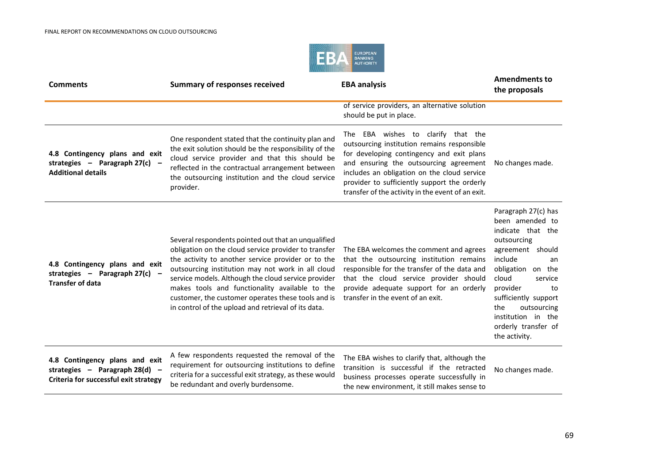

| <b>Comments</b>                                                                                           | <b>Summary of responses received</b>                                                                                                                                                                                                                                                                                                                                                                                                         | <b>EBA analysis</b>                                                                                                                                                                                                                                                                                                             | <b>Amendments to</b><br>the proposals                                                                                                                                                                                                                                                  |
|-----------------------------------------------------------------------------------------------------------|----------------------------------------------------------------------------------------------------------------------------------------------------------------------------------------------------------------------------------------------------------------------------------------------------------------------------------------------------------------------------------------------------------------------------------------------|---------------------------------------------------------------------------------------------------------------------------------------------------------------------------------------------------------------------------------------------------------------------------------------------------------------------------------|----------------------------------------------------------------------------------------------------------------------------------------------------------------------------------------------------------------------------------------------------------------------------------------|
|                                                                                                           |                                                                                                                                                                                                                                                                                                                                                                                                                                              | of service providers, an alternative solution<br>should be put in place.                                                                                                                                                                                                                                                        |                                                                                                                                                                                                                                                                                        |
| 4.8 Contingency plans and exit<br>strategies - Paragraph 27(c) -<br><b>Additional details</b>             | One respondent stated that the continuity plan and<br>the exit solution should be the responsibility of the<br>cloud service provider and that this should be<br>reflected in the contractual arrangement between<br>the outsourcing institution and the cloud service<br>provider.                                                                                                                                                          | EBA wishes to clarify that the<br>The<br>outsourcing institution remains responsible<br>for developing contingency and exit plans<br>and ensuring the outsourcing agreement<br>includes an obligation on the cloud service<br>provider to sufficiently support the orderly<br>transfer of the activity in the event of an exit. | No changes made.                                                                                                                                                                                                                                                                       |
| 4.8 Contingency plans and exit<br>strategies - Paragraph 27(c) -<br><b>Transfer of data</b>               | Several respondents pointed out that an unqualified<br>obligation on the cloud service provider to transfer<br>the activity to another service provider or to the<br>outsourcing institution may not work in all cloud<br>service models. Although the cloud service provider<br>makes tools and functionality available to the<br>customer, the customer operates these tools and is<br>in control of the upload and retrieval of its data. | The EBA welcomes the comment and agrees<br>that the outsourcing institution remains<br>responsible for the transfer of the data and<br>that the cloud service provider should<br>provide adequate support for an orderly<br>transfer in the event of an exit.                                                                   | Paragraph 27(c) has<br>been amended to<br>indicate that the<br>outsourcing<br>agreement should<br>include<br>an<br>obligation on the<br>cloud<br>service<br>provider<br>to<br>sufficiently support<br>the<br>outsourcing<br>institution in the<br>orderly transfer of<br>the activity. |
| 4.8 Contingency plans and exit<br>strategies - Paragraph 28(d) -<br>Criteria for successful exit strategy | A few respondents requested the removal of the<br>requirement for outsourcing institutions to define<br>criteria for a successful exit strategy, as these would<br>be redundant and overly burdensome.                                                                                                                                                                                                                                       | The EBA wishes to clarify that, although the<br>transition is successful if the retracted<br>business processes operate successfully in<br>the new environment, it still makes sense to                                                                                                                                         | No changes made.                                                                                                                                                                                                                                                                       |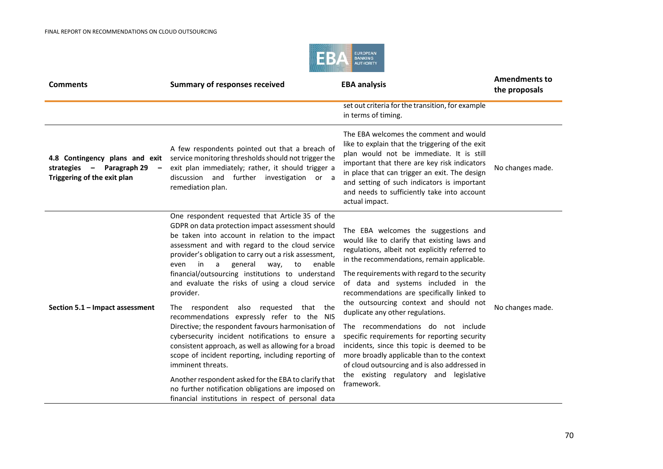

| <b>Comments</b>                                                                                                        | <b>Summary of responses received</b>                                                                                                                                                                                                                                                                                                                                                                                                                                                                                                                                                                                                                                                                                                                                                                                                                                                                                                                      | <b>EBA analysis</b>                                                                                                                                                                                                                                                                                                                                                                                                                                                                                                                                                                                                                                                                                   | <b>Amendments to</b><br>the proposals |
|------------------------------------------------------------------------------------------------------------------------|-----------------------------------------------------------------------------------------------------------------------------------------------------------------------------------------------------------------------------------------------------------------------------------------------------------------------------------------------------------------------------------------------------------------------------------------------------------------------------------------------------------------------------------------------------------------------------------------------------------------------------------------------------------------------------------------------------------------------------------------------------------------------------------------------------------------------------------------------------------------------------------------------------------------------------------------------------------|-------------------------------------------------------------------------------------------------------------------------------------------------------------------------------------------------------------------------------------------------------------------------------------------------------------------------------------------------------------------------------------------------------------------------------------------------------------------------------------------------------------------------------------------------------------------------------------------------------------------------------------------------------------------------------------------------------|---------------------------------------|
|                                                                                                                        |                                                                                                                                                                                                                                                                                                                                                                                                                                                                                                                                                                                                                                                                                                                                                                                                                                                                                                                                                           | set out criteria for the transition, for example<br>in terms of timing.                                                                                                                                                                                                                                                                                                                                                                                                                                                                                                                                                                                                                               |                                       |
| 4.8 Contingency plans and exit<br>strategies - Paragraph 29<br>$\overline{\phantom{m}}$<br>Triggering of the exit plan | A few respondents pointed out that a breach of<br>service monitoring thresholds should not trigger the<br>exit plan immediately; rather, it should trigger a<br>discussion and further investigation or a<br>remediation plan.                                                                                                                                                                                                                                                                                                                                                                                                                                                                                                                                                                                                                                                                                                                            | The EBA welcomes the comment and would<br>like to explain that the triggering of the exit<br>plan would not be immediate. It is still<br>important that there are key risk indicators<br>in place that can trigger an exit. The design<br>and setting of such indicators is important<br>and needs to sufficiently take into account<br>actual impact.                                                                                                                                                                                                                                                                                                                                                | No changes made.                      |
| Section 5.1 - Impact assessment                                                                                        | One respondent requested that Article 35 of the<br>GDPR on data protection impact assessment should<br>be taken into account in relation to the impact<br>assessment and with regard to the cloud service<br>provider's obligation to carry out a risk assessment,<br>a<br>general<br>in<br>way,<br>to<br>enable<br>even<br>financial/outsourcing institutions to understand<br>and evaluate the risks of using a cloud service<br>provider.<br>respondent also requested that the<br>The<br>recommendations expressly refer to the NIS<br>Directive; the respondent favours harmonisation of<br>cybersecurity incident notifications to ensure a<br>consistent approach, as well as allowing for a broad<br>scope of incident reporting, including reporting of<br>imminent threats.<br>Another respondent asked for the EBA to clarify that<br>no further notification obligations are imposed on<br>financial institutions in respect of personal data | The EBA welcomes the suggestions and<br>would like to clarify that existing laws and<br>regulations, albeit not explicitly referred to<br>in the recommendations, remain applicable.<br>The requirements with regard to the security<br>of data and systems included in the<br>recommendations are specifically linked to<br>the outsourcing context and should not<br>duplicate any other regulations.<br>The recommendations do not include<br>specific requirements for reporting security<br>incidents, since this topic is deemed to be<br>more broadly applicable than to the context<br>of cloud outsourcing and is also addressed in<br>the existing regulatory and legislative<br>framework. | No changes made.                      |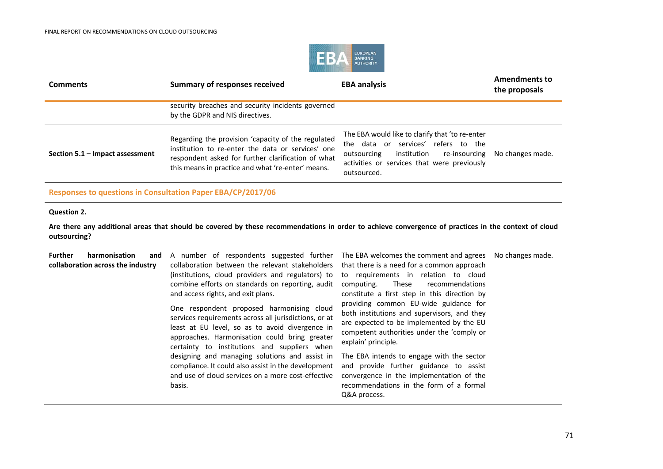

| <b>Comments</b>                 | <b>Summary of responses received</b>                                                                                                                                                                               | <b>EBA analysis</b>                                                                                                                                                                              | <b>Amendments to</b><br>the proposals |
|---------------------------------|--------------------------------------------------------------------------------------------------------------------------------------------------------------------------------------------------------------------|--------------------------------------------------------------------------------------------------------------------------------------------------------------------------------------------------|---------------------------------------|
|                                 | security breaches and security incidents governed<br>by the GDPR and NIS directives.                                                                                                                               |                                                                                                                                                                                                  |                                       |
| Section 5.1 - Impact assessment | Regarding the provision 'capacity of the regulated<br>institution to re-enter the data or services' one<br>respondent asked for further clarification of what<br>this means in practice and what 're-enter' means. | The EBA would like to clarify that 'to re-enter<br>the data or services' refers to the<br>institution re-insourcing<br>outsourcing<br>activities or services that were previously<br>outsourced. | No changes made.                      |
|                                 |                                                                                                                                                                                                                    |                                                                                                                                                                                                  |                                       |

## **Responses to questions in Consultation Paper EBA/CP/2017/06**

## **Question 2.**

**Are there any additional areas that should be covered by these recommendations in order to achieve convergence of practices in the context of cloud outsourcing?**

| <b>Further</b><br>harmonisation<br>and<br>collaboration across the industry | A number of respondents suggested further<br>collaboration between the relevant stakeholders<br>(institutions, cloud providers and regulators) to<br>combine efforts on standards on reporting, audit<br>and access rights, and exit plans.<br>One respondent proposed harmonising cloud<br>services requirements across all jurisdictions, or at<br>least at EU level, so as to avoid divergence in<br>approaches. Harmonisation could bring greater<br>certainty to institutions and suppliers when<br>designing and managing solutions and assist in<br>compliance. It could also assist in the development<br>and use of cloud services on a more cost-effective<br>basis. | The EBA welcomes the comment and agrees No changes made.<br>that there is a need for a common approach<br>to requirements in relation to cloud<br>computing.<br>These<br>recommendations<br>constitute a first step in this direction by<br>providing common EU-wide guidance for<br>both institutions and supervisors, and they<br>are expected to be implemented by the EU<br>competent authorities under the 'comply or<br>explain' principle.<br>The EBA intends to engage with the sector<br>and provide further guidance to assist<br>convergence in the implementation of the<br>recommendations in the form of a formal<br>Q&A process. |  |
|-----------------------------------------------------------------------------|--------------------------------------------------------------------------------------------------------------------------------------------------------------------------------------------------------------------------------------------------------------------------------------------------------------------------------------------------------------------------------------------------------------------------------------------------------------------------------------------------------------------------------------------------------------------------------------------------------------------------------------------------------------------------------|-------------------------------------------------------------------------------------------------------------------------------------------------------------------------------------------------------------------------------------------------------------------------------------------------------------------------------------------------------------------------------------------------------------------------------------------------------------------------------------------------------------------------------------------------------------------------------------------------------------------------------------------------|--|
|-----------------------------------------------------------------------------|--------------------------------------------------------------------------------------------------------------------------------------------------------------------------------------------------------------------------------------------------------------------------------------------------------------------------------------------------------------------------------------------------------------------------------------------------------------------------------------------------------------------------------------------------------------------------------------------------------------------------------------------------------------------------------|-------------------------------------------------------------------------------------------------------------------------------------------------------------------------------------------------------------------------------------------------------------------------------------------------------------------------------------------------------------------------------------------------------------------------------------------------------------------------------------------------------------------------------------------------------------------------------------------------------------------------------------------------|--|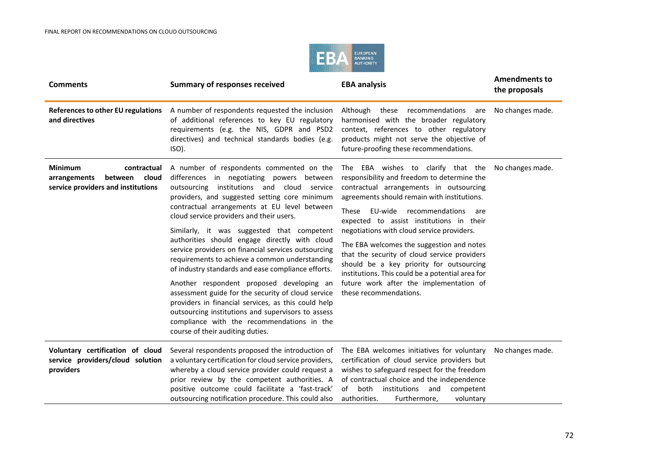

| <b>Comments</b>                                                                                         | <b>Summary of responses received</b>                                                                                                                                                                                                                                                                                                                                                                                                                                                                                                                                                                                                                                                                                                                                                                                                                   | <b>EBA analysis</b>                                                                                                                                                                                                                                                                                                                                                                                                                                                                                                                                                                          | <b>Amendments to</b><br>the proposals |
|---------------------------------------------------------------------------------------------------------|--------------------------------------------------------------------------------------------------------------------------------------------------------------------------------------------------------------------------------------------------------------------------------------------------------------------------------------------------------------------------------------------------------------------------------------------------------------------------------------------------------------------------------------------------------------------------------------------------------------------------------------------------------------------------------------------------------------------------------------------------------------------------------------------------------------------------------------------------------|----------------------------------------------------------------------------------------------------------------------------------------------------------------------------------------------------------------------------------------------------------------------------------------------------------------------------------------------------------------------------------------------------------------------------------------------------------------------------------------------------------------------------------------------------------------------------------------------|---------------------------------------|
| References to other EU regulations<br>and directives                                                    | A number of respondents requested the inclusion<br>of additional references to key EU regulatory<br>requirements (e.g. the NIS, GDPR and PSD2<br>directives) and technical standards bodies (e.g.<br>ISO).                                                                                                                                                                                                                                                                                                                                                                                                                                                                                                                                                                                                                                             | Although these recommendations are<br>harmonised with the broader regulatory<br>context, references to other regulatory<br>products might not serve the objective of<br>future-proofing these recommendations.                                                                                                                                                                                                                                                                                                                                                                               | No changes made.                      |
| <b>Minimum</b><br>contractual<br>cloud<br>between<br>arrangements<br>service providers and institutions | A number of respondents commented on the<br>differences in negotiating powers between<br>institutions and cloud<br>outsourcing<br>service<br>providers, and suggested setting core minimum<br>contractual arrangements at EU level between<br>cloud service providers and their users.<br>Similarly, it was suggested that competent<br>authorities should engage directly with cloud<br>service providers on financial services outsourcing<br>requirements to achieve a common understanding<br>of industry standards and ease compliance efforts.<br>Another respondent proposed developing an<br>assessment guide for the security of cloud service<br>providers in financial services, as this could help<br>outsourcing institutions and supervisors to assess<br>compliance with the recommendations in the<br>course of their auditing duties. | The EBA wishes to clarify that the<br>responsibility and freedom to determine the<br>contractual arrangements in outsourcing<br>agreements should remain with institutions.<br><b>These</b><br>EU-wide<br>recommendations<br>are<br>expected to assist institutions in their<br>negotiations with cloud service providers.<br>The EBA welcomes the suggestion and notes<br>that the security of cloud service providers<br>should be a key priority for outsourcing<br>institutions. This could be a potential area for<br>future work after the implementation of<br>these recommendations. | No changes made.                      |
| Voluntary certification of cloud<br>service providers/cloud solution<br>providers                       | Several respondents proposed the introduction of<br>a voluntary certification for cloud service providers,<br>whereby a cloud service provider could request a<br>prior review by the competent authorities. A<br>positive outcome could facilitate a 'fast-track'<br>outsourcing notification procedure. This could also                                                                                                                                                                                                                                                                                                                                                                                                                                                                                                                              | The EBA welcomes initiatives for voluntary<br>certification of cloud service providers but<br>wishes to safeguard respect for the freedom<br>of contractual choice and the independence<br>of<br>both<br>institutions<br>and<br>competent<br>authorities.<br>Furthermore,<br>voluntary                                                                                                                                                                                                                                                                                                       | No changes made.                      |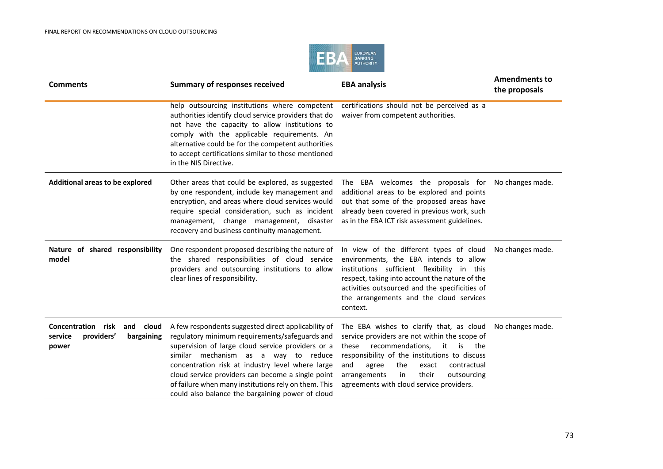

| <b>Comments</b>                                                                        | <b>Summary of responses received</b>                                                                                                                                                                                                                                                                                                                                                                                    | <b>EBA analysis</b>                                                                                                                                                                                                                                                                                                                 | <b>Amendments to</b><br>the proposals |
|----------------------------------------------------------------------------------------|-------------------------------------------------------------------------------------------------------------------------------------------------------------------------------------------------------------------------------------------------------------------------------------------------------------------------------------------------------------------------------------------------------------------------|-------------------------------------------------------------------------------------------------------------------------------------------------------------------------------------------------------------------------------------------------------------------------------------------------------------------------------------|---------------------------------------|
|                                                                                        | help outsourcing institutions where competent<br>authorities identify cloud service providers that do<br>not have the capacity to allow institutions to<br>comply with the applicable requirements. An<br>alternative could be for the competent authorities<br>to accept certifications similar to those mentioned<br>in the NIS Directive.                                                                            | certifications should not be perceived as a<br>waiver from competent authorities.                                                                                                                                                                                                                                                   |                                       |
| Additional areas to be explored                                                        | Other areas that could be explored, as suggested<br>by one respondent, include key management and<br>encryption, and areas where cloud services would<br>require special consideration, such as incident<br>management, change management, disaster<br>recovery and business continuity management.                                                                                                                     | The EBA welcomes the proposals for<br>additional areas to be explored and points<br>out that some of the proposed areas have<br>already been covered in previous work, such<br>as in the EBA ICT risk assessment guidelines.                                                                                                        | No changes made.                      |
| Nature of shared responsibility<br>model                                               | One respondent proposed describing the nature of<br>the shared responsibilities of cloud service<br>providers and outsourcing institutions to allow<br>clear lines of responsibility.                                                                                                                                                                                                                                   | In view of the different types of cloud<br>environments, the EBA intends to allow<br>institutions sufficient flexibility in this<br>respect, taking into account the nature of the<br>activities outsourced and the specificities of<br>the arrangements and the cloud services<br>context.                                         | No changes made.                      |
| <b>Concentration risk</b><br>and cloud<br>service<br>providers'<br>bargaining<br>power | A few respondents suggested direct applicability of<br>regulatory minimum requirements/safeguards and<br>supervision of large cloud service providers or a<br>similar mechanism as a way to reduce<br>concentration risk at industry level where large<br>cloud service providers can become a single point<br>of failure when many institutions rely on them. This<br>could also balance the bargaining power of cloud | The EBA wishes to clarify that, as cloud<br>service providers are not within the scope of<br>recommendations,<br>these<br>it<br>is<br>the<br>responsibility of the institutions to discuss<br>and<br>the<br>agree<br>contractual<br>exact<br>their<br>arrangements<br>in<br>outsourcing<br>agreements with cloud service providers. | No changes made.                      |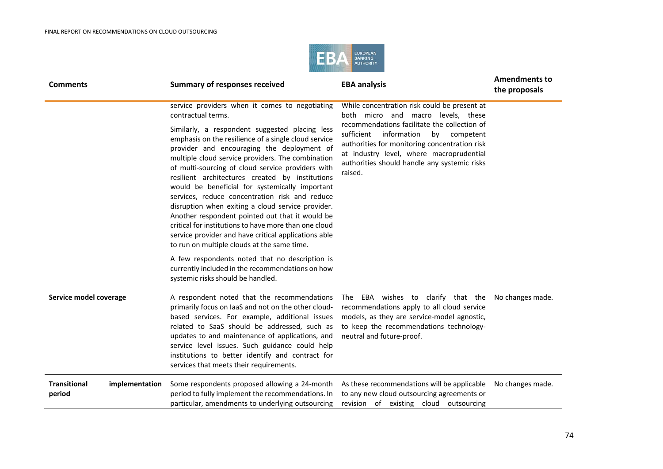

| <b>Comments</b>                                 | <b>Summary of responses received</b>                                                                                                                                                                                                                                                                                                                                                                                                                                                                                                                                                                                                                                                          | <b>EBA analysis</b>                                                                                                                                                                                                                                                                                                                        | <b>Amendments to</b><br>the proposals |
|-------------------------------------------------|-----------------------------------------------------------------------------------------------------------------------------------------------------------------------------------------------------------------------------------------------------------------------------------------------------------------------------------------------------------------------------------------------------------------------------------------------------------------------------------------------------------------------------------------------------------------------------------------------------------------------------------------------------------------------------------------------|--------------------------------------------------------------------------------------------------------------------------------------------------------------------------------------------------------------------------------------------------------------------------------------------------------------------------------------------|---------------------------------------|
|                                                 | service providers when it comes to negotiating<br>contractual terms.                                                                                                                                                                                                                                                                                                                                                                                                                                                                                                                                                                                                                          | While concentration risk could be present at<br>both micro and macro levels, these<br>recommendations facilitate the collection of<br>sufficient<br>information<br>by<br>competent<br>authorities for monitoring concentration risk<br>at industry level, where macroprudential<br>authorities should handle any systemic risks<br>raised. |                                       |
|                                                 | Similarly, a respondent suggested placing less<br>emphasis on the resilience of a single cloud service<br>provider and encouraging the deployment of<br>multiple cloud service providers. The combination<br>of multi-sourcing of cloud service providers with<br>resilient architectures created by institutions<br>would be beneficial for systemically important<br>services, reduce concentration risk and reduce<br>disruption when exiting a cloud service provider.<br>Another respondent pointed out that it would be<br>critical for institutions to have more than one cloud<br>service provider and have critical applications able<br>to run on multiple clouds at the same time. |                                                                                                                                                                                                                                                                                                                                            |                                       |
|                                                 | A few respondents noted that no description is<br>currently included in the recommendations on how<br>systemic risks should be handled.                                                                                                                                                                                                                                                                                                                                                                                                                                                                                                                                                       |                                                                                                                                                                                                                                                                                                                                            |                                       |
| Service model coverage                          | A respondent noted that the recommendations<br>primarily focus on laaS and not on the other cloud-<br>based services. For example, additional issues<br>related to SaaS should be addressed, such as<br>updates to and maintenance of applications, and<br>service level issues. Such guidance could help<br>institutions to better identify and contract for<br>services that meets their requirements.                                                                                                                                                                                                                                                                                      | The EBA wishes to clarify that the Nochanges made.<br>recommendations apply to all cloud service<br>models, as they are service-model agnostic,<br>to keep the recommendations technology-<br>neutral and future-proof.                                                                                                                    |                                       |
| <b>Transitional</b><br>implementation<br>period | Some respondents proposed allowing a 24-month<br>period to fully implement the recommendations. In<br>particular, amendments to underlying outsourcing                                                                                                                                                                                                                                                                                                                                                                                                                                                                                                                                        | As these recommendations will be applicable<br>to any new cloud outsourcing agreements or<br>revision of existing cloud outsourcing                                                                                                                                                                                                        | No changes made.                      |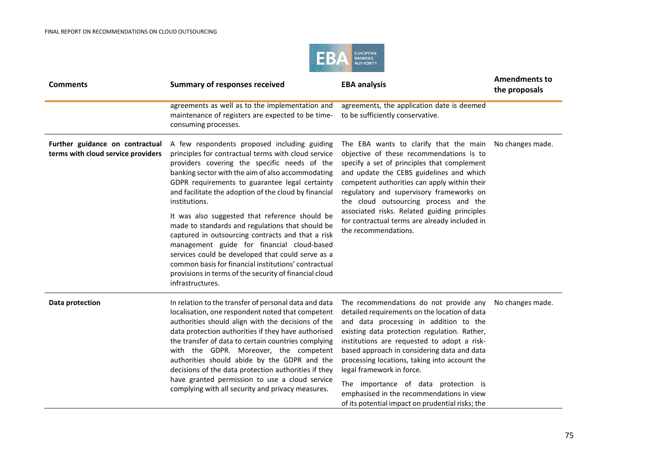

| <b>Comments</b>                                                       | <b>Summary of responses received</b>                                                                                                                                                                                                                                                                                                                                                                                                                                                                                                                                                                                                                                                                                                     | <b>EBA analysis</b>                                                                                                                                                                                                                                                                                                                                                                                                                                                                                    | <b>Amendments to</b><br>the proposals |
|-----------------------------------------------------------------------|------------------------------------------------------------------------------------------------------------------------------------------------------------------------------------------------------------------------------------------------------------------------------------------------------------------------------------------------------------------------------------------------------------------------------------------------------------------------------------------------------------------------------------------------------------------------------------------------------------------------------------------------------------------------------------------------------------------------------------------|--------------------------------------------------------------------------------------------------------------------------------------------------------------------------------------------------------------------------------------------------------------------------------------------------------------------------------------------------------------------------------------------------------------------------------------------------------------------------------------------------------|---------------------------------------|
|                                                                       | agreements as well as to the implementation and<br>maintenance of registers are expected to be time-<br>consuming processes.                                                                                                                                                                                                                                                                                                                                                                                                                                                                                                                                                                                                             | agreements, the application date is deemed<br>to be sufficiently conservative.                                                                                                                                                                                                                                                                                                                                                                                                                         |                                       |
| Further guidance on contractual<br>terms with cloud service providers | A few respondents proposed including guiding<br>principles for contractual terms with cloud service<br>providers covering the specific needs of the<br>banking sector with the aim of also accommodating<br>GDPR requirements to guarantee legal certainty<br>and facilitate the adoption of the cloud by financial<br>institutions.<br>It was also suggested that reference should be<br>made to standards and regulations that should be<br>captured in outsourcing contracts and that a risk<br>management guide for financial cloud-based<br>services could be developed that could serve as a<br>common basis for financial institutions' contractual<br>provisions in terms of the security of financial cloud<br>infrastructures. | The EBA wants to clarify that the main<br>objective of these recommendations is to<br>specify a set of principles that complement<br>and update the CEBS guidelines and which<br>competent authorities can apply within their<br>regulatory and supervisory frameworks on<br>the cloud outsourcing process and the<br>associated risks. Related guiding principles<br>for contractual terms are already included in<br>the recommendations.                                                            | No changes made.                      |
| Data protection                                                       | In relation to the transfer of personal data and data<br>localisation, one respondent noted that competent<br>authorities should align with the decisions of the<br>data protection authorities if they have authorised<br>the transfer of data to certain countries complying<br>with the GDPR. Moreover, the competent<br>authorities should abide by the GDPR and the<br>decisions of the data protection authorities if they<br>have granted permission to use a cloud service<br>complying with all security and privacy measures.                                                                                                                                                                                                  | The recommendations do not provide any<br>detailed requirements on the location of data<br>and data processing in addition to the<br>existing data protection regulation. Rather,<br>institutions are requested to adopt a risk-<br>based approach in considering data and data<br>processing locations, taking into account the<br>legal framework in force.<br>The importance of data protection is<br>emphasised in the recommendations in view<br>of its potential impact on prudential risks; the | No changes made.                      |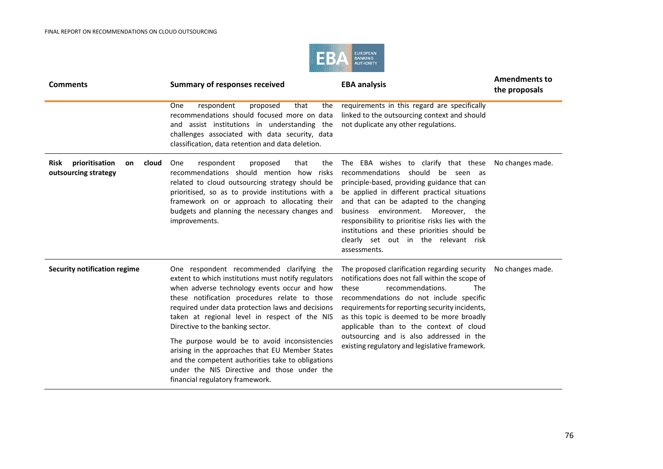

| <b>Comments</b>                                               | <b>Summary of responses received</b>                                                                                                                                                                                                                                                                                                                                                                                                                                                                                                                                                   | <b>EBA analysis</b>                                                                                                                                                                                                                                                                                                                                                                                                             | <b>Amendments to</b><br>the proposals |
|---------------------------------------------------------------|----------------------------------------------------------------------------------------------------------------------------------------------------------------------------------------------------------------------------------------------------------------------------------------------------------------------------------------------------------------------------------------------------------------------------------------------------------------------------------------------------------------------------------------------------------------------------------------|---------------------------------------------------------------------------------------------------------------------------------------------------------------------------------------------------------------------------------------------------------------------------------------------------------------------------------------------------------------------------------------------------------------------------------|---------------------------------------|
|                                                               | respondent<br>that<br><b>One</b><br>proposed<br>the<br>recommendations should focused more on data<br>and assist institutions in understanding the<br>challenges associated with data security, data<br>classification, data retention and data deletion.                                                                                                                                                                                                                                                                                                                              | requirements in this regard are specifically<br>linked to the outsourcing context and should<br>not duplicate any other regulations.                                                                                                                                                                                                                                                                                            |                                       |
| Risk<br>prioritisation<br>cloud<br>on<br>outsourcing strategy | One<br>respondent<br>proposed<br>that<br>the<br>recommendations should mention how risks<br>related to cloud outsourcing strategy should be<br>prioritised, so as to provide institutions with a<br>framework on or approach to allocating their<br>budgets and planning the necessary changes and<br>improvements.                                                                                                                                                                                                                                                                    | The EBA wishes to clarify that these<br>recommendations should be seen as<br>principle-based, providing guidance that can<br>be applied in different practical situations<br>and that can be adapted to the changing<br>business environment. Moreover, the<br>responsibility to prioritise risks lies with the<br>institutions and these priorities should be<br>clearly set out in the relevant risk<br>assessments.          | No changes made.                      |
| <b>Security notification regime</b>                           | One respondent recommended clarifying the<br>extent to which institutions must notify regulators<br>when adverse technology events occur and how<br>these notification procedures relate to those<br>required under data protection laws and decisions<br>taken at regional level in respect of the NIS<br>Directive to the banking sector.<br>The purpose would be to avoid inconsistencies<br>arising in the approaches that EU Member States<br>and the competent authorities take to obligations<br>under the NIS Directive and those under the<br>financial regulatory framework. | The proposed clarification regarding security<br>notifications does not fall within the scope of<br>these<br>recommendations.<br><b>The</b><br>recommendations do not include specific<br>requirements for reporting security incidents,<br>as this topic is deemed to be more broadly<br>applicable than to the context of cloud<br>outsourcing and is also addressed in the<br>existing regulatory and legislative framework. | No changes made.                      |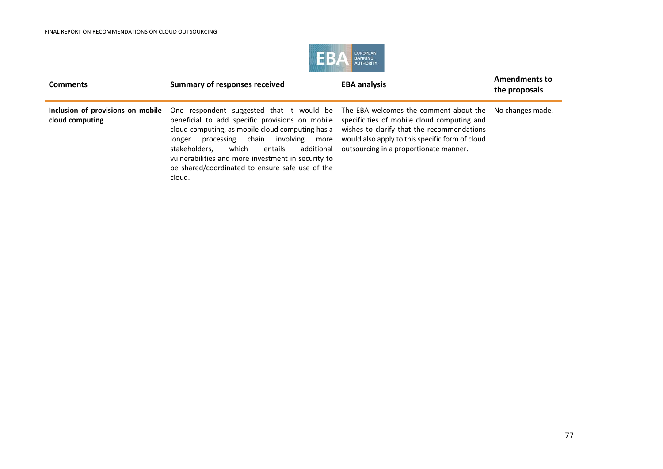

| <b>Comments</b>                                      | <b>Summary of responses received</b>                                                                                                                                                                                                                                                                                                                                                                                        | <b>EBA analysis</b>                                                                                                                                                                    | <b>Amendments to</b><br>the proposals |
|------------------------------------------------------|-----------------------------------------------------------------------------------------------------------------------------------------------------------------------------------------------------------------------------------------------------------------------------------------------------------------------------------------------------------------------------------------------------------------------------|----------------------------------------------------------------------------------------------------------------------------------------------------------------------------------------|---------------------------------------|
| Inclusion of provisions on mobile<br>cloud computing | One respondent suggested that it would be The EBA welcomes the comment about the No changes made.<br>beneficial to add specific provisions on mobile<br>cloud computing, as mobile cloud computing has a<br>processing chain involving more<br>longer<br>stakeholders.<br>which<br>additional<br>entails<br>vulnerabilities and more investment in security to<br>be shared/coordinated to ensure safe use of the<br>cloud. | specificities of mobile cloud computing and<br>wishes to clarify that the recommendations<br>would also apply to this specific form of cloud<br>outsourcing in a proportionate manner. |                                       |